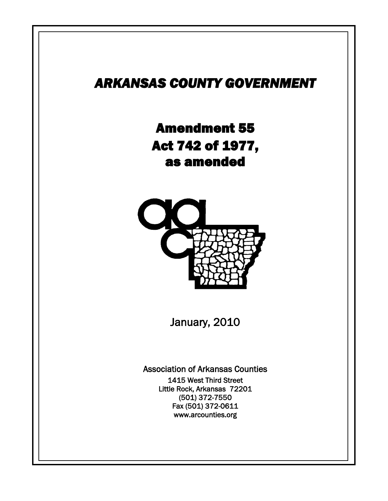# *ARKANSAS COUNTY GOVERNMENT*

ׅ֚֡֡֡֡֬֝

Amendment 55 Act 742 of 1977, as amended



January, 2010

Association of Arkansas Counties

1415 West Third Street Little Rock, Arkansas 72201 (501) 372-7550 Fax (501) 372-0611 www.arcounties.org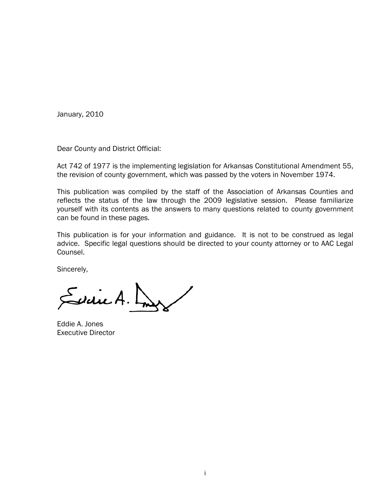January, 2010

Dear County and District Official:

Act 742 of 1977 is the implementing legislation for Arkansas Constitutional Amendment 55, the revision of county government, which was passed by the voters in November 1974.

This publication was compiled by the staff of the Association of Arkansas Counties and reflects the status of the law through the 2009 legislative session. Please familiarize yourself with its contents as the answers to many questions related to county government can be found in these pages.

This publication is for your information and guidance. It is not to be construed as legal advice. Specific legal questions should be directed to your county attorney or to AAC Legal Counsel.

Sincerely,

Suice A.

Eddie A. Jones Executive Director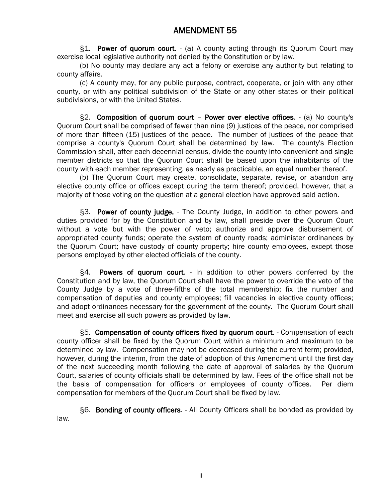## AMENDMENT 55

§1. Power of quorum court. - (a) A county acting through its Quorum Court may exercise local legislative authority not denied by the Constitution or by law.

(b) No county may declare any act a felony or exercise any authority but relating to county affairs.

(c) A county may, for any public purpose, contract, cooperate, or join with any other county, or with any political subdivision of the State or any other states or their political subdivisions, or with the United States.

§2. Composition of quorum court – Power over elective offices. - (a) No county's Quorum Court shall be comprised of fewer than nine (9) justices of the peace, nor comprised of more than fifteen (15) justices of the peace. The number of justices of the peace that comprise a county's Quorum Court shall be determined by law. The county's Election Commission shall, after each decennial census, divide the county into convenient and single member districts so that the Quorum Court shall be based upon the inhabitants of the county with each member representing, as nearly as practicable, an equal number thereof.

(b) The Quorum Court may create, consolidate, separate, revise, or abandon any elective county office or offices except during the term thereof; provided, however, that a majority of those voting on the question at a general election have approved said action.

§3. Power of county judge. - The County Judge, in addition to other powers and duties provided for by the Constitution and by law, shall preside over the Quorum Court without a vote but with the power of veto; authorize and approve disbursement of appropriated county funds; operate the system of county roads; administer ordinances by the Quorum Court; have custody of county property; hire county employees, except those persons employed by other elected officials of the county.

§4. Powers of quorum court. - In addition to other powers conferred by the Constitution and by law, the Quorum Court shall have the power to override the veto of the County Judge by a vote of three-fifths of the total membership; fix the number and compensation of deputies and county employees; fill vacancies in elective county offices; and adopt ordinances necessary for the government of the county. The Quorum Court shall meet and exercise all such powers as provided by law.

§5. Compensation of county officers fixed by quorum court. - Compensation of each county officer shall be fixed by the Quorum Court within a minimum and maximum to be determined by law. Compensation may not be decreased during the current term; provided, however, during the interim, from the date of adoption of this Amendment until the first day of the next succeeding month following the date of approval of salaries by the Quorum Court, salaries of county officials shall be determined by law. Fees of the office shall not be the basis of compensation for officers or employees of county offices. Per diem compensation for members of the Quorum Court shall be fixed by law.

§6. Bonding of county officers. - All County Officers shall be bonded as provided by law.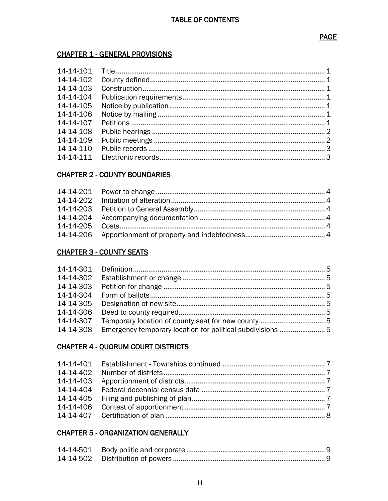## **CHAPTER 1 - GENERAL PROVISIONS**

| 14-14-101 |  |
|-----------|--|
| 14-14-102 |  |
| 14-14-103 |  |
| 14-14-104 |  |
| 14-14-105 |  |
| 14-14-106 |  |
| 14-14-107 |  |
| 14-14-108 |  |
| 14-14-109 |  |
| 14-14-110 |  |
| 14-14-111 |  |

## **CHAPTER 2 - COUNTY BOUNDARIES**

## **CHAPTER 3 - COUNTY SEATS**

## **CHAPTER 4 - QUORUM COURT DISTRICTS**

## **CHAPTER 5 - ORGANIZATION GENERALLY**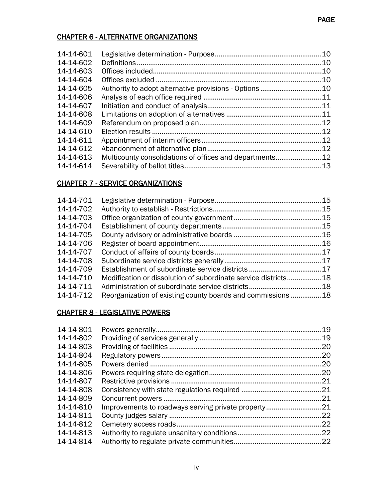## CHAPTER 6 - ALTERNATIVE ORGANIZATIONS

| 14-14-601 |                                                          |      |
|-----------|----------------------------------------------------------|------|
| 14-14-602 |                                                          |      |
| 14-14-603 |                                                          | .10  |
| 14-14-604 |                                                          | . 10 |
| 14-14-605 |                                                          |      |
| 14-14-606 |                                                          |      |
| 14-14-607 |                                                          |      |
| 14-14-608 |                                                          |      |
| 14-14-609 |                                                          |      |
| 14-14-610 |                                                          | 12   |
| 14-14-611 |                                                          |      |
| 14-14-612 |                                                          |      |
| 14-14-613 | Multicounty consolidations of offices and departments 12 |      |
| 14-14-614 |                                                          | .13  |
|           |                                                          |      |

## CHAPTER 7 - SERVICE ORGANIZATIONS

| 14-14-701 |                                                                |     |
|-----------|----------------------------------------------------------------|-----|
| 14-14-702 |                                                                | .15 |
| 14-14-703 |                                                                |     |
| 14-14-704 |                                                                |     |
| 14-14-705 |                                                                |     |
| 14-14-706 |                                                                |     |
| 14-14-707 |                                                                |     |
| 14-14-708 |                                                                |     |
| 14-14-709 |                                                                |     |
| 14-14-710 | Modification or dissolution of subordinate service districts18 |     |
| 14-14-711 |                                                                |     |
| 14-14-712 | Reorganization of existing county boards and commissions  18   |     |
|           |                                                                |     |

## CHAPTER 8 - LEGISLATIVE POWERS

| 14-14-801 | .19 |
|-----------|-----|
| 14-14-802 |     |
| 14-14-803 | .20 |
| 14-14-804 | .20 |
| 14-14-805 | .20 |
| 14-14-806 |     |
| 14-14-807 | .21 |
| 14-14-808 |     |
| 14-14-809 | .21 |
| 14-14-810 |     |
| 14-14-811 | 22  |
| 14-14-812 | 22  |
| 14-14-813 |     |
| 14-14-814 | .22 |
|           |     |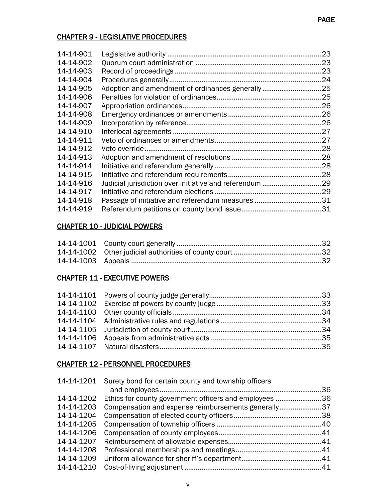## CHAPTER 9 - LEGISLATIVE PROCEDURES

| 14-14-901 |                                                      | .23 |
|-----------|------------------------------------------------------|-----|
| 14-14-902 |                                                      | .23 |
| 14-14-903 |                                                      |     |
| 14-14-904 |                                                      | .24 |
| 14-14-905 |                                                      | .25 |
| 14-14-906 |                                                      |     |
| 14-14-907 |                                                      |     |
| 14-14-908 |                                                      |     |
| 14-14-909 |                                                      |     |
| 14-14-910 |                                                      |     |
| 14-14-911 |                                                      | 27  |
| 14-14-912 |                                                      | .28 |
| 14-14-913 |                                                      | .28 |
| 14-14-914 |                                                      |     |
| 14-14-915 |                                                      |     |
| 14-14-916 | Judicial jurisdiction over initiative and referendum | .29 |
| 14-14-917 |                                                      | 29  |
| 14-14-918 |                                                      |     |
| 14-14-919 |                                                      |     |
|           |                                                      |     |

## CHAPTER 10 - JUDICIAL POWERS

## CHAPTER 11 - EXECUTIVE POWERS

## CHAPTER 12 - PERSONNEL PROCEDURES

| Surety bond for certain county and township officers   |     |
|--------------------------------------------------------|-----|
|                                                        | .36 |
| Ethics for county government officers and employees 36 |     |
| Compensation and expense reimbursements generally37    |     |
|                                                        |     |
|                                                        |     |
|                                                        |     |
|                                                        |     |
|                                                        |     |
|                                                        |     |
|                                                        |     |
|                                                        |     |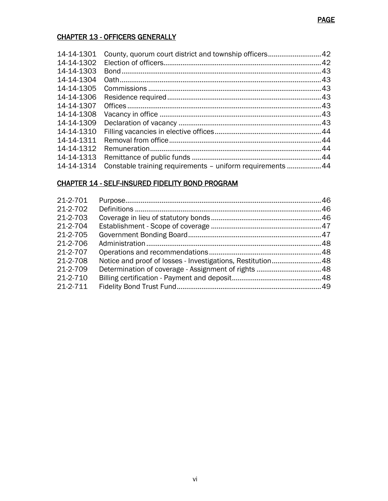## CHAPTER 13 - OFFICERS GENERALLY

| 14-14-1301<br>14-14-1302 |                                                            |  |
|--------------------------|------------------------------------------------------------|--|
| 14-14-1303               |                                                            |  |
| 14-14-1304               |                                                            |  |
| 14-14-1305               |                                                            |  |
| 14-14-1306               |                                                            |  |
| 14-14-1307               |                                                            |  |
| 14-14-1308               |                                                            |  |
| 14-14-1309               |                                                            |  |
| 14-14-1310               |                                                            |  |
| 14-14-1311               |                                                            |  |
| 14-14-1312               |                                                            |  |
| 14-14-1313               |                                                            |  |
| 14-14-1314               | Constable training requirements - uniform requirements  44 |  |

## CHAPTER 14 - SELF-INSURED FIDELITY BOND PROGRAM

| 21-2-701 |  |
|----------|--|
| 21-2-702 |  |
| 21-2-703 |  |
| 21-2-704 |  |
| 21-2-705 |  |
| 21-2-706 |  |
| 21-2-707 |  |
| 21-2-708 |  |
| 21-2-709 |  |
| 21-2-710 |  |
| 21-2-711 |  |
|          |  |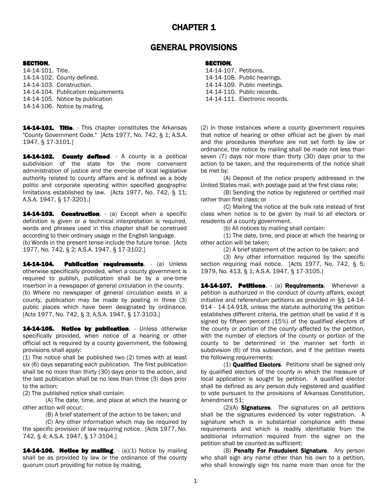## CHAPTER 1

## GENERAL PROVISIONS

### SECTION. SECTION ASSECTION AND LOCAL SECTION.

14-14-101. Title. 14-14-107. Petitions. 14-14-102. County defined. 14-14-108. Public hearings. 14-14-103. Construction. 14-14-109. Public meetings. 14-14-104. Publication requirements 14-14-110. Public records. 14-14-105. Notice by publication 14-14-111. Electronic records. 14-14-106. Notice by mailing.

14-14-101. Title. - This chapter constitutes the Arkansas "County Government Code." [Acts 1977, No. 742, § 1; A.S.A. 1947, § 17-3101.]

14-14-102. County defined. - A county is a political subdivision of the state for the more convenient administration of justice and the exercise of local legislative authority related to county affairs and is defined as a body politic and corporate operating within specified geographic limitations established by law. [Acts 1977, No. 742, § 11; A.S.A. 1947, § 17-3201.]

14-14-103. Construction. - (a) Except when a specific definition is given or a technical interpretation is required, words and phrases used in this chapter shall be construed according to their ordinary usage in the English language.

(b) Words in the present tense include the future tense. [Acts 1977, No. 742, § 2; A.S.A. 1947, § 17-3102.]

14-14-104. Publication requirements. - (a) Unless otherwise specifically provided, when a county government is required to publish, publication shall be by a one-time insertion in a newspaper of general circulation in the county. (b) Where no newspaper of general circulation exists in a county, publication may be made by posting in three (3) public places which have been designated by ordinance. [Acts 1977, No. 742, § 3; A.S.A. 1947, § 17-3103.]

14-14-105. Notice by publication. - Unless otherwise specifically provided, when notice of a hearing or other official act is required by a county government, the following provisions shall apply:

(1) The notice shall be published two (2) times with at least six (6) days separating each publication. The first publication shall be no more than thirty (30) days prior to the action, and the last publication shall be no less than three (3) days prior to the action;

(2) The published notice shall contain:

(A) The date, time, and place at which the hearing or other action will occur;

(B) A brief statement of the action to be taken; and

(C) Any other information which may be required by the specific provision of law requiring notice. [Acts 1977, No. 742, § 4; A.S.A. 1947, § 17-3104.]

**14-14-106. Notice by mailing.**  $\cdot$  (a)(1) Notice by mailing shall be as provided by law or the ordinance of the county quorum court providing for notice by mailing.

(2) In those instances where a county government requires that notice of hearing or other official act be given by mail and the procedures therefore are not set forth by law or ordinance, the notice by mailing shall be made not less than seven (7) days nor more than thirty (30) days prior to the action to be taken, and the requirements of the notice shall be met by:

(A) Deposit of the notice properly addressed in the United States mail, with postage paid at the first class rate;

(B) Sending the notice by registered or certified mail rather than first class; or

(C) Mailing the notice at the bulk rate instead of first class when notice is to be given by mail to all electors or residents of a county government.

(b) All notices by mailing shall contain:

(1) The date, time, and place at which the hearing or other action will be taken;

(2) A brief statement of the action to be taken; and

(3) Any other information required by the specific section requiring mail notice. [Acts 1977, No. 742, § 5; 1979, No. 413, § 1; A.S.A. 1947, § 17-3105.]

14-14-107. Petitions. - (a) Requirements. Whenever a petition is authorized in the conduct of county affairs, except initiative and referendum petitions as provided in §§ 14-14- 914 - 14-14-918, unless the statute authorizing the petition establishes different criteria, the petition shall be valid if it is signed by fifteen percent (15%) of the qualified electors of the county or portion of the county affected by the petition, with the number of electors of the county or portion of the county to be determined in the manner set forth in subdivision (6) of this subsection, and if the petition meets the following requirements:

(1) **Qualified Electors**. Petitions shall be signed only by qualified electors of the county in which the measure of local application is sought by petition. A qualified elector shall be defined as any person duly registered and qualified to vote pursuant to the provisions of Arkansas Constitution, Amendment 51;

 $(2)(A)$  Signatures. The signatures on all petitions shall be the signatures evidenced by voter registration. A signature which is in substantial compliance with these requirements and which is readily identifiable from the additional information required from the signer on the petition shall be counted as sufficient;

(B) Penalty For Fraudulent Signature. Any person who shall sign any name other than his own to a petition, who shall knowingly sign his name more than once for the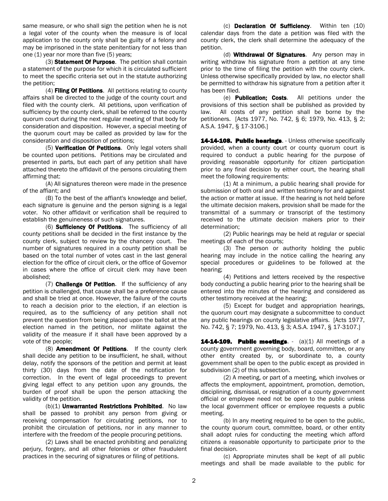same measure, or who shall sign the petition when he is not a legal voter of the county when the measure is of local application to the county only shall be guilty of a felony and may be imprisoned in the state penitentiary for not less than one (1) year nor more than five (5) years;

(3) Statement Of Purpose. The petition shall contain a statement of the purpose for which it is circulated sufficient to meet the specific criteria set out in the statute authorizing the petition;

(4) Filing Of Petitions. All petitions relating to county affairs shall be directed to the judge of the county court and filed with the county clerk. All petitions, upon verification of sufficiency by the county clerk, shall be referred to the county quorum court during the next regular meeting of that body for consideration and disposition. However, a special meeting of the quorum court may be called as provided by law for the consideration and disposition of petitions;

(5) Verification Of Petitions. Only legal voters shall be counted upon petitions. Petitions may be circulated and presented in parts, but each part of any petition shall have attached thereto the affidavit of the persons circulating them affirming that:

(A) All signatures thereon were made in the presence of the affiant; and

(B) To the best of the affiant's knowledge and belief, each signature is genuine and the person signing is a legal voter. No other affidavit or verification shall be required to establish the genuineness of such signatures.

(6) Sufficiency Of Petitions. The sufficiency of all county petitions shall be decided in the first instance by the county clerk, subject to review by the chancery court. The number of signatures required in a county petition shall be based on the total number of votes cast in the last general election for the office of circuit clerk, or the office of Governor in cases where the office of circuit clerk may have been abolished;

(7) Challenge Of Petition. If the sufficiency of any petition is challenged, that cause shall be a preference cause and shall be tried at once. However, the failure of the courts to reach a decision prior to the election, if an election is required, as to the sufficiency of any petition shall not prevent the question from being placed upon the ballot at the election named in the petition, nor militate against the validity of the measure if it shall have been approved by a vote of the people;

(8) Amendment Of Petitions. If the county clerk shall decide any petition to be insufficient, he shall, without delay, notify the sponsors of the petition and permit at least thirty (30) days from the date of the notification for correction. In the event of legal proceedings to prevent giving legal effect to any petition upon any grounds, the burden of proof shall be upon the person attacking the validity of the petition.

(b)(1) **Unwarranted Restrictions Prohibited**. No law shall be passed to prohibit any person from giving or receiving compensation for circulating petitions, nor to prohibit the circulation of petitions, nor in any manner to interfere with the freedom of the people procuring petitions.

(2) Laws shall be enacted prohibiting and penalizing perjury, forgery, and all other felonies or other fraudulent practices in the securing of signatures or filing of petitions.

(c) Declaration Of Sufficiency. Within ten (10) calendar days from the date a petition was filed with the county clerk, the clerk shall determine the adequacy of the petition.

(d) **Withdrawal Of Signatures**. Any person may in writing withdraw his signature from a petition at any time prior to the time of filing the petition with the county clerk. Unless otherwise specifically provided by law, no elector shall be permitted to withdraw his signature from a petition after it has been filed.

(e) Publication; Costs. All petitions under the provisions of this section shall be published as provided by law. All costs of any petition shall be borne by the petitioners. [Acts 1977, No. 742, § 6; 1979, No. 413, § 2; A.S.A. 1947, § 17-3106.]

14-14-108. Public hearings. - Unless otherwise specifically provided, when a county court or county quorum court is required to conduct a public hearing for the purpose of providing reasonable opportunity for citizen participation prior to any final decision by either court, the hearing shall meet the following requirements:

(1) At a minimum, a public hearing shall provide for submission of both oral and written testimony for and against the action or matter at issue. If the hearing is not held before the ultimate decision makers, provision shall be made for the transmittal of a summary or transcript of the testimony received to the ultimate decision makers prior to their determination;

(2) Public hearings may be held at regular or special meetings of each of the courts;

(3) The person or authority holding the public hearing may include in the notice calling the hearing any special procedures or guidelines to be followed at the hearing;

(4) Petitions and letters received by the respective body conducting a public hearing prior to the hearing shall be entered into the minutes of the hearing and considered as other testimony received at the hearing;

(5) Except for budget and appropriation hearings, the quorum court may designate a subcommittee to conduct any public hearings on county legislative affairs. [Acts 1977, No. 742, § 7; 1979, No. 413, § 3; A.S.A. 1947, § 17-3107.]

**14-14-109. Public meetings.**  $-$  (a)(1) All meetings of a county government governing body, board, committee, or any other entity created by, or subordinate to, a county government shall be open to the public except as provided in subdivision (2) of this subsection.

(2) A meeting, or part of a meeting, which involves or affects the employment, appointment, promotion, demotion, disciplining, dismissal, or resignation of a county government official or employee need not be open to the public unless the local government officer or employee requests a public meeting.

(b) In any meeting required to be open to the public, the county quorum court, committee, board, or other entity shall adopt rules for conducting the meeting which afford citizens a reasonable opportunity to participate prior to the final decision.

(c) Appropriate minutes shall be kept of all public meetings and shall be made available to the public for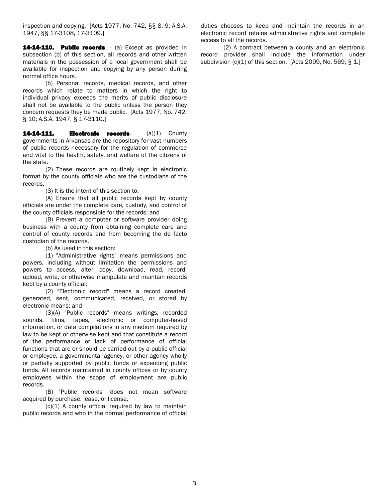inspection and copying. [Acts 1977, No. 742, §§ 8, 9; A.S.A. 1947, §§ 17-3108, 17-3109.]

14-14-110. Public records. - (a) Except as provided in subsection (b) of this section, all records and other written materials in the possession of a local government shall be available for inspection and copying by any person during normal office hours.

(b) Personal records, medical records, and other records which relate to matters in which the right to individual privacy exceeds the merits of public disclosure shall not be available to the public unless the person they concern requests they be made public. [Acts 1977, No. 742, § 10; A.S.A. 1947, § 17-3110.]

14-14-111. **Electronic records**. (a)(1) County governments in Arkansas are the repository for vast numbers of public records necessary for the regulation of commerce and vital to the health, safety, and welfare of the citizens of the state.

(2) These records are routinely kept in electronic format by the county officials who are the custodians of the records.

(3) It is the intent of this section to:

(A) Ensure that all public records kept by county officials are under the complete care, custody, and control of the county officials responsible for the records; and

(B) Prevent a computer or software provider doing business with a county from obtaining complete care and control of county records and from becoming the de facto custodian of the records.

(b) As used in this section:

(1) "Administrative rights" means permissions and powers, including without limitation the permissions and powers to access, alter, copy, download, read, record, upload, write, or otherwise manipulate and maintain records kept by a county official;

(2) "Electronic record" means a record created, generated, sent, communicated, received, or stored by electronic means; and

(3)(A) "Public records" means writings, recorded sounds, films, tapes, electronic or computer-based information, or data compilations in any medium required by law to be kept or otherwise kept and that constitute a record of the performance or lack of performance of official functions that are or should be carried out by a public official or employee, a governmental agency, or other agency wholly or partially supported by public funds or expending public funds. All records maintained in county offices or by county employees within the scope of employment are public records.

(B) "Public records" does not mean software acquired by purchase, lease, or license.

 $(c)(1)$  A county official required by law to maintain public records and who in the normal performance of official duties chooses to keep and maintain the records in an electronic record retains administrative rights and complete access to all the records.

(2) A contract between a county and an electronic record provider shall include the information under subdivision (c)(1) of this section. [Acts [2009, No. 569,](http://www.loislaw.com/pns/doclink.htp?dockey=22464052@ARACTS&alias=ARACTS&cite=Act+569+of+2009#PR0) § 1.]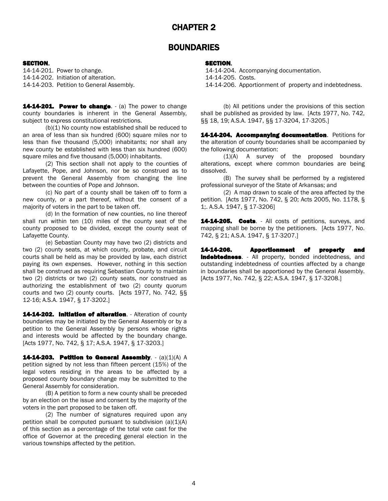## CHAPTER 2

### **BOUNDARIES**

#### SECTION. SECTION.

14-14-202. Initiation of alteration. 14-14-205. Costs. 14-14-203. Petition to General Assembly. 14-14-206. Apportionment of property and indebtedness.

14-14-201. Power to change. - (a) The power to change county boundaries is inherent in the General Assembly, subject to express constitutional restrictions.

(b)(1) No county now established shall be reduced to an area of less than six hundred (600) square miles nor to less than five thousand (5,000) inhabitants; nor shall any new county be established with less than six hundred (600) square miles and five thousand (5,000) inhabitants.

(2) This section shall not apply to the counties of Lafayette, Pope, and Johnson, nor be so construed as to prevent the General Assembly from changing the line between the counties of Pope and Johnson.

(c) No part of a county shall be taken off to form a new county, or a part thereof, without the consent of a majority of voters in the part to be taken off.

(d) In the formation of new counties, no line thereof shall run within ten (10) miles of the county seat of the county proposed to be divided, except the county seat of Lafayette County.

(e) Sebastian County may have two (2) districts and two (2) county seats, at which county, probate, and circuit courts shall be held as may be provided by law, each district paying its own expenses. However, nothing in this section shall be construed as requiring Sebastian County to maintain two (2) districts or two (2) county seats, nor construed as authorizing the establishment of two (2) county quorum courts and two (2) county courts. [Acts 1977, No. 742, §§ 12-16; A.S.A. 1947, § 17-3202.]

14-14-202. Initiation of alteration. - Alteration of county boundaries may be initiated by the General Assembly or by a petition to the General Assembly by persons whose rights and interests would be affected by the boundary change. [Acts 1977, No. 742, § 17; A.S.A. 1947, § 17-3203.]

**14-14-203. Petition to General Assembly**.  $-(a)(1)(A)$  A petition signed by not less than fifteen percent (15%) of the legal voters residing in the areas to be affected by a proposed county boundary change may be submitted to the General Assembly for consideration.

(B) A petition to form a new county shall be preceded by an election on the issue and consent by the majority of the voters in the part proposed to be taken off.

(2) The number of signatures required upon any petition shall be computed pursuant to subdivision  $(a)(1)(A)$ of this section as a percentage of the total vote cast for the office of Governor at the preceding general election in the various townships affected by the petition.

14-14-201. Power to change. 14-14-204. Accompanying documentation.

(b) All petitions under the provisions of this section shall be published as provided by law. [Acts 1977, No. 742, §§ 18, 19; A.S.A. 1947, §§ 17-3204, 17-3205.]

14-14-204. Accompanying documentation. Petitions for the alteration of county boundaries shall be accompanied by the following documentation:

(1)(A) A survey of the proposed boundary alterations, except where common boundaries are being dissolved.

(B) The survey shall be performed by a registered professional surveyor of the State of Arkansas; and

(2) A map drawn to scale of the area affected by the petition. [Acts 1977, No. 742, § 20; Acts 2005, No. 1178, § 1;. A.S.A. 1947, § 17-3206]

14-14-205. Costs. - All costs of petitions, surveys, and mapping shall be borne by the petitioners. [Acts 1977, No. 742, § 21; A.S.A. 1947, § 17-3207.]

14-14-206. Apportionment of property and **Indebtedness**. - All property, bonded indebtedness, and outstanding indebtedness of counties affected by a change in boundaries shall be apportioned by the General Assembly. [Acts 1977, No. 742, § 22; A.S.A. 1947, § 17-3208.]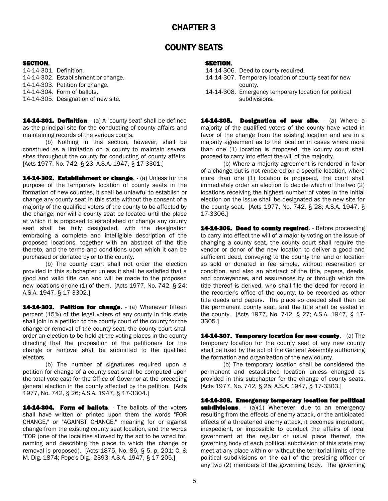## CHAPTER 3

## COUNTY SEATS

### SECTION. SECTION.

14-14-301. Definition. 14-14-306. Deed to county required. 14-14-303. Petition for change. county. 14-14-305. Designation of new site. Subdivisions. Subdivisions.

14-14-301. Definition. - (a) A "county seat" shall be defined as the principal site for the conducting of county affairs and maintaining records of the various courts.

(b) Nothing in this section, however, shall be construed as a limitation on a county to maintain several sites throughout the county for conducting of county affairs. [Acts 1977, No. 742, § 23; A.S.A. 1947, § 17-3301.]

14-14-302. Establishment or change. - (a) Unless for the purpose of the temporary location of county seats in the formation of new counties, it shall be unlawful to establish or change any county seat in this state without the consent of a majority of the qualified voters of the county to be affected by the change; nor will a county seat be located until the place at which it is proposed to established or change any county seat shall be fully designated, with the designation embracing a complete and intelligible description of the proposed locations, together with an abstract of the title thereto, and the terms and conditions upon which it can be purchased or donated by or to the county.

(b) The county court shall not order the election provided in this subchapter unless it shall be satisfied that a good and valid title can and will be made to the proposed new locations or one (1) of them. [Acts 1977, No. 742, § 24; A.S.A. 1947, § 17-3302.]

14-14-303. Petition for change. - (a) Whenever fifteen percent (15%) of the legal voters of any county in this state shall join in a petition to the county court of the county for the change or removal of the county seat, the county court shall order an election to be held at the voting places in the county directing that the proposition of the petitioners for the change or removal shall be submitted to the qualified electors.

(b) The number of signatures required upon a petition for change of a county seat shall be computed upon the total vote cast for the Office of Governor at the preceding general election in the county affected by the petition. [Acts 1977, No. 742, § 26; A.S.A. 1947, § 17-3304.]

14-14-304. Form of ballots. - The ballots of the voters shall have written or printed upon them the words "FOR CHANGE," or "AGAINST CHANGE," meaning for or against change from the existing county seat location, and the words "FOR (one of the localities allowed by the act to be voted for, naming and describing the place to which the change or removal is proposed). [Acts 1875, No. 86, § 5, p. 201; C. & M. Dig. 1874; Pope's Dig., 2393; A.S.A. 1947, § 17-205.]

- 
- 14-14-302. Establishment or change. 14-14-307. Temporary location of county seat for new
- 14-14-304. Form of ballots. 14-14-308. Emergency temporary location for political

14-14-305. Designation of new site. - (a) Where a majority of the qualified voters of the county have voted in favor of the change from the existing location and are in a majority agreement as to the location in cases where more than one (1) location is proposed, the county court shall proceed to carry into effect the will of the majority.

(b) Where a majority agreement is rendered in favor of a change but is not rendered on a specific location, where more than one (1) location is proposed, the court shall immediately order an election to decide which of the two (2) locations receiving the highest number of votes in the initial election on the issue shall be designated as the new site for the county seat. [Acts 1977, No. 742, § 28; A.S.A. 1947, § 17-3306.]

14-14-306. Deed to county required. - Before proceeding to carry into effect the will of a majority voting on the issue of changing a county seat, the county court shall require the vendor or donor of the new location to deliver a good and sufficient deed, conveying to the county the land or location so sold or donated in fee simple, without reservation or condition, and also an abstract of the title, papers, deeds, and conveyances, and assurances by or through which the title thereof is derived, who shall file the deed for record in the recorder's office of the county, to be recorded as other title deeds and papers. The place so deeded shall then be the permanent county seat, and the title shall be vested in the county. [Acts 1977, No. 742, § 27; A.S.A. 1947, § 17- 3305.]

14-14-307. Temporary location for new county. - (a) The temporary location for the county seat of any new county shall be fixed by the act of the General Assembly authorizing the formation and organization of the new county.

(b) The temporary location shall be considered the permanent and established location unless changed as provided in this subchapter for the change of county seats. [Acts 1977, No. 742, § 25; A.S.A. 1947, § 17-3303.]

14-14-308. Emergency temporary location for political subdivisions. - (a)(1) Whenever, due to an emergency resulting from the effects of enemy attack, or the anticipated effects of a threatened enemy attack, it becomes imprudent, inexpedient, or impossible to conduct the affairs of local government at the regular or usual place thereof, the governing body of each political subdivision of this state may meet at any place within or without the territorial limits of the political subdivisions on the call of the presiding officer or any two (2) members of the governing body. The governing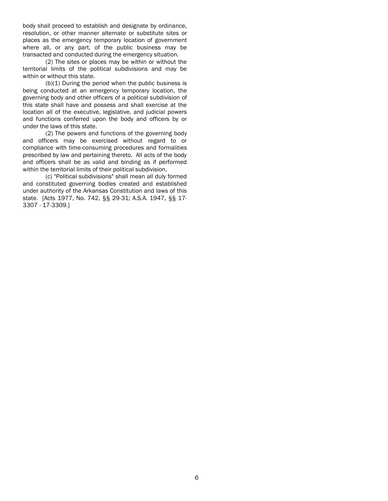body shall proceed to establish and designate by ordinance, resolution, or other manner alternate or substitute sites or places as the emergency temporary location of government where all, or any part, of the public business may be transacted and conducted during the emergency situation.

(2) The sites or places may be within or without the territorial limits of the political subdivisions and may be within or without this state.

 $(b)(1)$  During the period when the public business is being conducted at an emergency temporary location, the governing body and other officers of a political subdivision of this state shall have and possess and shall exercise at the location all of the executive, legislative, and judicial powers and functions conferred upon the body and officers by or under the laws of this state.

(2) The powers and functions of the governing body and officers may be exercised without regard to or compliance with time-consuming procedures and formalities prescribed by law and pertaining thereto. All acts of the body and officers shall be as valid and binding as if performed within the territorial limits of their political subdivision.

(c) "Political subdivisions" shall mean all duly formed and constituted governing bodies created and established under authority of the Arkansas Constitution and laws of this state. [Acts 1977, No. 742, §§ 29-31; A.S.A. 1947, §§ 17- 3307 - 17-3309.]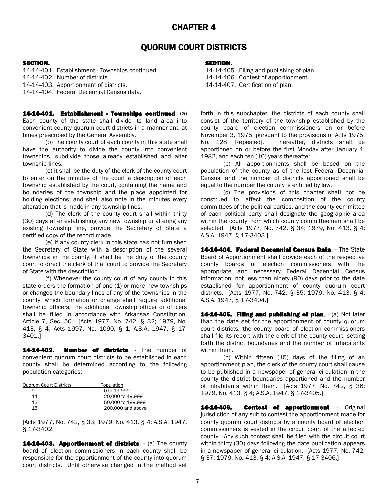## QUORUM COURT DISTRICTS

#### SECTION. SECTION ASSECTION ASSECTION.

14-14-401. Establishment - Townships continued. 14-14-405. Filing and publishing of plan.

14-14-404. Federal Decennial Census data.

14-14-401. Establishment - Townships continued. (a) Each county of the state shall divide its land area into convenient county quorum court districts in a manner and at times prescribed by the General Assembly.

(b) The county court of each county in this state shall have the authority to divide the county into convenient townships, subdivide those already established and alter township lines.

(c) It shall be the duty of the clerk of the county court to enter on the minutes of the court a description of each township established by the court, containing the name and boundaries of the township and the place appointed for holding elections; and shall also note in the minutes every alteration that is made in any township lines.

(d) The clerk of the county court shall within thirty (30) days after establishing any new township or altering any existing township line, provide the Secretary of State a certified copy of the record made.

(e) If any county clerk in this state has not furnished the Secretary of State with a description of the several townships in the county, it shall be the duty of the county court to direct the clerk of that court to provide the Secretary of State with the description.

(f) Whenever the county court of any county in this state orders the formation of one (1) or more new townships or changes the boundary lines of any of the townships in the county, which formation or change shall require additional township officers, the additional township officer or officers shall be filled in accordance with Arkansas Constitution, Article 7, Sec. 50. [Acts 1977, No. 742, § 32; 1979, No. 413, § 4; Acts 1997, No. 1090, § 1; A.S.A. 1947, § 17- 3401.]

14-14-402. Number of districts. - The number of convenient quorum court districts to be established in each county shall be determined according to the following population categories:

| Ouorum Court Districts | Population        |
|------------------------|-------------------|
| 9                      | 0 to 19.999       |
| 11                     | 20,000 to 49,999  |
| 13                     | 50,000 to 199,999 |
| 15                     | 200,000 and above |
|                        |                   |

[Acts 1977, No. 742, § 33; 1979, No. 413, § 4; A.S.A. 1947, § 17-3402.]

14-14-403. Apportionment of districts. - (a) The county board of election commissioners in each county shall be responsible for the apportionment of the county into quorum court districts. Until otherwise changed in the method set

14-14-402. Number of districts. 14-14-406. Contest of apportionment. 14-14-403. Apportionment of districts. 14-14-407. Certification of plan.

> forth in this subchapter, the districts of each county shall consist of the territory of the township established by the county board of election commissioners on or before November 3, 1975, pursuant to the provisions of Acts 1975, No. 128 [Repealed]. Thereafter, districts shall be apportioned on or before the first Monday after January 1, 1982, and each ten (10) years thereafter.

> (b) All apportionments shall be based on the population of the county as of the last Federal Decennial Census, and the number of districts apportioned shall be equal to the number the county is entitled by law.

> (c) The provisions of this chapter shall not be construed to affect the composition of the county committees of the political parties, and the county committee of each political party shall designate the geographic area within the county from which county committeemen shall be selected. [Acts 1977, No. 742, § 34; 1979, No. 413, § 4; A.S.A. 1947, § 17-3403.]

> 14-14-404. Federal Decennial Census Data. - The State Board of Apportionment shall provide each of the respective county boards of election commissioners with the appropriate and necessary Federal Decennial Census information, not less than ninety (90) days prior to the date established for apportionment of county quorum court districts. [Acts 1977, No. 742, § 35; 1979, No. 413, § 4; A.S.A. 1947, § 17-3404.]

> 14-14-405. Filing and publishing of plan. - (a) Not later than the date set for the apportionment of county quorum court districts, the county board of election commissioners shall file its report with the clerk of the county court, setting forth the district boundaries and the number of inhabitants within them.

> (b) Within fifteen (15) days of the filing of an apportionment plan, the clerk of the county court shall cause to be published in a newspaper of general circulation in the county the district boundaries apportioned and the number of inhabitants within them. [Acts 1977, No. 742, § 36; 1979, No. 413, § 4; A.S.A. 1947, § 17-3405.]

> 14-14-406. Contest of apportionment. - Original jurisdiction of any suit to contest the apportionment made for county quorum court districts by a county board of election commissioners is vested in the circuit court of the affected county. Any such contest shall be filed with the circuit court within thirty (30) days following the date publication appears in a newspaper of general circulation. [Acts 1977, No. 742, § 37; 1979, No. 413, § 4; A.S.A. 1947, § 17-3406.]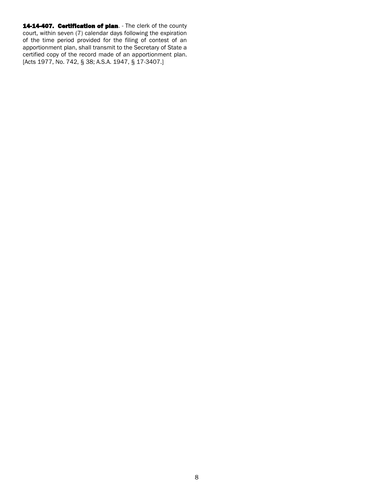14-14-407. Certification of plan. - The clerk of the county court, within seven (7) calendar days following the expiration of the time period provided for the filing of contest of an apportionment plan, shall transmit to the Secretary of State a certified copy of the record made of an apportionment plan. [Acts 1977, No. 742, § 38; A.S.A. 1947, § 17-3407.]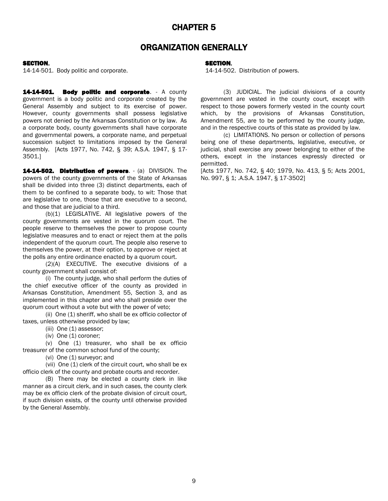## ORGANIZATION GENERALLY

#### SECTION. SECTION AND SECTION AND SECTION.

14-14-501. Body politic and corporate. 14-14-502. Distribution of powers.

14-14-501. Body politic and corporate. - A county government is a body politic and corporate created by the General Assembly and subject to its exercise of power. However, county governments shall possess legislative powers not denied by the Arkansas Constitution or by law. As a corporate body, county governments shall have corporate and governmental powers, a corporate name, and perpetual succession subject to limitations imposed by the General Assembly. [Acts 1977, No. 742, § 39; A.S.A. 1947, § 17- 3501.]

14-14-502. Distribution of powers. - (a) DIVISION. The powers of the county governments of the State of Arkansas shall be divided into three (3) distinct departments, each of them to be confined to a separate body, to wit: Those that are legislative to one, those that are executive to a second, and those that are judicial to a third.

(b)(1) LEGISLATIVE. All legislative powers of the county governments are vested in the quorum court. The people reserve to themselves the power to propose county legislative measures and to enact or reject them at the polls independent of the quorum court. The people also reserve to themselves the power, at their option, to approve or reject at the polls any entire ordinance enacted by a quorum court.

(2)(A) EXECUTIVE. The executive divisions of a county government shall consist of:

(i) The county judge, who shall perform the duties of the chief executive officer of the county as provided in Arkansas Constitution, Amendment 55, Section 3, and as implemented in this chapter and who shall preside over the quorum court without a vote but with the power of veto;

(ii) One (1) sheriff, who shall be ex officio collector of taxes, unless otherwise provided by law;

- (iii) One (1) assessor:
- (iv) One (1) coroner;

(v) One (1) treasurer, who shall be ex officio treasurer of the common school fund of the county;

(vi) One (1) surveyor; and

(vii) One (1) clerk of the circuit court, who shall be ex officio clerk of the county and probate courts and recorder.

(B) There may be elected a county clerk in like manner as a circuit clerk, and in such cases, the county clerk may be ex officio clerk of the probate division of circuit court, if such division exists, of the county until otherwise provided by the General Assembly.

(3) JUDICIAL. The judicial divisions of a county government are vested in the county court, except with respect to those powers formerly vested in the county court which, by the provisions of Arkansas Constitution, Amendment 55, are to be performed by the county judge, and in the respective courts of this state as provided by law.

(c) LIMITATIONS. No person or collection of persons being one of these departments, legislative, executive, or judicial, shall exercise any power belonging to either of the others, except in the instances expressly directed or permitted.

[Acts 1977, No. 742, § 40; 1979, No. 413, § 5; Acts 2001, No. 997, § 1; .A.S.A. 1947, § 17-3502]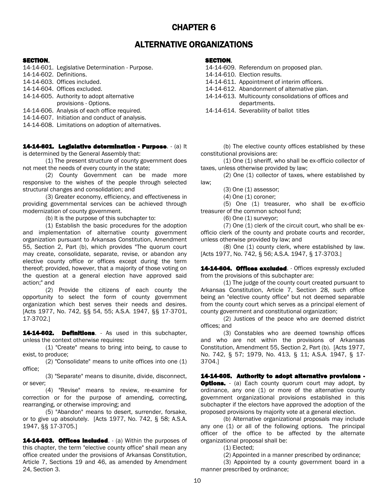## CHAPTER 6

## ALTERNATIVE ORGANIZATIONS

#### SECTION. And the section of the section of the section of the section of the section.

| 14-14-601. Legislative Determination - Purpose. |
|-------------------------------------------------|
| 14-14-602. Definitions.                         |
| 14-14-603. Offices included.                    |

- 
- 
- 
- 14-14-607. Initiation and conduct of analysis.
- 14-14-608. Limitations on adoption of alternatives.

## 14-14-601. Legislative determination - Purpose. - (a) It

is determined by the General Assembly that: (1) The present structure of county government does

not meet the needs of every county in the state;

(2) County Government can be made more responsive to the wishes of the people through selected structural changes and consolidation; and

(3) Greater economy, efficiency, and effectiveness in providing governmental services can be achieved through modernization of county government.

(b) It is the purpose of this subchapter to:

(1) Establish the basic procedures for the adoption and implementation of alternative county government organization pursuant to Arkansas Constitution, Amendment 55, Section 2, Part (b), which provides "The quorum court may create, consolidate, separate, revise, or abandon any elective county office or offices except during the term thereof; provided, however, that a majority of those voting on the question at a general election have approved said action;" and

(2) Provide the citizens of each county the opportunity to select the form of county government organization which best serves their needs and desires. [Acts 1977, No. 742, §§ 54, 55; A.S.A. 1947, §§ 17-3701, 17-3702.]

14-14-602. Definitions. - As used in this subchapter, unless the context otherwise requires:

(1) "Create" means to bring into being, to cause to exist, to produce;

(2) "Consolidate" means to unite offices into one (1) office;

(3) "Separate" means to disunite, divide, disconnect, or sever;

(4) "Revise" means to review, re-examine for correction or for the purpose of amending, correcting, rearranging, or otherwise improving; and

(5) "Abandon" means to desert, surrender, forsake, or to give up absolutely. [Acts 1977, No. 742, § 58; A.S.A. 1947, §§ 17-3705.]

14-14-603. Offices included. - (a) Within the purposes of this chapter, the term "elective county office" shall mean any office created under the provisions of Arkansas Constitution, Article 7, Sections 19 and 46, as amended by Amendment 24, Section 3.

- 14-14-609. Referendum on proposed plan.
- 14-14-610. Election results.
- 14-14-611. Appointment of interim officers.
- 14-14-604. Offices excluded. 14-14-612. Abandonment of alternative plan.
- 14-14-605. Authority to adopt alternative 14-14-613. Multicounty consolidations of offices and provisions - Options. **departments.** departments.
- 14-14-606. Analysis of each office required. 14-14-614. Severability of ballot titles

(b) The elective county offices established by these constitutional provisions are:

(1) One (1) sheriff, who shall be ex-officio collector of taxes, unless otherwise provided by law;

(2) One (1) collector of taxes, where established by law;

 $(3)$  One  $(1)$  assessor;

 $(4)$  One  $(1)$  coroner;

(5) One (1) treasurer, who shall be ex-officio treasurer of the common school fund;

(6) One (1) surveyor;

(7) One (1) clerk of the circuit court, who shall be exofficio clerk of the county and probate courts and recorder, unless otherwise provided by law; and

(8) One (1) county clerk, where established by law. [Acts 1977, No. 742, § 56; A.S.A. 1947, § 17-3703.]

14-14-604. Offices excluded. - Offices expressly excluded from the provisions of this subchapter are:

(1) The judge of the county court created pursuant to Arkansas Constitution, Article 7, Section 28, such office being an "elective county office" but not deemed separable from the county court which serves as a principal element of county government and constitutional organization;

(2) Justices of the peace who are deemed district offices; and

(3) Constables who are deemed township offices and who are not within the provisions of Arkansas Constitution, Amendment 55, Section 2, Part (b). [Acts 1977, No. 742, § 57; 1979, No. 413, § 11; A.S.A. 1947, § 17- 3704.]

14-14-605. Authority to adopt alternative provisions - **Options.** - (a) Each county quorum court may adopt, by ordinance, any one (1) or more of the alternative county government organizational provisions established in this subchapter if the electors have approved the adoption of the proposed provisions by majority vote at a general election.

(b) Alternative organizational proposals may include any one (1) or all of the following options. The principal officer of the office to be affected by the alternate organizational proposal shall be:

(1) Elected;

(2) Appointed in a manner prescribed by ordinance;

(3) Appointed by a county government board in a manner prescribed by ordinance;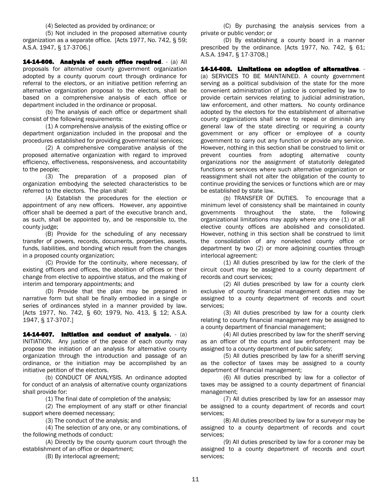(4) Selected as provided by ordinance; or

(5) Not included in the proposed alternative county organization as a separate office. [Acts 1977, No. 742, § 59; A.S.A. 1947, § 17-3706.]

14-14-606. Analysis of each office required. - (a) All proposals for alternative county government organization adopted by a county quorum court through ordinance for referral to the electors, or an initiative petition referring an alternative organization proposal to the electors, shall be based on a comprehensive analysis of each office or department included in the ordinance or proposal.

(b) The analysis of each office or department shall consist of the following requirements:

(1) A comprehensive analysis of the existing office or department organization included in the proposal and the procedures established for providing governmental services;

(2) A comprehensive comparative analysis of the proposed alternative organization with regard to improved efficiency, effectiveness, responsiveness, and accountability to the people;

(3) The preparation of a proposed plan of organization embodying the selected characteristics to be referred to the electors. The plan shall:

(A) Establish the procedures for the election or appointment of any new officers. However, any appointive officer shall be deemed a part of the executive branch and, as such, shall be appointed by, and be responsible to, the county judge;

(B) Provide for the scheduling of any necessary transfer of powers, records, documents, properties, assets, funds, liabilities, and bonding which result from the changes in a proposed county organization;

(C) Provide for the continuity, where necessary, of existing officers and offices, the abolition of offices or their change from elective to appointive status, and the making of interim and temporary appointments; and

(D) Provide that the plan may be prepared in narrative form but shall be finally embodied in a single or series of ordinances styled in a manner provided by law. [Acts 1977, No. 742, § 60; 1979, No. 413, § 12; A.S.A. 1947, § 17-3707.]

14-14-607. Initiation and conduct of analysis. - (a) INITIATION. Any justice of the peace of each county may propose the initiation of an analysis for alternative county organization through the introduction and passage of an ordinance, or the initiation may be accomplished by an initiative petition of the electors.

(b) CONDUCT OF ANALYSIS. An ordinance adopted for conduct of an analysis of alternative county organizations shall provide for:

(1) The final date of completion of the analysis;

(2) The employment of any staff or other financial support where deemed necessary;

(3) The conduct of the analysis; and

(4) The selection of any one, or any combinations, of the following methods of conduct:

(A) Directly by the county quorum court through the establishment of an office or department;

(B) By interlocal agreement;

(C) By purchasing the analysis services from a private or public vendor; or

(D) By establishing a county board in a manner prescribed by the ordinance. [Acts 1977, No. 742, § 61; A.S.A. 1947, § 17-3708.]

14-14-608. Limitations on adoption of alternatives. - (a) SERVICES TO BE MAINTAINED. A county government serving as a political subdivision of the state for the more convenient administration of justice is compelled by law to provide certain services relating to judicial administration, law enforcement, and other matters. No county ordinance adopted by the electors for the establishment of alternative county organizations shall serve to repeal or diminish any general law of the state directing or requiring a county government or any officer or employee of a county government to carry out any function or provide any service. However, nothing in this section shall be construed to limit or prevent counties from adopting alternative county organizations nor the assignment of statutorily delegated functions or services where such alternative organization or reassignment shall not alter the obligation of the county to continue providing the services or functions which are or may be established by state law.

(b) TRANSFER OF DUTIES. To encourage that a minimum level of consistency shall be maintained in county governments throughout the state, the following organizational limitations may apply where any one (1) or all elective county offices are abolished and consolidated. However, nothing in this section shall be construed to limit the consolidation of any nonelected county office or department by two (2) or more adjoining counties through interlocal agreement:

(1) All duties prescribed by law for the clerk of the circuit court may be assigned to a county department of records and court services;

(2) All duties prescribed by law for a county clerk exclusive of county financial management duties may be assigned to a county department of records and court services;

(3) All duties prescribed by law for a county clerk relating to county financial management may be assigned to a county department of financial management;

(4) All duties prescribed by law for the sheriff serving as an officer of the courts and law enforcement may be assigned to a county department of public safety;

(5) All duties prescribed by law for a sheriff serving as the collector of taxes may be assigned to a county department of financial management;

(6) All duties prescribed by law for a collector of taxes may be assigned to a county department of financial management;

(7) All duties prescribed by law for an assessor may be assigned to a county department of records and court services;

(8) All duties prescribed by law for a surveyor may be assigned to a county department of records and court services;

(9) All duties prescribed by law for a coroner may be assigned to a county department of records and court services;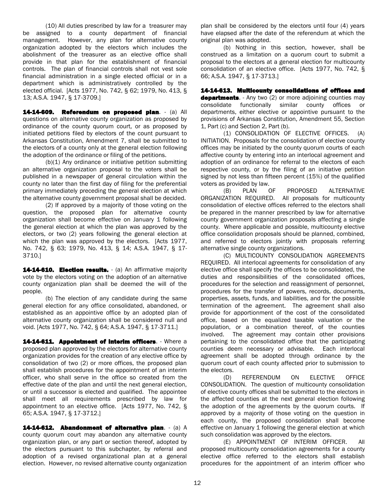(10) All duties prescribed by law for a treasurer may be assigned to a county department of financial management. However, any plan for alternative county organization adopted by the electors which includes the abolishment of the treasurer as an elective office shall provide in that plan for the establishment of financial controls. The plan of financial controls shall not vest sole financial administration in a single elected official or in a department which is administratively controlled by the elected official. [Acts 1977, No. 742, § 62; 1979, No. 413, § 13; A.S.A. 1947, § 17-3709.]

14-14-609. Referendum on proposed plan. - (a) All questions on alternative county organization as proposed by ordinance of the county quorum court, or as proposed by initiated petitions filed by electors of the count pursuant to Arkansas Constitution, Amendment 7, shall be submitted to the electors of a county only at the general election following the adoption of the ordinance or filing of the petitions.

(b)(1) Any ordinance or initiative petition submitting an alternative organization proposal to the voters shall be published in a newspaper of general circulation within the county no later than the first day of filing for the preferential primary immediately preceding the general election at which the alternative county government proposal shall be decided.

(2) If approved by a majority of those voting on the question, the proposed plan for alternative county organization shall become effective on January 1 following the general election at which the plan was approved by the electors, or two (2) years following the general election at which the plan was approved by the electors. [Acts 1977, No. 742, § 63; 1979, No. 413, § 14; A.S.A. 1947, § 17- 3710.]

14-14-610. Election results. - (a) An affirmative majority vote by the electors voting on the adoption of an alternative county organization plan shall be deemed the will of the people.

(b) The election of any candidate during the same general election for any office consolidated, abandoned, or established as an appointive office by an adopted plan of alternative county organization shall be considered null and void. [Acts 1977, No. 742, § 64; A.S.A. 1947, § 17-3711.]

14-14-611. Appointment of interim officers. - Where a proposed plan approved by the electors for alternative county organization provides for the creation of any elective office by consolidation of two (2) or more offices, the proposed plan shall establish procedures for the appointment of an interim officer, who shall serve in the office so created from the effective date of the plan and until the next general election, or until a successor is elected and qualified. The appointee shall meet all requirements prescribed by law for appointment to an elective office. [Acts 1977, No. 742, § 65; A.S.A. 1947, § 17-3712.]

14-14-612. Abandonment of alternative plan. - (a) A county quorum court may abandon any alternative county organization plan, or any part or section thereof, adopted by the electors pursuant to this subchapter, by referral and adoption of a revised organizational plan at a general election. However, no revised alternative county organization

plan shall be considered by the electors until four (4) years have elapsed after the date of the referendum at which the original plan was adopted.

(b) Nothing in this section, however, shall be construed as a limitation on a quorum court to submit a proposal to the electors at a general election for multicounty consolidation of an elective office. [Acts 1977, No. 742, § 66; A.S.A. 1947, § 17-3713.]

14-14-613. Multicounty consolidations of offices and departments. - Any two (2) or more adjoining counties may consolidate functionally similar county offices or departments, either elective or appointive pursuant to the provisions of Arkansas Constitution, Amendment 55, Section 1, Part (c) and Section 2, Part (b).

(1) CONSOLIDATION OF ELECTIVE OFFICES. (A) INITIATION. Proposals for the consolidation of elective county offices may be initiated by the county quorum courts of each affective county by entering into an interlocal agreement and adoption of an ordinance for referral to the electors of each respective county, or by the filing of an initiative petition signed by not less than fifteen percent (15%) of the qualified voters as provided by law.

(B) PLAN OF PROPOSED ALTERNATIVE ORGANIZATION REQUIRED. All proposals for multicounty consolidation of elective offices referred to the electors shall be prepared in the manner prescribed by law for alternative county government organization proposals affecting a single county. Where applicable and possible, multicounty elective office consolidation proposals should be planned, combined, and referred to electors jointly with proposals referring alternative single county organizations.

(C) MULTICOUNTY CONSOLIDATION AGREEMENTS REQUIRED. All interlocal agreements for consolidation of any elective office shall specify the offices to be consolidated, the duties and responsibilities of the consolidated offices, procedures for the selection and reassignment of personnel, procedures for the transfer of powers, records, documents, properties, assets, funds, and liabilities, and for the possible termination of the agreement. The agreement shall also provide for apportionment of the cost of the consolidated office, based on the equalized taxable valuation or the population, or a combination thereof, of the counties involved. The agreement may contain other provisions pertaining to the consolidated office that the participating counties deem necessary or advisable. Each interlocal agreement shall be adopted through ordinance by the quorum court of each county affected prior to submission to the electors.

(D) REFERENDUM ON ELECTIVE OFFICE CONSOLIDATION. The question of multicounty consolidation of elective county offices shall be submitted to the electors in the affected counties at the next general election following the adoption of the agreements by the quorum courts. If approved by a majority of those voting on the question in each county, the proposed consolidation shall become effective on January 1 following the general election at which such consolidation was approved by the electors.

(E) APPOINTMENT OF INTERIM OFFICER. All proposed multicounty consolidation agreements for a county elective office referred to the electors shall establish procedures for the appointment of an interim officer who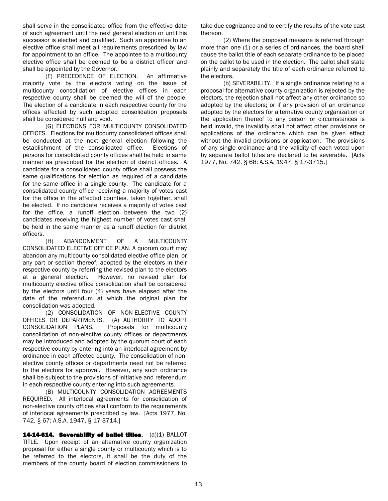shall serve in the consolidated office from the effective date of such agreement until the next general election or until his successor is elected and qualified. Such an appointee to an elective office shall meet all requirements prescribed by law for appointment to an office. The appointee to a multicounty elective office shall be deemed to be a district officer and shall be appointed by the Governor.

(F) PRECEDENCE OF ELECTION. An affirmative majority vote by the electors voting on the issue of multicounty consolidation of elective offices in each respective county shall be deemed the will of the people. The election of a candidate in each respective county for the offices affected by such adopted consolidation proposals shall be considered null and void.

(G) ELECTIONS FOR MULTICOUNTY CONSOLIDATED OFFICES. Elections for multicounty consolidated offices shall be conducted at the next general election following the establishment of the consolidated office. Elections of persons for consolidated county offices shall be held in same manner as prescribed for the election of district offices. A candidate for a consolidated county office shall possess the same qualifications for election as required of a candidate for the same office in a single county. The candidate for a consolidated county office receiving a majority of votes cast for the office in the affected counties, taken together, shall be elected. If no candidate receives a majority of votes cast for the office, a runoff election between the two (2) candidates receiving the highest number of votes cast shall be held in the same manner as a runoff election for district officers.

(H) ABANDONMENT OF A MULTICOUNTY CONSOLIDATED ELECTIVE OFFICE PLAN. A quorum court may abandon any multicounty consolidated elective office plan, or any part or section thereof, adopted by the electors in their respective county by referring the revised plan to the electors at a general election. However, no revised plan for multicounty elective office consolidation shall be considered by the electors until four (4) years have elapsed after the date of the referendum at which the original plan for consolidation was adopted.

(2) CONSOLIDATION OF NON-ELECTIVE COUNTY OFFICES OR DEPARTMENTS. (A) AUTHORITY TO ADOPT CONSOLIDATION PLANS. Proposals for multicounty consolidation of non-elective county offices or departments may be introduced and adopted by the quorum court of each respective county by entering into an interlocal agreement by ordinance in each affected county. The consolidation of nonelective county offices or departments need not be referred to the electors for approval. However, any such ordinance shall be subject to the provisions of initiative and referendum in each respective county entering into such agreements.

(B) MULTICOUNTY CONSOLIDATION AGREEMENTS REQUIRED. All interlocal agreements for consolidation of non-elective county offices shall conform to the requirements of interlocal agreements prescribed by law. [Acts 1977, No. 742, § 67; A.S.A. 1947, § 17-3714.]

14-14-614. Severability of ballot titles. - (a)(1) BALLOT TITLE. Upon receipt of an alternative county organization proposal for either a single county or multicounty which is to be referred to the electors, it shall be the duty of the members of the county board of election commissioners to take due cognizance and to certify the results of the vote cast thereon.

(2) Where the proposed measure is referred through more than one (1) or a series of ordinances, the board shall cause the ballot title of each separate ordinance to be placed on the ballot to be used in the election. The ballot shall state plainly and separately the title of each ordinance referred to the electors.

(b) SEVERABILITY. If a single ordinance relating to a proposal for alternative county organization is rejected by the electors, the rejection shall not affect any other ordinance so adopted by the electors; or if any provision of an ordinance adopted by the electors for alternative county organization or the application thereof to any person or circumstances is held invalid, the invalidity shall not affect other provisions or applications of the ordinance which can be given effect without the invalid provisions or application. The provisions of any single ordinance and the validity of each voted upon by separate ballot titles are declared to be severable. [Acts 1977, No. 742, § 68; A.S.A. 1947, § 17-3715.]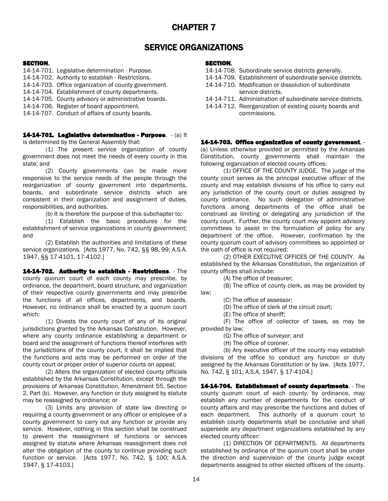## CHAPTER 7

## SERVICE ORGANIZATIONS

### SECTION. SECTION ASSECTION ASSECTION.

- 14-14-704. Establishment of county departments. The service districts of the service districts.
- 
- 

14-14-707. Conduct of affairs of county boards. commissions.

#### 14-14-701. Legislative determination - Purpose. - (a) It is determined by the General Assembly that:

(1) The present service organization of county government does not meet the needs of every county in this state; and

(2) County governments can be made more responsive to the service needs of the people through the reorganization of county government into departments, boards, and subordinate service districts which are consistent in their organization and assignment of duties, responsibilities, and authorities.

(b) It is therefore the purpose of this subchapter to:

(1) Establish the basic procedures for the establishment of service organizations in county government; and

(2) Establish the authorities and limitations of these service organizations. [Acts 1977, No. 742, §§ 98, 99; A.S.A. 1947, §§ 17-4101, 17-4102.]

14-14-702. Authority to establish - Restrictions. - The county quorum court of each county may prescribe, by ordinance, the department, board structure, and organization of their respective county governments and may prescribe the functions of all offices, departments, and boards. However, no ordinance shall be enacted by a quorum court which:

(1) Divests the county court of any of its original jurisdictions granted by the Arkansas Constitution. However, where any county ordinance establishing a department or board and the assignment of functions thereof interferes with the jurisdictions of the county court, it shall be implied that the functions and acts may be performed on order of the county court or proper order of superior courts on appeal;

(2) Alters the organization of elected county officials established by the Arkansas Constitution, except through the provisions of Arkansas Constitution, Amendment 55, Section 2, Part (b). However, any function or duty assigned by statute may be reassigned by ordinance; or

(3) Limits any provision of state law directing or requiring a county government or any officer or employee of a county government to carry out any function or provide any service. However, nothing in this section shall be construed to prevent the reassignment of functions or services assigned by statute where Arkansas reassignment does not alter the obligation of the county to continue providing such function or service. [Acts 1977, No. 742, § 100; A.S.A. 1947, § 17-4103.]

14-14-701. Legislative determination - Purpose. 14-14-708. Subordinate service districts generally.

- 14-14-702. Authority to establish Restrictions. 14-14-709. Establishment of subordinate service districts.
- 14-14-703. Office organization of county government. 14-14-710. Modification or dissolution of subordinate
- 14-14-705. County advisory or administrative boards. 14-14-711. Administration of subordinate service districts.
- 14-14-706. Register of board appointment. 14-14-712. Reorganization of existing county boards and

#### 14-14-703. Office organization of county government. -

(a) Unless otherwise provided or permitted by the Arkansas Constitution, county governments shall maintain the following organization of elected county offices:

(1) OFFICE OF THE COUNTY JUDGE. The judge of the county court serves as the principal executive officer of the county and may establish divisions of his office to carry out any jurisdiction of the county court or duties assigned by county ordinance. No such delegation of administrative functions among departments of the office shall be construed as limiting or delegating any jurisdiction of the county court. Further, the county court may appoint advisory committees to assist in the formulation of policy for any department of the office. However, confirmation by the county quorum court of advisory committees so appointed or the oath of office is not required;

(2) OTHER EXECUTIVE OFFICES OF THE COUNTY. As established by the Arkansas Constitution, the organization of county offices shall include:

(A) The office of treasurer;

(B) The office of county clerk, as may be provided by

law;

(C) The office of assessor;

(D) The office of clerk of the circuit court;

(E) The office of sheriff;

(F) The office of collector of taxes, as may be provided by law;

(G) The office of surveyor; and

(H) The office of coroner.

(b) Any executive officer of the county may establish divisions of the office to conduct any function or duty assigned by the Arkansas Constitution or by law. [Acts 1977, No. 742, § 101; A.S.A. 1947, § 17-4104.]

14-14-704. Establishment of county departments. - The county quorum court of each county, by ordinance, may establish any number of departments for the conduct of county affairs and may prescribe the functions and duties of each department. This authority of a quorum court to establish county departments shall be conclusive and shall supersede any department organizations established by any elected county officer:

(1) DIRECTION OF DEPARTMENTS. All departments established by ordinance of the quorum court shall be under the direction and supervision of the county judge except departments assigned to other elected officers of the county.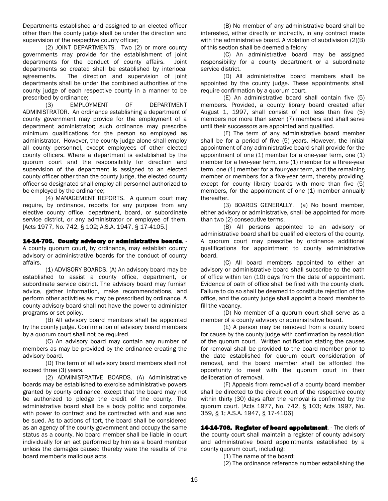Departments established and assigned to an elected officer other than the county judge shall be under the direction and supervision of the respective county officer;

(2) JOINT DEPARTMENTS. Two (2) or more county governments may provide for the establishment of joint departments for the conduct of county affairs. Joint departments so created shall be established by interlocal agreements. The direction and supervision of joint departments shall be under the combined authorities of the county judge of each respective county in a manner to be prescribed by ordinance;

(3) EMPLOYMENT OF DEPARTMENT ADMINISTRATOR. An ordinance establishing a department of county government may provide for the employment of a department administrator; such ordinance may prescribe minimum qualifications for the person so employed as administrator. However, the county judge alone shall employ all county personnel, except employees of other elected county officers. Where a department is established by the quorum court and the responsibility for direction and supervision of the department is assigned to an elected county officer other than the county judge, the elected county officer so designated shall employ all personnel authorized to be employed by the ordinance;

(4) MANAGEMENT REPORTS. A quorum court may require, by ordinance, reports for any purpose from any elective county office, department, board, or subordinate service district, or any administrator or employee of them. [Acts 1977, No. 742, § 102; A.S.A. 1947, § 17-4105.]

#### 14-14-705. County advisory or administrative boards. -

A county quorum court, by ordinance, may establish county advisory or administrative boards for the conduct of county affairs.

(1) ADVISORY BOARDS. (A) An advisory board may be established to assist a county office, department, or subordinate service district. The advisory board may furnish advice, gather information, make recommendations, and perform other activities as may be prescribed by ordinance. A county advisory board shall not have the power to administer programs or set policy.

(B) All advisory board members shall be appointed by the county judge. Confirmation of advisory board members by a quorum court shall not be required.

(C) An advisory board may contain any number of members as may be provided by the ordinance creating the advisory board.

(D) The term of all advisory board members shall not exceed three (3) years.

(2) ADMINISTRATIVE BOARDS. (A) Administrative boards may be established to exercise administrative powers granted by county ordinance, except that the board may not be authorized to pledge the credit of the county. The administrative board shall be a body politic and corporate, with power to contract and be contracted with and sue and be sued. As to actions of tort, the board shall be considered as an agency of the county government and occupy the same status as a county. No board member shall be liable in court individually for an act performed by him as a board member unless the damages caused thereby were the results of the board member's malicious acts.

(B) No member of any administrative board shall be interested, either directly or indirectly, in any contract made with the administrative board. A violation of subdivision (2)(B) of this section shall be deemed a felony

(C) An administrative board may be assigned responsibility for a county department or a subordinate service district.

(D) All administrative board members shall be appointed by the county judge. These appointments shall require confirmation by a quorum court.

(E) An administrative board shall contain five (5) members. Provided, a county library board created after August 1, 1997, shall consist of not less than five (5) members nor more than seven (7) members and shall serve until their successors are appointed and qualified.

(F) The term of any administrative board member shall be for a period of five (5) years. However, the initial appointment of any administrative board shall provide for the appointment of one (1) member for a one-year term, one (1) member for a two-year term, one (1) member for a three-year term, one (1) member for a four-year term, and the remaining member or members for a five-year term, thereby providing, except for county library boards with more than five (5) members, for the appointment of one (1) member annually thereafter.

(3) BOARDS GENERALLY. (a) No board member, either advisory or administrative, shall be appointed for more than two (2) consecutive terms.

(B) All persons appointed to an advisory or administrative board shall be qualified electors of the county. A quorum court may prescribe by ordinance additional qualifications for appointment to county administrative board.

(C) All board members appointed to either an advisory or administrative board shall subscribe to the oath of office within ten (10) days from the date of appointment. Evidence of oath of office shall be filed with the county clerk. Failure to do so shall be deemed to constitute rejection of the office, and the county judge shall appoint a board member to fill the vacancy.

(D) No member of a quorum court shall serve as a member of a county advisory or administrative board.

(E) A person may be removed from a county board for cause by the county judge with confirmation by resolution of the quorum court. Written notification stating the causes for removal shall be provided to the board member prior to the date established for quorum court consideration of removal, and the board member shall be afforded the opportunity to meet with the quorum court in their deliberation of removal.

(F) Appeals from removal of a county board member shall be directed to the circuit court of the respective county within thirty (30) days after the removal is confirmed by the quorum court. [Acts 1977, No. 742, § 103; Acts 1997, No. 359, § 1; A.S.A. 1947, § 17-4106]

14-14-706. Register of board appointment. - The clerk of the county court shall maintain a register of county advisory and administrative board appointments established by a county quorum court, including:

(1) The name of the board;

(2) The ordinance reference number establishing the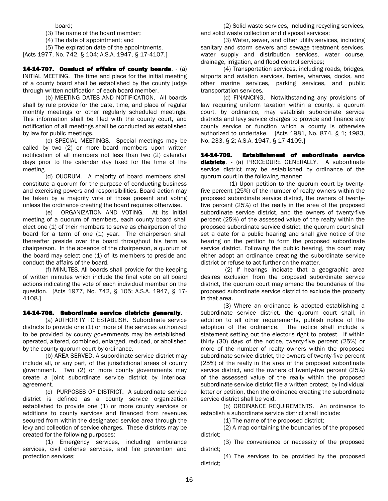board;

(3) The name of the board member;

(4) The date of appointment; and

(5) The expiration date of the appointments.

[Acts 1977, No. 742, § 104; A.S.A. 1947, § 17-4107.]

### 14-14-707. Conduct of affairs of county boards. - (a)

INITIAL MEETING. The time and place for the initial meeting of a county board shall be established by the county judge through written notification of each board member.

(b) MEETING DATES AND NOTIFICATION. All boards shall by rule provide for the date, time, and place of regular monthly meetings or other regularly scheduled meetings. This information shall be filed with the county court, and notification of all meetings shall be conducted as established by law for public meetings.

(c) SPECIAL MEETINGS. Special meetings may be called by two (2) or more board members upon written notification of all members not less than two (2) calendar days prior to the calendar day fixed for the time of the meeting.

(d) QUORUM. A majority of board members shall constitute a quorum for the purpose of conducting business and exercising powers and responsibilities. Board action may be taken by a majority vote of those present and voting unless the ordinance creating the board requires otherwise.

(e) ORGANIZATION AND VOTING. At its initial meeting of a quorum of members, each county board shall elect one (1) of their members to serve as chairperson of the board for a term of one (1) year. The chairperson shall thereafter preside over the board throughout his term as chairperson. In the absence of the chairperson, a quorum of the board may select one (1) of its members to preside and conduct the affairs of the board.

(f) MINUTES. All boards shall provide for the keeping of written minutes which include the final vote on all board actions indicating the vote of each individual member on the question. [Acts 1977, No. 742, § 105; A.S.A. 1947, § 17- 4108.]

### 14-14-708. Subordinate service districts generally. -

(a) AUTHORITY TO ESTABLISH. Subordinate service districts to provide one (1) or more of the services authorized to be provided by county governments may be established, operated, altered, combined, enlarged, reduced, or abolished by the county quorum court by ordinance.

(b) AREA SERVED. A subordinate service district may include all, or any part, of the jurisdictional areas of county government. Two (2) or more county governments may create a joint subordinate service district by interlocal agreement.

(c) PURPOSES OF DISTRICT. A subordinate service district is defined as a county service organization established to provide one (1) or more county services or additions to county services and financed from revenues secured from within the designated service area through the levy and collection of service charges. These districts may be created for the following purposes:

(1) Emergency services, including ambulance services, civil defense services, and fire prevention and protection services;

(2) Solid waste services, including recycling services, and solid waste collection and disposal services;

(3) Water, sewer, and other utility services, including sanitary and storm sewers and sewage treatment services, water supply and distribution services, water course, drainage, irrigation, and flood control services;

(4) Transportation services, including roads, bridges, airports and aviation services, ferries, wharves, docks, and other marine services, parking services, and public transportation services.

(d) FINANCING. Notwithstanding any provisions of law requiring uniform taxation within a county, a quorum court, by ordinance, may establish subordinate service districts and levy service charges to provide and finance any county service or function which a county is otherwise authorized to undertake. [Acts 1981, No. 874, § 1; 1983, No. 233, § 2; A.S.A. 1947, § 17-4109.]

14-14-709. Establishment of subordinate service **districts**. - (a) PROCEDURE GENERALLY. A subordinate service district may be established by ordinance of the quorum court in the following manner:

(1) Upon petition to the quorum court by twentyfive percent (25%) of the number of realty owners within the proposed subordinate service district, the owners of twentyfive percent (25%) of the realty in the area of the proposed subordinate service district, and the owners of twenty-five percent (25%) of the assessed value of the realty within the proposed subordinate service district, the quorum court shall set a date for a public hearing and shall give notice of the hearing on the petition to form the proposed subordinate service district. Following the public hearing, the court may either adopt an ordinance creating the subordinate service district or refuse to act further on the matter.

(2) If hearings indicate that a geographic area desires exclusion from the proposed subordinate service district, the quorum court may amend the boundaries of the proposed subordinate service district to exclude the property in that area.

(3) Where an ordinance is adopted establishing a subordinate service district, the quorum court shall, in addition to all other requirements, publish notice of the adoption of the ordinance. The notice shall include a statement setting out the elector's right to protest. If within thirty (30) days of the notice, twenty-five percent (25%) or more of the number of realty owners within the proposed subordinate service district, the owners of twenty-five percent (25%) of the realty in the area of the proposed subordinate service district, and the owners of twenty-five percent (25%) of the assessed value of the realty within the proposed subordinate service district file a written protest, by individual letter or petition, then the ordinance creating the subordinate service district shall be void.

(b) ORDINANCE REQUIREMENTS. An ordinance to establish a subordinate service district shall include:

(1) The name of the proposed district;

(2) A map containing the boundaries of the proposed district;

(3) The convenience or necessity of the proposed district;

(4) The services to be provided by the proposed district;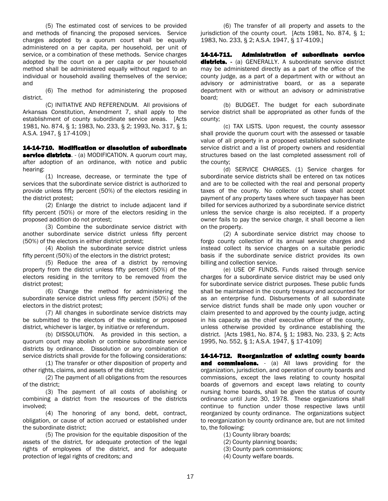(5) The estimated cost of services to be provided and methods of financing the proposed services. Service charges adopted by a quorum court shall be equally administered on a per capita, per household, per unit of service, or a combination of these methods. Service charges adopted by the court on a per capita or per household method shall be administered equally without regard to an individual or household availing themselves of the service; and

(6) The method for administering the proposed district.

(C) INITIATIVE AND REFERENDUM. All provisions of Arkansas Constitution, Amendment 7, shall apply to the establishment of county subordinate service areas. [Acts 1981, No. 874, § 1; 1983, No. 233, § 2; 1993, No. 317, § 1; A.S.A. 1947, § 17-4109.]

14-14-710. Modification or dissolution of subordinate service districts. - (a) MODIFICATION. A quorum court may, after adoption of an ordinance, with notice and public hearing:

(1) Increase, decrease, or terminate the type of services that the subordinate service district is authorized to provide unless fifty percent (50%) of the electors residing in the district protest;

(2) Enlarge the district to include adjacent land if fifty percent (50%) or more of the electors residing in the proposed addition do not protest;

(3) Combine the subordinate service district with another subordinate service district unless fifty percent (50%) of the electors in either district protest;

(4) Abolish the subordinate service district unless fifty percent (50%) of the electors in the district protest;

(5) Reduce the area of a district by removing property from the district unless fifty percent (50%) of the electors residing in the territory to be removed from the district protest;

(6) Change the method for administering the subordinate service district unless fifty percent (50%) of the electors in the district protest;

(7) All changes in subordinate service districts may be submitted to the electors of the existing or proposed district, whichever is larger, by initiative or referendum.

(b) DISSOLUTION. As provided in this section, a quorum court may abolish or combine subordinate service districts by ordinance. Dissolution or any combination of service districts shall provide for the following considerations:

(1) The transfer or other disposition of property and other rights, claims, and assets of the district;

(2) The payment of all obligations from the resources of the district;

(3) The payment of all costs of abolishing or combining a district from the resources of the districts involved;

(4) The honoring of any bond, debt, contract, obligation, or cause of action accrued or established under the subordinate district;

(5) The provision for the equitable disposition of the assets of the district, for adequate protection of the legal rights of employees of the district, and for adequate protection of legal rights of creditors; and

(6) The transfer of all property and assets to the jurisdiction of the county court. [Acts 1981, No. 874, § 1; 1983, No. 233, § 2; A.S.A. 1947, § 17-4109.]

14-14-711. Administration of subordinate service districts. - (a) GENERALLY. A subordinate service district may be administered directly as a part of the office of the county judge, as a part of a department with or without an advisory or administrative board, or as a separate department with or without an advisory or administrative board;

(b) BUDGET. The budget for each subordinate service district shall be appropriated as other funds of the county;

(c) TAX LISTS. Upon request, the county assessor shall provide the quorum court with the assessed or taxable value of all property in a proposed established subordinate service district and a list of property owners and residential structures based on the last completed assessment roll of the county;

(d) SERVICE CHARGES. (1) Service charges for subordinate service districts shall be entered on tax notices and are to be collected with the real and personal property taxes of the county. No collector of taxes shall accept payment of any property taxes where such taxpayer has been billed for services authorized by a subordinate service district unless the service charge is also receipted. If a property owner fails to pay the service charge, it shall become a lien on the property.

(2) A subordinate service district may choose to forgo county collection of its annual service charges and instead collect its service charges on a suitable periodic basis if the subordinate service district provides its own billing and collection service.

(e) USE OF FUNDS. Funds raised through service charges for a subordinate service district may be used only for subordinate service district purposes. These public funds shall be maintained in the county treasury and accounted for as an enterprise fund. Disbursements of all subordinate service district funds shall be made only upon voucher or claim presented to and approved by the county judge, acting in his capacity as the chief executive officer of the county, unless otherwise provided by ordinance establishing the district. [Acts 1981, No. 874, § 1; 1983, No. 233, § 2; Acts 1995, No. 552, § 1; A.S.A. 1947, § 17-4109]

14-14-712. Reorganization of existing county boards and commissions. - (a) All laws providing for the organization, jurisdiction, and operation of county boards and commissions, except the laws relating to county hospital boards of governors and except laws relating to county nursing home boards, shall be given the status of county ordinance until June 30, 1978. These organizations shall continue to function under those respective laws until reorganized by county ordinance. The organizations subject to reorganization by county ordinance are, but are not limited to, the following:

- (1) County library boards;
- (2) County planning boards;
- (3) County park commissions;
- (4) County welfare boards.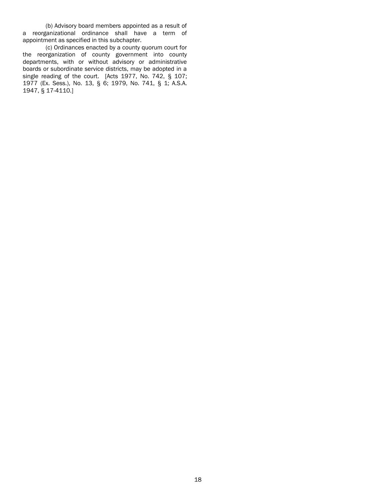(b) Advisory board members appointed as a result of a reorganizational ordinance shall have a term of appointment as specified in this subchapter.

(c) Ordinances enacted by a county quorum court for the reorganization of county government into county departments, with or without advisory or administrative boards or subordinate service districts, may be adopted in a single reading of the court. [Acts 1977, No. 742, § 107; 1977 (Ex. Sess.), No. 13, § 6; 1979, No. 741, § 1; A.S.A. 1947, § 17-4110.]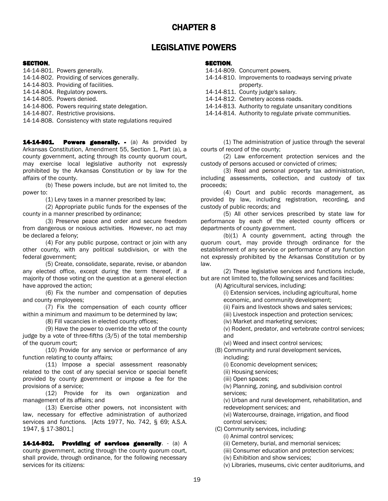## CHAPTER 8

## LEGISLATIVE POWERS

### SECTION. SECTION.

- 14-14-801. Powers generally. 14-14-809. Concurrent powers.
- 14-14-803. Providing of facilities. property.
- 
- 
- 
- 
- 
- 14-14-808. Consistency with state regulations required

14-14-801. Powers generally. - (a) As provided by Arkansas Constitution, Amendment 55, Section 1, Part (a), a county government, acting through its county quorum court, may exercise local legislative authority not expressly prohibited by the Arkansas Constitution or by law for the affairs of the county.

(b) These powers include, but are not limited to, the power to:

(1) Levy taxes in a manner prescribed by law;

(2) Appropriate public funds for the expenses of the county in a manner prescribed by ordinance;

(3) Preserve peace and order and secure freedom from dangerous or noxious activities. However, no act may be declared a felony;

(4) For any public purpose, contract or join with any other county, with any political subdivision, or with the federal government;

(5) Create, consolidate, separate, revise, or abandon any elected office, except during the term thereof, if a majority of those voting on the question at a general election have approved the action;

(6) Fix the number and compensation of deputies and county employees;

(7) Fix the compensation of each county officer within a minimum and maximum to be determined by law;

(8) Fill vacancies in elected county offices;

(9) Have the power to override the veto of the county judge by a vote of three-fifths (3/5) of the total membership of the quorum court;

(10) Provide for any service or performance of any function relating to county affairs;

(11) Impose a special assessment reasonably related to the cost of any special service or special benefit provided by county government or impose a fee for the provisions of a service;

(12) Provide for its own organization and management of its affairs; and

(13) Exercise other powers, not inconsistent with law, necessary for effective administration of authorized services and functions. [Acts 1977, No. 742, § 69; A.S.A. 1947, § 17-3801.]

14-14-802. Providing of services generally. - (a) A county government, acting through the county quorum court, shall provide, through ordinance, for the following necessary services for its citizens:

- 
- 14-14-802. Providing of services generally. 14-14-810. Improvements to roadways serving private
- 14-14-804. Regulatory powers. 14-14-811. County judge's salary.
- 14-14-805. Powers denied. 14-14-812. Cemetery access roads.
- 14-14-806. Powers requiring state delegation. 14-14-813. Authority to regulate unsanitary conditions
- 14-14-807. Restrictive provisions. 14-14-814. Authority to regulate private communities.

(1) The administration of justice through the several courts of record of the county;

(2) Law enforcement protection services and the custody of persons accused or convicted of crimes;

(3) Real and personal property tax administration, including assessments, collection, and custody of tax proceeds;

(4) Court and public records management, as provided by law, including registration, recording, and custody of public records; and

(5) All other services prescribed by state law for performance by each of the elected county officers or departments of county government.

(b)(1) A county government, acting through the quorum court, may provide through ordinance for the establishment of any service or performance of any function not expressly prohibited by the Arkansas Constitution or by law.

(2) These legislative services and functions include, but are not limited to, the following services and facilities:

(A) Agricultural services, including:

(i) Extension services, including agricultural, home economic, and community development;

(ii) Fairs and livestock shows and sales services;

- (iii) Livestock inspection and protection services;
- (iv) Market and marketing services;

(v) Rodent, predator, and vertebrate control services; and

(vi) Weed and insect control services;

(B) Community and rural development services, including:

(i) Economic development services;

- (ii) Housing services;
- (iii) Open spaces;

(iv) Planning, zoning, and subdivision control services;

(v) Urban and rural development, rehabilitation, and redevelopment services; and

(vi) Watercourse, drainage, irrigation, and flood control services;

(C) Community services, including:

(i) Animal control services;

(ii) Cemetery, burial, and memorial services;

(iii) Consumer education and protection services;

(iv) Exhibition and show services;

(v) Libraries, museums, civic center auditoriums, and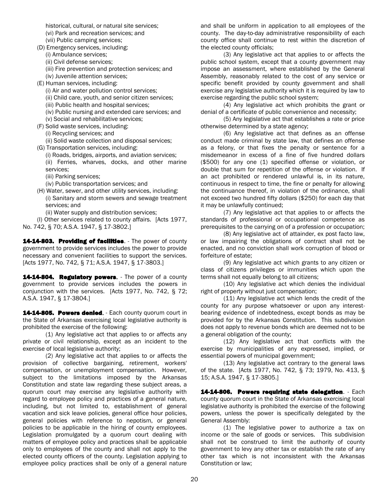historical, cultural, or natural site services; (vi) Park and recreation services; and (vii) Public camping services;

(D) Emergency services, including:

(i) Ambulance services;

- (ii) Civil defense services;
- (iii) Fire prevention and protection services; and

(iv) Juvenile attention services;

- (E) Human services, including:
	- (i) Air and water pollution control services;
	- (ii) Child care, youth, and senior citizen services;
	- (iii) Public health and hospital services;
	- (iv) Public nursing and extended care services; and
	- (v) Social and rehabilitative services;
- (F) Solid waste services, including:
	- (i) Recycling services; and
	- (ii) Solid waste collection and disposal services;
- (G) Transportation services, including:
	- (i) Roads, bridges, airports, and aviation services;

(ii) Ferries, wharves, docks, and other marine services;

- (iii) Parking services;
- (iv) Public transportation services; and
- (H) Water, sewer, and other utility services, including: (i) Sanitary and storm sewers and sewage treatment services; and
	- (ii) Water supply and distribution services;

(I) Other services related to county affairs. [Acts 1977, No. 742, § 70; A.S.A. 1947, § 17-3802.]

14-14-803. Providing of facilities. - The power of county government to provide services includes the power to provide necessary and convenient facilities to support the services. [Acts 1977, No. 742, § 71; A.S.A. 1947, § 17-3803.]

14-14-804. Regulatory powers. - The power of a county government to provide services includes the powers in conjunction with the services. [Acts 1977, No. 742, § 72; A.S.A. 1947, § 17-3804.]

14-14-805. Powers denied. - Each county quorum court in the State of Arkansas exercising local legislative authority is prohibited the exercise of the following:

(1) Any legislative act that applies to or affects any private or civil relationship, except as an incident to the exercise of local legislative authority;

(2) Any legislative act that applies to or affects the provision of collective bargaining, retirement, workers' compensation, or unemployment compensation. However, subject to the limitations imposed by the Arkansas Constitution and state law regarding these subject areas, a quorum court may exercise any legislative authority with regard to employee policy and practices of a general nature, including, but not limited to, establishment of general vacation and sick leave policies, general office hour policies, general policies with reference to nepotism, or general policies to be applicable in the hiring of county employees. Legislation promulgated by a quorum court dealing with matters of employee policy and practices shall be applicable only to employees of the county and shall not apply to the elected county officers of the county. Legislation applying to employee policy practices shall be only of a general nature

and shall be uniform in application to all employees of the county. The day-to-day administrative responsibility of each county office shall continue to rest within the discretion of the elected county officials;

(3) Any legislative act that applies to or affects the public school system, except that a county government may impose an assessment, where established by the General Assembly, reasonably related to the cost of any service or specific benefit provided by county government and shall exercise any legislative authority which it is required by law to exercise regarding the public school system;

(4) Any legislative act which prohibits the grant or denial of a certificate of public convenience and necessity;

(5) Any legislative act that establishes a rate or price otherwise determined by a state agency;

(6) Any legislative act that defines as an offense conduct made criminal by state law, that defines an offense as a felony, or that fixes the penalty or sentence for a misdemeanor in excess of a fine of five hundred dollars (\$500) for any one (1) specified offense or violation, or double that sum for repetition of the offense or violation. If an act prohibited or rendered unlawful is, in its nature, continuous in respect to time, the fine or penalty for allowing the continuance thereof, in violation of the ordinance, shall not exceed two hundred fifty dollars (\$250) for each day that it may be unlawfully continued;

(7) Any legislative act that applies to or affects the standards of professional or occupational competence as prerequisites to the carrying on of a profession or occupation;

(8) Any legislative act of attainder, ex post facto law, or law impairing the obligations of contract shall not be enacted, and no conviction shall work corruption of blood or forfeiture of estate;

(9) Any legislative act which grants to any citizen or class of citizens privileges or immunities which upon the terms shall not equally belong to all citizens;

(10) Any legislative act which denies the individual right of property without just compensation;

(11) Any legislative act which lends the credit of the county for any purpose whatsoever or upon any interestbearing evidence of indebtedness, except bonds as may be provided for by the Arkansas Constitution. This subdivision does not apply to revenue bonds which are deemed not to be a general obligation of the county;

(12) Any legislative act that conflicts with the exercise by municipalities of any expressed, implied, or essential powers of municipal government;

(13) Any legislative act contrary to the general laws of the state. [Acts 1977, No. 742, § 73; 1979, No. 413, § 15; A.S.A. 1947, § 17-3805.]

14-14-806. Powers requiring state delegation. - Each county quorum court in the State of Arkansas exercising local legislative authority is prohibited the exercise of the following powers, unless the power is specifically delegated by the General Assembly:

(1) The legislative power to authorize a tax on income or the sale of goods or services. This subdivision shall not be construed to limit the authority of county government to levy any other tax or establish the rate of any other tax which is not inconsistent with the Arkansas Constitution or law;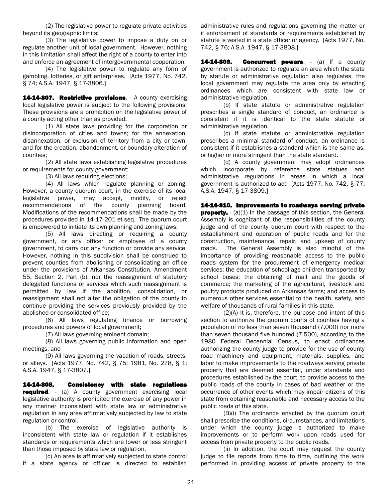(2) The legislative power to regulate private activities beyond its geographic limits;

(3) The legislative power to impose a duty on or regulate another unit of local government. However, nothing in this limitation shall affect the right of a county to enter into and enforce an agreement of intergovernmental cooperation;

(4) The legislative power to regulate any form of gambling, lotteries, or gift enterprises. [Acts 1977, No. 742, § 74; A.S.A. 1947, § 17-3806.]

14-14-807. Restrictive provisions. - A county exercising local legislative power is subject to the following provisions. These provisions are a prohibition on the legislative power of a county acting other than as provided:

(1) All state laws providing for the corporation or disincorporation of cities and towns; for the annexation, disannexation, or exclusion of territory from a city or town; and for the creation, abandonment, or boundary alteration of counties;

(2) All state laws establishing legislative procedures or requirements for county government;

(3) All laws requiring elections;

(4) All laws which regulate planning or zoning. However, a county quorum court, in the exercise of its local legislative power, may accept, modify, or reject recommendations of the county planning board. Modifications of the recommendations shall be made by the procedures provided in 14-17-201 et seq. The quorum court is empowered to initiate its own planning and zoning laws;

(5) All laws directing or requiring a county government, or any officer or employee of a county government, to carry out any function or provide any service. However, nothing in this subdivision shall be construed to prevent counties from abolishing or consolidating an office under the provisions of Arkansas Constitution, Amendment 55, Section 2, Part (b), nor the reassignment of statutory delegated functions or services which such reassignment is permitted by law if the abolition, consolidation, or reassignment shall not alter the obligation of the county to continue providing the services previously provided by the abolished or consolidated office;

(6) All laws regulating finance or borrowing procedures and powers of local government;

(7) All laws governing eminent domain;

(8) All laws governing public information and open meetings; and

(9) All laws governing the vacation of roads, streets, or alleys. [Acts 1977, No. 742, § 75; 1981, No. 278, § 1; A.S.A. 1947, § 17-3807.]

14-14-808. Consistency with state regulations required. - (a) A county government exercising local legislative authority is prohibited the exercise of any power in any manner inconsistent with state law or administrative regulation in any area affirmatively subjected by law to state regulation or control.

(b) The exercise of legislative authority is inconsistent with state law or regulation if it establishes standards or requirements which are lower or less stringent than those imposed by state law or regulation.

(c) An area is affirmatively subjected to state control if a state agency or officer is directed to establish administrative rules and regulations governing the matter or if enforcement of standards or requirements established by statute is vested in a state officer or agency. [Acts 1977, No. 742, § 76; A.S.A. 1947, § 17-3808.]

14-14-809. **Concurrent powers**. - (a) If a county government is authorized to regulate an area which the state by statute or administrative regulation also regulates, the local government may regulate the area only by enacting ordinances which are consistent with state law or administrative regulation.

(b) If state statute or administrative regulation prescribes a single standard of conduct, an ordinance is consistent if it is identical to the state statute or administrative regulation.

(c) If state statute or administrative regulation prescribes a minimal standard of conduct, an ordinance is consistent if it establishes a standard which is the same as, or higher or more stringent than the state standard.

(d) A county government may adopt ordinances which incorporate by reference state statues and administrative regulations in areas in which a local government is authorized to act. [Acts 1977, No. 742, § 77; A.S.A. 1947, § 17-3809.]

14-14-810. Improvements to roadways serving private

**property.**  $-(a)(1)$  In the passage of this section, the General Assembly is cognizant of the responsibilities of the county judge and of the county quorum court with respect to the establishment and operation of public roads and for the construction, maintenance, repair, and upkeep of county roads. The General Assembly is also mindful of the importance of providing reasonable access to the public roads system for the procurement of emergency medical services; the education of school-age children transported by school buses; the obtaining of mail and the goods of commerce; the marketing of the agricultural, livestock and poultry products produced on Arkansas farms; and access to numerous other services essential to the health, safety, and welfare of thousands of rural families in this state.

(2)(A) It is, therefore, the purpose and intent of this section to authorize the quorum courts of counties having a population of no less than seven thousand (7,000) nor more than seven thousand five hundred (7,500), according to the 1980 Federal Decennial Census, to enact ordinances authorizing the county judge to provide for the use of county road machinery and equipment, materials, supplies, and labor to make improvements to the roadways serving private property that are deemed essential, under standards and procedures established by the court, to provide access to the public roads of the county in cases of bad weather or the occurrence of other events which may impair citizens of this state from obtaining reasonable and necessary access to the public roads of this state.

(B)(i) The ordinance enacted by the quorum court shall prescribe the conditions, circumstances, and limitations under which the county judge is authorized to make improvements or to perform work upon roads used for access from private property to the public roads.

(ii) In addition, the court may request the county judge to file reports from time to time, outlining the work performed in providing access of private property to the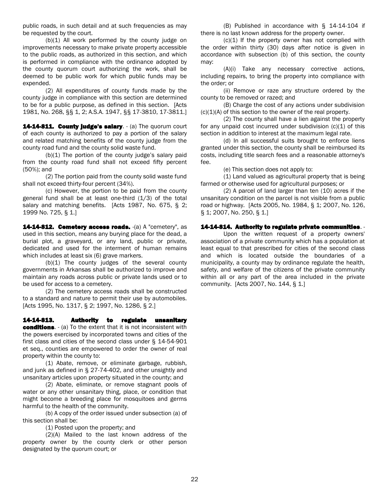public roads, in such detail and at such frequencies as may be requested by the court.

(b)(1) All work performed by the county judge on improvements necessary to make private property accessible to the public roads, as authorized in this section, and which is performed in compliance with the ordinance adopted by the county quorum court authorizing the work, shall be deemed to be public work for which public funds may be expended.

(2) All expenditures of county funds made by the county judge in compliance with this section are determined to be for a public purpose, as defined in this section. [Acts 1981, No. 268, §§ 1, 2; A.S.A. 1947, §§ 17-3810, 17-3811.]

14-14-811. County judge's salary. - (a) The quorum court of each county is authorized to pay a portion of the salary and related matching benefits of the county judge from the county road fund and the county solid waste fund.

 $(b)(1)$  The portion of the county judge's salary paid from the county road fund shall not exceed fifty percent (50%); and

(2) The portion paid from the county solid waste fund shall not exceed thirty-four percent (34%).

(c) However, the portion to be paid from the county general fund shall be at least one-third  $(1/3)$  of the total salary and matching benefits. [Acts 1987, No. 675, § 2; 1999 No. 725, § 1.]

14-14-812. Cemetery access roads. -(a) A "cemetery", as used in this section, means any burying place for the dead, a burial plot, a graveyard, or any land, public or private, dedicated and used for the interment of human remains which includes at least six (6) grave markers.

(b)(1) The county judges of the several county governments in Arkansas shall be authorized to improve and maintain any roads across public or private lands used or to be used for access to a cemetery.

(2) The cemetery access roads shall be constructed to a standard and nature to permit their use by automobiles. [Acts 1995, No. 1317, § 2; [1997, No. 1286,](http://www.loislaw.com/pns/doclink.htp?dockey=1183002@ARACTS&alias=ARACTS&cite=Act+1286+of+1997#PR0) § 2.]

14-14-813. Authority to regulate unsanitary conditions. - (a) To the extent that it is not inconsistent with the powers exercised by incorporated towns and cities of the first class and cities of the second class under § [14-54-901](http://www.loislaw.com/pns/doclink.htp?dockey=811461@ARCODE&alias=ARCODE&cite=14-54-901) et seq., counties are empowered to order the owner of real property within the county to:

(1) Abate, remove, or eliminate garbage, rubbish, and junk as defined in § [27-74-402,](http://www.loislaw.com/pns/doclink.htp?dockey=831147@ARCODE&alias=ARCODE&cite=27-74-402) and other unsightly and unsanitary articles upon property situated in the county; and

(2) Abate, eliminate, or remove stagnant pools of water or any other unsanitary thing, place, or condition that might become a breeding place for mosquitoes and germs harmful to the health of the community.

(b) A copy of the order issued under subsection (a) of this section shall be:

(1) Posted upon the property; and

(2)(A) Mailed to the last known address of the property owner by the county clerk or other person designated by the quorum court; or

(B) Published in accordance with § [14-14-104](http://www.loislaw.com/pns/doclink.htp?dockey=810635@ARCODE&alias=ARCODE&cite=14-14-104) if there is no last known address for the property owner.

 $(c)(1)$  If the property owner has not complied with the order within thirty (30) days after notice is given in accordance with subsection (b) of this section, the county may:

(A)(i) Take any necessary corrective actions, including repairs, to bring the property into compliance with the order; or

(ii) Remove or raze any structure ordered by the county to be removed or razed; and

(B) Charge the cost of any actions under subdivision  $(c)(1)(A)$  of this section to the owner of the real property.

(2) The county shall have a lien against the property for any unpaid cost incurred under subdivision  $(c)(1)$  of this section in addition to interest at the maximum legal rate.

(d) In all successful suits brought to enforce liens granted under this section, the county shall be reimbursed its costs, including title search fees and a reasonable attorney's fee.

(e) This section does not apply to:

(1) Land valued as agricultural property that is being farmed or otherwise used for agricultural purposes; or

(2) A parcel of land larger than ten (10) acres if the unsanitary condition on the parcel is not visible from a public road or highway. [Acts [2005, No. 1984,](http://www.loislaw.com/pns/doclink.htp?dockey=17840345@ARACTS&alias=ARACTS&cite=Act+1984+of+2005#PR0) § 1; [2007, No. 126,](http://www.loislaw.com/pns/doclink.htp?dockey=20119595@ARACTS&alias=ARACTS&cite=Act+126+of+2007#PR0) § 1; [2007, No. 250,](http://www.loislaw.com/pns/doclink.htp?dockey=20172440@ARACTS&alias=ARACTS&cite=Act+250+of+2007#PR0) § 1.]

### 14-14-814. Authority to regulate private communities. -

Upon the written request of a property owners' association of a private community which has a population at least equal to that prescribed for cities of the second class and which is located outside the boundaries of a municipality, a county may by ordinance regulate the health, safety, and welfare of the citizens of the private community within all or any part of the area included in the private community. [Acts [2007, No. 144,](http://www.loislaw.com/pns/doclink.htp?dockey=20123586@ARACTS&alias=ARACTS&cite=Act+144+of+2007#PR0) § 1.]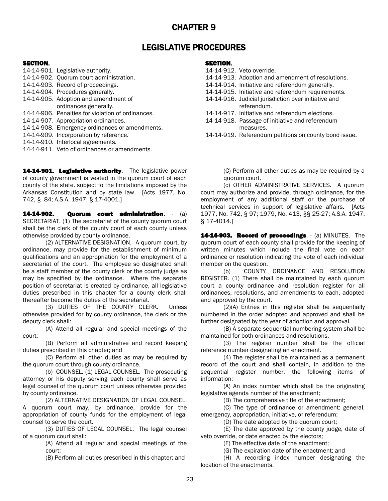## CHAPTER 9

## LEGISLATIVE PROCEDURES

### SECTION. SECTION ASSECTION ASSECTION.

- 14-14-901. Legislative authority. 14-14-912. Veto override.
- 
- 
- 
- 
- 14-14-906. Penalties for violation of ordinances. 14-14-917. Initiative and referendum elections.
- 
- 14-14-908. Emergency ordinances or amendments. measures.
- 
- 14-14-910. Interlocal agreements.
- 14-14-911. Veto of ordinances or amendments.

14-14-901. Legislative authority. - The legislative power of county government is vested in the quorum court of each county of the state, subject to the limitations imposed by the Arkansas Constitution and by state law. [Acts 1977, No. 742, § 84; A.S.A. 1947, § 17-4001.]

14-14-902. Quorum court administration. - (a) SECRETARIAT. (1) The secretariat of the county quorum court shall be the clerk of the county court of each county unless otherwise provided by county ordinance.

(2) ALTERNATIVE DESIGNATION. A quorum court, by ordinance, may provide for the establishment of minimum qualifications and an appropriation for the employment of a secretariat of the court. The employee so designated shall be a staff member of the county clerk or the county judge as may be specified by the ordinance. Where the separate position of secretariat is created by ordinance, all legislative duties prescribed in this chapter for a county clerk shall thereafter become the duties of the secretariat.

(3) DUTIES OF THE COUNTY CLERK. Unless otherwise provided for by county ordinance, the clerk or the deputy clerk shall:

(A) Attend all regular and special meetings of the court;

(B) Perform all administrative and record keeping duties prescribed in this chapter; and

(C) Perform all other duties as may be required by the quorum court through county ordinance.

(b) COUNSEL. (1) LEGAL COUNSEL. The prosecuting attorney or his deputy serving each county shall serve as legal counsel of the quorum court unless otherwise provided by county ordinance.

(2) ALTERNATIVE DESIGNATION OF LEGAL COUNSEL. A quorum court may, by ordinance, provide for the appropriation of county funds for the employment of legal counsel to serve the court.

(3) DUTIES OF LEGAL COUNSEL. The legal counsel of a quorum court shall:

(A) Attend all regular and special meetings of the court;

(B) Perform all duties prescribed in this chapter; and

- 
- 14-14-902. Quorum court administration. 14-14-913. Adoption and amendment of resolutions.
- 14-14-903. Record of proceedings. 14-14-914. Initiative and referendum generally.
- 14-14-904. Procedures generally.<br>14-14-905. Adoption and amendment of 14-14-916. Judicial iurisdiction over initiative and 14-14-916. Judicial jurisdiction over initiative and
	- ordinances generally. The contract of the contract of the contract of the contract of the contract of the contract of the contract of the contract of the contract of the contract of the contract of the contract of the cont
		-
- 14-14-907. Appropriation ordinances. 14-14-918. Passage of initiative and referendum
- 14-14-909. Incorporation by reference. 14-14-919. Referendum petitions on county bond issue.

(C) Perform all other duties as may be required by a quorum court.

(c) OTHER ADMINISTRATIVE SERVICES. A quorum court may authorize and provide, through ordinance, for the employment of any additional staff or the purchase of technical services in support of legislative affairs. [Acts 1977, No. 742, § 97; 1979, No. 413, §§ 25-27; A.S.A. 1947, § 17-4014.]

14-14-903. Record of proceedings. - (a) MINUTES. The quorum court of each county shall provide for the keeping of written minutes which include the final vote on each ordinance or resolution indicating the vote of each individual member on the question.

(b) COUNTY ORDINANCE AND RESOLUTION REGISTER. (1) There shall be maintained by each quorum court a county ordinance and resolution register for all ordinances, resolutions, and amendments to each, adopted and approved by the court.

(2)(A) Entries in this register shall be sequentially numbered in the order adopted and approved and shall be further designated by the year of adoption and approval.

(B) A separate sequential numbering system shall be maintained for both ordinances and resolutions.

(3) The register number shall be the official reference number designating an enactment.

(4) The register shall be maintained as a permanent record of the court and shall contain, in addition to the sequential register number, the following items of information:

(A) An index number which shall be the originating legislative agenda number of the enactment;

(B) The comprehensive title of the enactment;

(C) The type of ordinance or amendment: general, emergency, appropriation, initiative, or referendum;

(D) The date adopted by the quorum court;

(E) The date approved by the county judge, date of veto override, or date enacted by the electors;

(F) The effective date of the enactment;

(G) The expiration date of the enactment; and

(H) A recording index number designating the location of the enactments.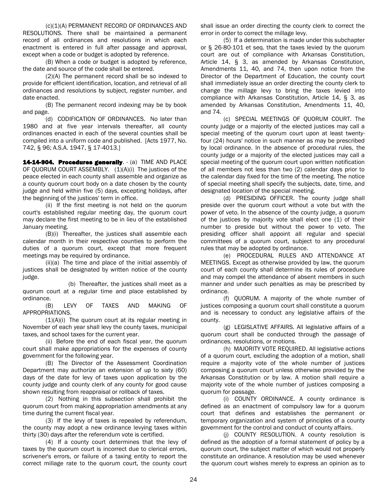(c)(1)(A) PERMANENT RECORD OF ORDINANCES AND RESOLUTIONS. There shall be maintained a permanent record of all ordinances and resolutions in which each enactment is entered in full after passage and approval, except when a code or budget is adopted by reference.

(B) When a code or budget is adopted by reference, the date and source of the code shall be entered.

(2)(A) The permanent record shall be so indexed to provide for efficient identification, location, and retrieval of all ordinances and resolutions by subject, register number, and date enacted.

(B) The permanent record indexing may be by book and page.

(d) CODIFICATION OF ORDINANCES. No later than 1980 and at five year intervals thereafter, all county ordinances enacted in each of the several counties shall be compiled into a uniform code and published. [Acts 1977, No. 742, § 96; A.S.A. 1947, § 17-4013.]

14-14-904. Procedures generally. - (a) TIME AND PLACE OF QUORUM COURT ASSEMBLY. (1)(A)(i) The justices of the peace elected in each county shall assemble and organize as a county quorum court body on a date chosen by the county judge and held within five (5) days, excepting holidays, after the beginning of the justices' term in office.

(ii) If the first meeting is not held on the quorum court's established regular meeting day, the quorum court may declare the first meeting to be in lieu of the established January meeting.

(B)(i) Thereafter, the justices shall assemble each calendar month in their respective counties to perform the duties of a quorum court, except that more frequent meetings may be required by ordinance.

(ii)(a) The time and place of the initial assembly of justices shall be designated by written notice of the county judge.

(b) Thereafter, the justices shall meet as a quorum court at a regular time and place established by ordinance.

(B) LEVY OF TAXES AND MAKING OF APPROPRIATIONS.

(1)(A)(i) The quorum court at its regular meeting in November of each year shall levy the county taxes, municipal taxes, and school taxes for the current year.

(ii) Before the end of each fiscal year, the quorum court shall make appropriations for the expenses of county government for the following year.

(B) The Director of the Assessment Coordination Department may authorize an extension of up to sixty (60) days of the date for levy of taxes upon application by the county judge and county clerk of any county for good cause shown resulting from reappraisal or rollback of taxes.

(2) Nothing in this subsection shall prohibit the quorum court from making appropriation amendments at any time during the current fiscal year.

(3) If the levy of taxes is repealed by referendum, the county may adopt a new ordinance levying taxes within thirty (30) days after the referendum vote is certified.

(4) If a county court determines that the levy of taxes by the quorum court is incorrect due to clerical errors, scrivener's errors, or failure of a taxing entity to report the correct millage rate to the quorum court, the county court shall issue an order directing the county clerk to correct the error in order to correct the millage levy.

(5) If a determination is made under this subchapter or § [26-80-101](http://170.94.58.9/NXT/gateway.dll?f=id$id=ARCODE_OL.NFO%3Ar%3A10535$cid=ARCODE_OL.NFO$t=document-frame.htm$an=JD_26-80-101$3.0#JD_26-80-101) et seq. that the taxes levied by the quorum court are out of compliance with Arkansas Constitution, Article 14, § 3, as amended by Arkansas Constitution, Amendments 11, 40, and 74, then upon notice from the Director of the Department of Education, the county court shall immediately issue an order directing the county clerk to change the millage levy to bring the taxes levied into compliance with Arkansas Constitution, Article 14, § 3, as amended by Arkansas Constitution, Amendments 11, 40, and 74.

(c) SPECIAL MEETINGS OF QUORUM COURT. The county judge or a majority of the elected justices may call a special meeting of the quorum court upon at least twentyfour (24) hours' notice in such manner as may be prescribed by local ordinance. In the absence of procedural rules, the county judge or a majority of the elected justices may call a special meeting of the quorum court upon written notification of all members not less than two (2) calendar days prior to the calendar day fixed for the time of the meeting. The notice of special meeting shall specify the subjects, date, time, and designated location of the special meeting.

(d) PRESIDING OFFICER. The county judge shall preside over the quorum court without a vote but with the power of veto. In the absence of the county judge, a quorum of the justices by majority vote shall elect one (1) of their number to preside but without the power to veto. The presiding officer shall appoint all regular and special committees of a quorum court, subject to any procedural rules that may be adopted by ordinance.

(e) PROCEDURAL RULES AND ATTENDANCE AT MEETINGS. Except as otherwise provided by law, the quorum court of each county shall determine its rules of procedure and may compel the attendance of absent members in such manner and under such penalties as may be prescribed by ordinance.

(f) QUORUM. A majority of the whole number of justices composing a quorum court shall constitute a quorum and is necessary to conduct any legislative affairs of the county.

(g) LEGISLATIVE AFFAIRS. All legislative affairs of a quorum court shall be conducted through the passage of ordinances, resolutions, or motions.

(h) MAJORITY VOTE REQUIRED. All legislative actions of a quorum court, excluding the adoption of a motion, shall require a majority vote of the whole number of justices composing a quorum court unless otherwise provided by the Arkansas Constitution or by law. A motion shall require a majority vote of the whole number of justices composing a quorum for passage.

(i) COUNTY ORDINANCE. A county ordinance is defined as an enactment of compulsory law for a quorum court that defines and establishes the permanent or temporary organization and system of principles of a county government for the control and conduct of county affairs.

(j) COUNTY RESOLUTION. A county resolution is defined as the adoption of a formal statement of policy by a quorum court, the subject matter of which would not properly constitute an ordinance. A resolution may be used whenever the quorum court wishes merely to express an opinion as to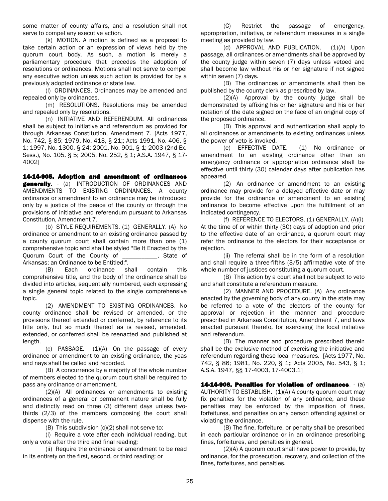some matter of county affairs, and a resolution shall not serve to compel any executive action.

(k) MOTION. A motion is defined as a proposal to take certain action or an expression of views held by the quorum court body. As such, a motion is merely a parliamentary procedure that precedes the adoption of resolutions or ordinances. Motions shall not serve to compel any executive action unless such action is provided for by a previously adopted ordinance or state law.

(l) ORDINANCES. Ordinances may be amended and repealed only by ordinances.

(m) RESOLUTIONS. Resolutions may be amended and repealed only by resolutions.

(n) INITIATIVE AND REFERENDUM. All ordinances shall be subject to initiative and referendum as provided for through Arkansas Constitution, Amendment 7. [Acts 1977, No. 742, § 85; 1979, No. 413, § 21;; Acts 1991, No. 406, § 1; 1997, No. 1300, § 24; 2001, No. 901, § 1; 2003 (2nd Ex. Sess.), No. 105, § 5; 2005, No. 252, § 1; A.S.A. 1947, § 17- 4002]

14-14-905. Adoption and amendment of ordinances **generally.** - (a) INTRODUCTION OF ORDINANCES AND AMENDMENTS TO EXISTING ORDINANCES. A county ordinance or amendment to an ordinance may be introduced only by a justice of the peace of the county or through the provisions of initiative and referendum pursuant to Arkansas Constitution, Amendment 7.

(b) STYLE REQUIREMENTS. (1) GENERALLY. (A) No ordinance or amendment to an existing ordinance passed by a county quorum court shall contain more than one (1) comprehensive topic and shall be styled "Be It Enacted by the Quorum Court of the County of \_\_\_\_\_\_\_\_\_\_\_, State of Arkansas; an Ordinance to be Entitled:".

(B) Each ordinance shall contain this comprehensive title, and the body of the ordinance shall be divided into articles, sequentially numbered, each expressing a single general topic related to the single comprehensive topic.

(2) AMENDMENT TO EXISTING ORDINANCES. No county ordinance shall be revised or amended, or the provisions thereof extended or conferred, by reference to its title only, but so much thereof as is revised, amended, extended, or conferred shall be reenacted and published at length.

 $(c)$  PASSAGE.  $(1)(A)$  On the passage of every ordinance or amendment to an existing ordinance, the yeas and nays shall be called and recorded.

(B) A concurrence by a majority of the whole number of members elected to the quorum court shall be required to pass any ordinance or amendment.

(2)(A) All ordinances or amendments to existing ordinances of a general or permanent nature shall be fully and distinctly read on three (3) different days unless twothirds (2/3) of the members composing the court shall dispense with the rule.

(B) This subdivision (c)(2) shall not serve to:

(i) Require a vote after each individual reading, but only a vote after the third and final reading;

(ii) Require the ordinance or amendment to be read in its entirety on the first, second, or third reading; or

(C) Restrict the passage of emergency, appropriation, initiative, or referendum measures in a single meeting as provided by law.

(d) APPROVAL AND PUBLICATION.  $(1)(A)$  Upon passage, all ordinances or amendments shall be approved by the county judge within seven (7) days unless vetoed and shall become law without his or her signature if not signed within seven (7) days.

(B) The ordinances or amendments shall then be published by the county clerk as prescribed by law.

(2)(A) Approval by the county judge shall be demonstrated by affixing his or her signature and his or her notation of the date signed on the face of an original copy of the proposed ordinance.

(B) This approval and authentication shall apply to all ordinances or amendments to existing ordinances unless the power of veto is invoked.

(e) EFFECTIVE DATE. (1) No ordinance or amendment to an existing ordinance other than an emergency ordinance or appropriation ordinance shall be effective until thirty (30) calendar days after publication has appeared.

(2) An ordinance or amendment to an existing ordinance may provide for a delayed effective date or may provide for the ordinance or amendment to an existing ordinance to become effective upon the fulfillment of an indicated contingency.

(f) REFERENCE TO ELECTORS. (1) GENERALLY. (A)(i) At the time of or within thirty (30) days of adoption and prior to the effective date of an ordinance, a quorum court may refer the ordinance to the electors for their acceptance or rejection.

(ii) The referral shall be in the form of a resolution and shall require a three-fifths (3/5) affirmative vote of the whole number of justices constituting a quorum court.

(B) This action by a court shall not be subject to veto and shall constitute a referendum measure.

(2) MANNER AND PROCEDURE. (A) Any ordinance enacted by the governing body of any county in the state may be referred to a vote of the electors of the county for approval or rejection in the manner and procedure prescribed in Arkansas Constitution, Amendment 7, and laws enacted pursuant thereto, for exercising the local initiative and referendum.

(B) The manner and procedure prescribed therein shall be the exclusive method of exercising the initiative and referendum regarding these local measures. [Acts 1977, No. 742, § 86; 1981, No. 220, § 1;; Acts 2005, No. 543, § 1; A.S.A. 1947, §§ 17-4003, 17-4003.1]

14-14-906. Penalties for violation of ordinances. - (a) AUTHORITY TO ESTABLISH. (1)(A) A county quorum court may fix penalties for the violation of any ordinance, and these penalties may be enforced by the imposition of fines, forfeitures, and penalties on any person offending against or violating the ordinance.

(B) The fine, forfeiture, or penalty shall be prescribed in each particular ordinance or in an ordinance prescribing fines, forfeitures, and penalties in general.

(2)(A) A quorum court shall have power to provide, by ordinance, for the prosecution, recovery, and collection of the fines, forfeitures, and penalties.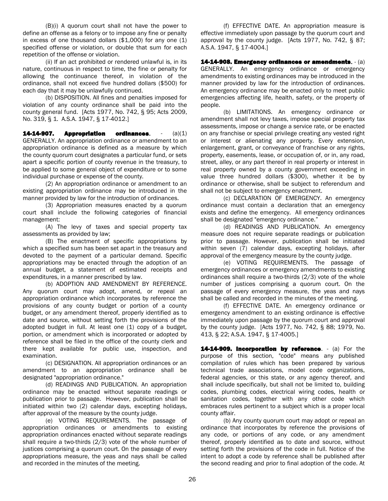(B)(i) A quorum court shall not have the power to define an offense as a felony or to impose any fine or penalty in excess of one thousand dollars (\$1,000) for any one (1) specified offense or violation, or double that sum for each repetition of the offense or violation.

(ii) If an act prohibited or rendered unlawful is, in its nature, continuous in respect to time, the fine or penalty for allowing the continuance thereof, in violation of the ordinance, shall not exceed five hundred dollars (\$500) for each day that it may be unlawfully continued.

(b) DISPOSITION. All fines and penalties imposed for violation of any county ordinance shall be paid into the county general fund. [Acts 1977, No. 742, § 95; Acts [2009,](http://www.loislaw.com/pns/doclink.htp?dockey=22386918@ARACTS&alias=ARACTS&cite=Act+319+of+2009#PR0)  [No. 319,](http://www.loislaw.com/pns/doclink.htp?dockey=22386918@ARACTS&alias=ARACTS&cite=Act+319+of+2009#PR0) § 1. A.S.A. 1947, § 17-4012.]

14-14-907. Appropriation ordinances. - (a)(1) GENERALLY. An appropriation ordinance or amendment to an appropriation ordinance is defined as a measure by which the county quorum court designates a particular fund, or sets apart a specific portion of county revenue in the treasury, to be applied to some general object of expenditure or to some individual purchase or expense of the county.

(2) An appropriation ordinance or amendment to an existing appropriation ordinance may be introduced in the manner provided by law for the introduction of ordinances.

(3) Appropriation measures enacted by a quorum court shall include the following categories of financial management:

(A) The levy of taxes and special property tax assessments as provided by law;

(B) The enactment of specific appropriations by which a specified sum has been set apart in the treasury and devoted to the payment of a particular demand. Specific appropriations may be enacted through the adoption of an annual budget, a statement of estimated receipts and expenditures, in a manner prescribed by law.

(b) ADOPTION AND AMENDMENT BY REFERENCE. Any quorum court may adopt, amend, or repeal an appropriation ordinance which incorporates by reference the provisions of any county budget or portion of a county budget, or any amendment thereof, properly identified as to date and source, without setting forth the provisions of the adopted budget in full. At least one (1) copy of a budget, portion, or amendment which is incorporated or adopted by reference shall be filed in the office of the county clerk and there kept available for public use, inspection, and examination.

(c) DESIGNATION. All appropriation ordinances or an amendment to an appropriation ordinance shall be designated "appropriation ordinance."

(d) READINGS AND PUBLICATION. An appropriation ordinance may be enacted without separate readings or publication prior to passage. However, publication shall be initiated within two (2) calendar days, excepting holidays, after approval of the measure by the county judge.

(e) VOTING REQUIREMENTS. The passage of appropriation ordinances or amendments to existing appropriation ordinances enacted without separate readings shall require a two-thirds (2/3) vote of the whole number of justices comprising a quorum court. On the passage of every appropriations measure, the yeas and nays shall be called and recorded in the minutes of the meeting.

(f) EFFECTIVE DATE. An appropriation measure is effective immediately upon passage by the quorum court and approval by the county judge. [Acts 1977, No. 742, § 87; A.S.A. 1947, § 17-4004.]

14-14-908. Emergency ordinances or amendments. - (a) GENERALLY. An emergency ordinance or emergency amendments to existing ordinances may be introduced in the manner provided by law for the introduction of ordinances. An emergency ordinance may be enacted only to meet public emergencies affecting life, health, safety, or the property of people.

(b) LIMITATIONS. An emergency ordinance or amendment shall not levy taxes, impose special property tax assessments, impose or change a service rate, or be enacted on any franchise or special privilege creating any vested right or interest or alienating any property. Every extension, enlargement, grant, or conveyance of franchise or any rights, property, easements, lease, or occupation of, or in, any road, street, alley, or any part thereof in real property or interest in real property owned by a county government exceeding in value three hundred dollars (\$300), whether it be by ordinance or otherwise, shall be subject to referendum and shall not be subject to emergency enactment.

(c) DECLARATION OF EMERGENCY. An emergency ordinance must contain a declaration that an emergency exists and define the emergency. All emergency ordinances shall be designated "emergency ordinance."

(d) READINGS AND PUBLICATION. An emergency measure does not require separate readings or publication prior to passage. However, publication shall be initiated within seven (7) calendar days, excepting holidays, after approval of the emergency measure by the county judge.

(e) VOTING REQUIREMENTS. The passage of emergency ordinances or emergency amendments to existing ordinances shall require a two-thirds (2/3) vote of the whole number of justices comprising a quorum court. On the passage of every emergency measure, the yeas and nays shall be called and recorded in the minutes of the meeting.

(f) EFFECTIVE DATE. An emergency ordinance or emergency amendment to an existing ordinance is effective immediately upon passage by the quorum court and approval by the county judge. [Acts 1977, No. 742, § 88; 1979, No. 413, § 22; A.S.A. 1947, § 17-4005.]

14-14-909. Incorporation by reference. - (a) For the purpose of this section, "code" means any published compilation of rules which has been prepared by various technical trade associations, model code organizations, federal agencies, or this state, or any agency thereof, and shall include specifically, but shall not be limited to, building codes, plumbing codes, electrical wiring codes, health or sanitation codes, together with any other code which embraces rules pertinent to a subject which is a proper local county affair.

(b) Any county quorum court may adopt or repeal an ordinance that incorporates by reference the provisions of any code, or portions of any code, or any amendment thereof, properly identified as to date and source, without setting forth the provisions of the code in full. Notice of the intent to adopt a code by reference shall be published after the second reading and prior to final adoption of the code. At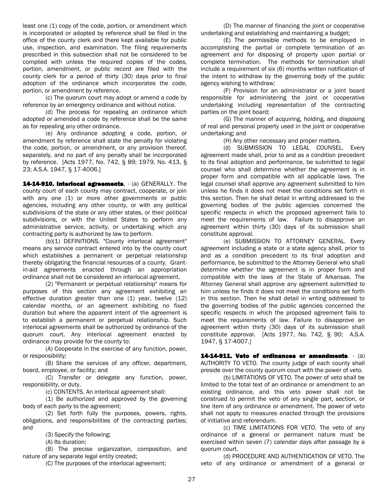least one (1) copy of the code, portion, or amendment which is incorporated or adopted by reference shall be filed in the office of the county clerk and there kept available for public use, inspection, and examination. The filing requirements prescribed in this subsection shall not be considered to be complied with unless the required copies of the codes, portion, amendment, or public record are filed with the county clerk for a period of thirty (30) days prior to final adoption of the ordinance which incorporates the code, portion, or amendment by reference.

(c) The quorum court may adopt or amend a code by reference by an emergency ordinance and without notice.

(d) The process for repealing an ordinance which adopted or amended a code by reference shall be the same as for repealing any other ordinance.

(e) Any ordinance adopting a code, portion, or amendment by reference shall state the penalty for violating the code, portion, or amendment, or any provision thereof, separately, and no part of any penalty shall be incorporated by reference. [Acts 1977, No. 742, § 89; 1979, No. 413, § 23; A.S.A. 1947, § 17-4006.]

14-14-910. Interlocal agreements. - (a) GENERALLY. The county court of each county may contract, cooperate, or join with any one (1) or more other governments or public agencies, including any other county, or with any political subdivisions of the state or any other states, or their political subdivisions, or with the United States to perform any administrative service, activity, or undertaking which any contracting party is authorized by law to perform.

(b)(1) DEFINITIONS. "County interlocal agreement" means any service contract entered into by the county court which establishes a permanent or perpetual relationship thereby obligating the financial resources of a county. Grantin-aid agreements enacted through an appropriation ordinance shall not be considered an interlocal agreement.

(2) "Permanent or perpetual relationship" means for purposes of this section any agreement exhibiting an effective duration greater than one (1) year, twelve (12) calendar months, or an agreement exhibiting no fixed duration but where the apparent intent of the agreement is to establish a permanent or perpetual relationship. Such interlocal agreements shall be authorized by ordinance of the quorum court. Any interlocal agreement enacted by ordinance may provide for the county to:

(A) Cooperate in the exercise of any function, power, or responsibility;

(B) Share the services of any officer, department, board, employee, or facility; and

(C) Transfer or delegate any function, power, responsibility, or duty.

(c) CONTENTS. An interlocal agreement shall:

(1) Be authorized and approved by the governing body of each party to the agreement;

(2) Set forth fully the purposes, powers, rights, obligations, and responsibilities of the contracting parties; and

(3) Specify the following:

(A) Its duration;

(B) The precise organization, composition, and nature of any separate legal entity created;

(C) The purposes of the interlocal agreement;

(D) The manner of financing the joint or cooperative undertaking and establishing and maintaining a budget;

(E) The permissible methods to be employed in accomplishing the partial or complete termination of an agreement and for disposing of property upon partial or complete termination. The methods for termination shall include a requirement of six (6) months written notification of the intent to withdraw by the governing body of the public agency wishing to withdraw;

(F) Provision for an administrator or a joint board responsible for administering the joint or cooperative undertaking including representation of the contracting parties on the joint board;

(G) The manner of acquiring, holding, and disposing of real and personal property used in the joint or cooperative undertaking; and

(H) Any other necessary and proper matters.

(d) SUBMISSION TO LEGAL COUNSEL. Every agreement made shall, prior to and as a condition precedent to its final adoption and performance, be submitted to legal counsel who shall determine whether the agreement is in proper form and compatible with all applicable laws. The legal counsel shall approve any agreement submitted to him unless he finds it does not meet the conditions set forth in this section. Then he shall detail in writing addressed to the governing bodies of the public agencies concerned the specific respects in which the proposed agreement fails to meet the requirements of law. Failure to disapprove an agreement within thirty (30) days of its submission shall constitute approval.

(e) SUBMISSION TO ATTORNEY GENERAL. Every agreement including a state or a state agency shall, prior to and as a condition precedent to its final adoption and performance, be submitted to the Attorney General who shall determine whether the agreement is in proper form and compatible with the laws of the State of Arkansas. The Attorney General shall approve any agreement submitted to him unless he finds it does not meet the conditions set forth in this section. Then he shall detail in writing addressed to the governing bodies of the public agencies concerned the specific respects in which the proposed agreement fails to meet the requirements of law. Failure to disapprove an agreement within thirty (30) days of its submission shall constitute approval. [Acts 1977, No. 742, § 90; A.S.A. 1947, § 17-4007.]

14-14-911. Veto of ordinances or amendments. - (a) AUTHORITY TO VETO. The county judge of each county shall preside over the county quorum court with the power of veto.

(b) LIMITATIONS OF VETO. The power of veto shall be limited to the total text of an ordinance or amendment to an existing ordinance, and this veto power shall not be construed to permit the veto of any single part, section, or line item of any ordinance or amendment. The power of veto shall not apply to measures enacted through the provisions of initiative and referendum.

(c) TIME LIMITATIONS FOR VETO. The veto of any ordinance of a general or permanent nature must be exercised within seven (7) calendar days after passage by a quorum court.

(d) PROCEDURE AND AUTHENTICATION OF VETO. The veto of any ordinance or amendment of a general or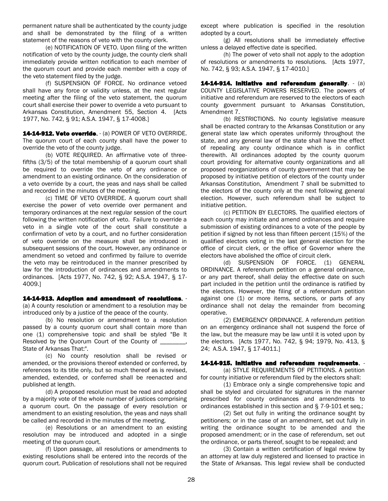permanent nature shall be authenticated by the county judge and shall be demonstrated by the filing of a written statement of the reasons of veto with the county clerk.

(e) NOTIFICATION OF VETO. Upon filing of the written notification of veto by the county judge, the county clerk shall immediately provide written notification to each member of the quorum court and provide each member with a copy of the veto statement filed by the judge.

(f) SUSPENSION OF FORCE. No ordinance vetoed shall have any force or validity unless, at the next regular meeting after the filing of the veto statement, the quorum court shall exercise their power to override a veto pursuant to Arkansas Constitution, Amendment 55, Section 4. [Acts 1977, No. 742, § 91; A.S.A. 1947, § 17-4008.]

14-14-912. Veto override. - (a) POWER OF VETO OVERRIDE. The quorum court of each county shall have the power to override the veto of the county judge.

(b) VOTE REQUIRED. An affirmative vote of threefifths (3/5) of the total membership of a quorum court shall be required to override the veto of any ordinance or amendment to an existing ordinance. On the consideration of a veto override by a court, the yeas and nays shall be called and recorded in the minutes of the meeting.

(c) TIME OF VETO OVERRIDE. A quorum court shall exercise the power of veto override over permanent and temporary ordinances at the next regular session of the court following the written notification of veto. Failure to override a veto in a single vote of the court shall constitute a confirmation of veto by a court, and no further consideration of veto override on the measure shall be introduced in subsequent sessions of the court. However, any ordinance or amendment so vetoed and confirmed by failure to override the veto may be reintroduced in the manner prescribed by law for the introduction of ordinances and amendments to ordinances. [Acts 1977, No. 742, § 92; A.S.A. 1947, § 17- 4009.]

## 14-14-913. Adoption and amendment of resolutions. -

(a) A county resolution or amendment to a resolution may be introduced only by a justice of the peace of the county.

(b) No resolution or amendment to a resolution passed by a county quorum court shall contain more than one (1) comprehensive topic and shall be styled "Be It Resolved by the Quorum Court of the County of \_\_\_\_ State of Arkansas That:".

(c) No county resolution shall be revised or amended, or the provisions thereof extended or conferred, by references to its title only, but so much thereof as is revised, amended, extended, or conferred shall be reenacted and published at length.

(d) A proposed resolution must be read and adopted by a majority vote of the whole number of justices comprising a quorum court. On the passage of every resolution or amendment to an existing resolution, the yeas and nays shall be called and recorded in the minutes of the meeting.

(e) Resolutions or an amendment to an existing resolution may be introduced and adopted in a single meeting of the quorum court.

(f) Upon passage, all resolutions or amendments to existing resolutions shall be entered into the records of the quorum court. Publication of resolutions shall not be required except where publication is specified in the resolution adopted by a court.

(g) All resolutions shall be immediately effective unless a delayed effective date is specified.

(h) The power of veto shall not apply to the adoption of resolutions or amendments to resolutions. [Acts 1977, No. 742, § 93; A.S.A. 1947, § 17-4010.]

14-14-914. Initiative and referendum generally. - (a) COUNTY LEGISLATIVE POWERS RESERVED. The powers of initiative and referendum are reserved to the electors of each county government pursuant to Arkansas Constitution, Amendment 7.

(b) RESTRICTIONS. No county legislative measure shall be enacted contrary to the Arkansas Constitution or any general state law which operates uniformly throughout the state, and any general law of the state shall have the effect of repealing any county ordinance which is in conflict therewith. All ordinances adopted by the county quorum court providing for alternative county organizations and all proposed reorganizations of county government that may be proposed by initiative petition of electors of the county under Arkansas Constitution, Amendment 7 shall be submitted to the electors of the county only at the next following general election. However, such referendum shall be subject to initiative petition.

(c) PETITION BY ELECTORS. The qualified electors of each county may initiate and amend ordinances and require submission of existing ordinances to a vote of the people by petition if signed by not less than fifteen percent (15%) of the qualified electors voting in the last general election for the office of circuit clerk, or the office of Governor where the electors have abolished the office of circuit clerk.

(d) SUSPENSION OF FORCE. (1) GENERAL ORDINANCE. A referendum petition on a general ordinance, or any part thereof, shall delay the effective date on such part included in the petition until the ordinance is ratified by the electors. However, the filing of a referendum petition against one (1) or more items, sections, or parts of any ordinance shall not delay the remainder from becoming operative.

(2) EMERGENCY ORDINANCE. A referendum petition on an emergency ordinance shall not suspend the force of the law, but the measure may be law until it is voted upon by the electors. [Acts 1977, No. 742, § 94; 1979, No. 413, § 24; A.S.A. 1947, § 17-4011.]

### 14-14-915. Initiative and referendum requirements. -

(a) STYLE REQUIREMENTS OF PETITIONS. A petition for county initiative or referendum filed by the electors shall:

(1) Embrace only a single comprehensive topic and shall be styled and circulated for signatures in the manner prescribed for county ordinances and amendments to ordinances established in this section and § [7-9-101](http://www.loislaw.com/pns/doclink.htp?dockey=807587@ARCODE&alias=ARCODE&cite=7-9-101) et seq.;

(2) Set out fully in writing the ordinance sought by petitioners; or in the case of an amendment, set out fully in writing the ordinance sought to be amended and the proposed amendment; or in the case of referendum, set out the ordinance, or parts thereof, sought to be repealed; and

(3) Contain a written certification of legal review by an attorney at law duly registered and licensed to practice in the State of Arkansas. This legal review shall be conducted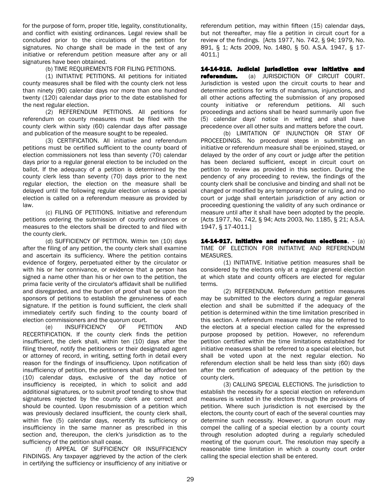for the purpose of form, proper title, legality, constitutionality, and conflict with existing ordinances. Legal review shall be concluded prior to the circulations of the petition for signatures. No change shall be made in the text of any initiative or referendum petition measure after any or all signatures have been obtained.

(b) TIME REQUIREMENTS FOR FILING PETITIONS.

(1) INITIATIVE PETITIONS. All petitions for initiated county measures shall be filed with the county clerk not less than ninety (90) calendar days nor more than one hundred twenty (120) calendar days prior to the date established for the next regular election.

(2) REFERENDUM PETITIONS. All petitions for referendum on county measures must be filed with the county clerk within sixty (60) calendar days after passage and publication of the measure sought to be repealed.

(3) CERTIFICATION. All initiative and referendum petitions must be certified sufficient to the county board of election commissioners not less than seventy (70) calendar days prior to a regular general election to be included on the ballot. If the adequacy of a petition is determined by the county clerk less than seventy (70) days prior to the next regular election, the election on the measure shall be delayed until the following regular election unless a special election is called on a referendum measure as provided by law.

(c) FILING OF PETITIONS. Initiative and referendum petitions ordering the submission of county ordinances or measures to the electors shall be directed to and filed with the county clerk.

(d) SUFFICIENCY OF PETITION. Within ten (10) days after the filing of any petition, the county clerk shall examine and ascertain its sufficiency. Where the petition contains evidence of forgery, perpetuated either by the circulator or with his or her connivance, or evidence that a person has signed a name other than his or her own to the petition, the prima facie verity of the circulator's affidavit shall be nullified and disregarded, and the burden of proof shall be upon the sponsors of petitions to establish the genuineness of each signature. If the petition is found sufficient, the clerk shall immediately certify such finding to the county board of election commissioners and the quorum court.

(e) INSUFFICIENCY OF PETITION AND RECERTIFICATION. If the county clerk finds the petition insufficient, the clerk shall, within ten (10) days after the filing thereof, notify the petitioners or their designated agent or attorney of record, in writing, setting forth in detail every reason for the findings of insufficiency. Upon notification of insufficiency of petition, the petitioners shall be afforded ten (10) calendar days, exclusive of the day notice of insufficiency is receipted, in which to solicit and add additional signatures, or to submit proof tending to show that signatures rejected by the county clerk are correct and should be counted. Upon resubmission of a petition which was previously declared insufficient, the county clerk shall, within five (5) calendar days, recertify its sufficiency or insufficiency in the same manner as prescribed in this section and, thereupon, the clerk's jurisdiction as to the sufficiency of the petition shall cease.

(f) APPEAL OF SUFFICIENCY OR INSUFFICIENCY FINDINGS. Any taxpayer aggrieved by the action of the clerk in certifying the sufficiency or insufficiency of any initiative or referendum petition, may within fifteen (15) calendar days, but not thereafter, may file a petition in circuit court for a review of the findings. [Acts 1977, No. 742, § 94; 1979, No. 891, § 1; Acts [2009, No. 1480,](http://www.loislaw.com/pns/doclink.htp?dockey=22515875@ARACTS&alias=ARACTS&cite=Act+1480+of+2009#PR0) § 50. A.S.A. 1947, § 17- 4011.]

14-14-916. Judicial jurisdiction over initiative and referendum. (a) JURISDICTION OF CIRCUIT COURT. Jurisdiction is vested upon the circuit courts to hear and determine petitions for writs of mandamus, injunctions, and all other actions affecting the submission of any proposed county initiative or referendum petitions. All such proceedings and actions shall be heard summarily upon five (5) calendar days' notice in writing and shall have precedence over all other suits and matters before the court.

(b) LIMITATION OF INJUNCTION OR STAY OF PROCEEDINGS. No procedural steps in submitting an initiative or referendum measure shall be enjoined, stayed, or delayed by the order of any court or judge after the petition has been declared sufficient, except in circuit court on petition to review as provided in this section. During the pendency of any proceeding to review, the findings of the county clerk shall be conclusive and binding and shall not be changed or modified by any temporary order or ruling, and no court or judge shall entertain jurisdiction of any action or proceeding questioning the validity of any such ordinance or measure until after it shall have been adopted by the people. [Acts 1977, No. 742, § 94; Acts 2003, No. 1185, § 21; A.S.A. 1947, § 17-4011.]

14-14-917. Initiative and referendum elections. - (a) TIME OF ELECTION FOR INITIATIVE AND REFERENDUM MEASURES.

(1) INITIATIVE. Initiative petition measures shall be considered by the electors only at a regular general election at which state and county officers are elected for regular terms.

(2) REFERENDUM. Referendum petition measures may be submitted to the electors during a regular general election and shall be submitted if the adequacy of the petition is determined within the time limitation prescribed in this section. A referendum measure may also be referred to the electors at a special election called for the expressed purpose proposed by petition. However, no referendum petition certified within the time limitations established for initiative measures shall be referred to a special election, but shall be voted upon at the next regular election. No referendum election shall be held less than sixty (60) days after the certification of adequacy of the petition by the county clerk.

(3) CALLING SPECIAL ELECTIONS. The jurisdiction to establish the necessity for a special election on referendum measures is vested in the electors through the provisions of petition. Where such jurisdiction is not exercised by the electors, the county court of each of the several counties may determine such necessity. However, a quorum court may compel the calling of a special election by a county court through resolution adopted during a regularly scheduled meeting of the quorum court. The resolution may specify a reasonable time limitation in which a county court order calling the special election shall be entered.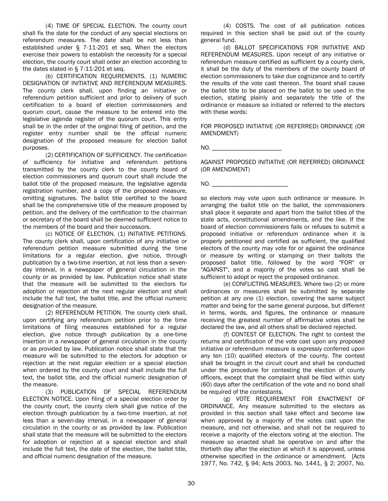(4) TIME OF SPECIAL ELECTION. The county court shall fix the date for the conduct of any special elections on referendum measures. The date shall be not less than established under § [7-11-201](http://www.loislaw.com/pns/doclink.htp?dockey=22519444@ARCODE&alias=ARCODE&cite=7-11-201) et seq. When the electors exercise their powers to establish the necessity for a special election, the county court shall order an election according to the dates stated in § [7-11-201](http://www.loislaw.com/pns/doclink.htp?dockey=22519444@ARCODE&alias=ARCODE&cite=7-11-201) et seq.

(b) CERTIFICATION REQUIREMENTS. (1) NUMERIC DESIGNATION OF INITIATIVE AND REFERENDUM MEASURES. The county clerk shall, upon finding an initiative or referendum petition sufficient and prior to delivery of such certification to a board of election commissioners and quorum court, cause the measure to be entered into the legislative agenda register of the quorum court. This entry shall be in the order of the original filing of petition, and the register entry number shall be the official numeric designation of the proposed measure for election ballot purposes.

(2) CERTIFICATION OF SUFFICIENCY. The certification of sufficiency for initiative and referendum petitions transmitted by the county clerk to the county board of election commissioners and quorum court shall include the ballot title of the proposed measure, the legislative agenda registration number, and a copy of the proposed measure, omitting signatures. The ballot title certified to the board shall be the comprehensive title of the measure proposed by petition, and the delivery of the certification to the chairman or secretary of the board shall be deemed sufficient notice to the members of the board and their successors.

(c) NOTICE OF ELECTION. (1) INITIATIVE PETITIONS. The county clerk shall, upon certification of any initiative or referendum petition measure submitted during the time limitations for a regular election, give notice, through publication by a two-time insertion, at not less than a sevenday interval, in a newspaper of general circulation in the county or as provided by law. Publication notice shall state that the measure will be submitted to the electors for adoption or rejection at the next regular election and shall include the full text, the ballot title, and the official numeric designation of the measure.

(2) REFERENDUM PETITION. The county clerk shall, upon certifying any referendum petition prior to the time limitations of filing measures established for a regular election, give notice through publication by a one-time insertion in a newspaper of general circulation in the county or as provided by law. Publication notice shall state that the measure will be submitted to the electors for adoption or rejection at the next regular election or a special election when ordered by the county court and shall include the full text, the ballot title, and the official numeric designation of the measure.

(3) PUBLICATION OF SPECIAL REFERENDUM ELECTION NOTICE. Upon filing of a special election order by the county court, the county clerk shall give notice of the election through publication by a two-time insertion, at not less than a seven-day interval, in a newspaper of general circulation in the county or as provided by law. Publication shall state that the measure will be submitted to the electors for adoption or rejection at a special election and shall include the full text, the date of the election, the ballot title, and official numeric designation of the measure.

(4) COSTS. The cost of all publication notices required in this section shall be paid out of the county general fund.

(d) BALLOT SPECIFICATIONS FOR INITIATIVE AND REFERENDUM MEASURES. Upon receipt of any initiative or referendum measure certified as sufficient by a county clerk, it shall be the duty of the members of the county board of election commissioners to take due cognizance and to certify the results of the vote cast thereon. The board shall cause the ballot title to be placed on the ballot to be used in the election, stating plainly and separately the title of the ordinance or measure so initiated or referred to the electors with these words:

FOR PROPOSED INITIATIVE (OR REFERRED) ORDINANCE (OR AMENDMENT)

 $NO.$ 

AGAINST PROPOSED INITIATIVE (OR REFERRED) ORDINANCE (OR AMENDMENT)

NO. \_\_\_\_\_\_\_\_\_\_\_\_\_\_\_\_\_\_\_\_\_\_\_\_

so electors may vote upon such ordinance or measure. In arranging the ballot title on the ballot, the commissioners shall place it separate and apart from the ballot titles of the state acts, constitutional amendments, and the like. If the board of election commissioners fails or refuses to submit a proposed initiative or referendum ordinance when it is properly petitioned and certified as sufficient, the qualified electors of the county may vote for or against the ordinance or measure by writing or stamping on their ballots the proposed ballot title, followed by the word "FOR" or "AGAINST", and a majority of the votes so cast shall be sufficient to adopt or reject the proposed ordinance.

(e) CONFLICTING MEASURES. Where two (2) or more ordinances or measures shall be submitted by separate petition at any one (1) election, covering the same subject matter and being for the same general purpose, but different in terms, words, and figures, the ordinance or measure receiving the greatest number of affirmative votes shall be declared the law, and all others shall be declared rejected.

(f) CONTEST OF ELECTION. The right to contest the returns and certification of the vote cast upon any proposed initiative or referendum measure is expressly conferred upon any ten (10) qualified electors of the county. The contest shall be brought in the circuit court and shall be conducted under the procedure for contesting the election of county officers, except that the complaint shall be filed within sixty (60) days after the certification of the vote and no bond shall be required of the contestants.

(g) VOTE REQUIREMENT FOR ENACTMENT OF ORDINANCE. Any measure submitted to the electors as provided in this section shall take effect and become law when approved by a majority of the votes cast upon the measure, and not otherwise, and shall not be required to receive a majority of the electors voting at the election. The measure so enacted shall be operative on and after the thirtieth day after the election at which it is approved, unless otherwise specified in the ordinance or amendment. [Acts 1977, No. 742, § 94; Acts [2003, No. 1441,](http://www.loislaw.com/pns/doclink.htp?dockey=16033152@ARACTS&alias=ARACTS&cite=Act+1441+of+2003#PR0) § 2; [2007, No.](http://www.loislaw.com/pns/doclink.htp?dockey=20273866@ARACTS&alias=ARACTS&cite=Act+1049+of+2007#PR0)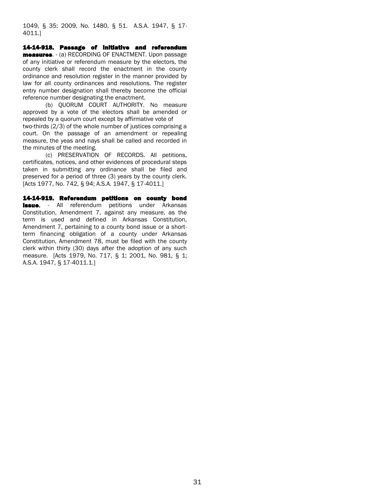1049, § 35; [2009, No. 1480,](http://www.loislaw.com/pns/doclink.htp?dockey=22515875@ARACTS&alias=ARACTS&cite=Act+1480+of+2009#PR0) § 51. A.S.A. 1947, § 17- 4011.]

14-14-918. Passage of initiative and referendum measures. - (a) RECORDING OF ENACTMENT. Upon passage of any initiative or referendum measure by the electors, the county clerk shall record the enactment in the county ordinance and resolution register in the manner provided by law for all county ordinances and resolutions. The register entry number designation shall thereby become the official reference number designating the enactment.

(b) QUORUM COURT AUTHORITY. No measure approved by a vote of the electors shall be amended or repealed by a quorum court except by affirmative vote of two-thirds (2/3) of the whole number of justices comprising a court. On the passage of an amendment or repealing measure, the yeas and nays shall be called and recorded in the minutes of the meeting.

(c) PRESERVATION OF RECORDS. All petitions, certificates, notices, and other evidences of procedural steps taken in submitting any ordinance shall be filed and preserved for a period of three (3) years by the county clerk. [Acts 1977, No. 742, § 94; A.S.A. 1947, § 17-4011.]

14-14-919. Referendum petitions on county bond **Issue.** - All referendum petitions under Arkansas Constitution, Amendment 7, against any measure, as the term is used and defined in Arkansas Constitution, Amendment 7, pertaining to a county bond issue or a shortterm financing obligation of a county under Arkansas Constitution, Amendment 78, must be filed with the county clerk within thirty (30) days after the adoption of any such measure. [Acts 1979, No. 717, § 1; 2001, No. 981, § 1; A.S.A. 1947, § 17-4011.1.]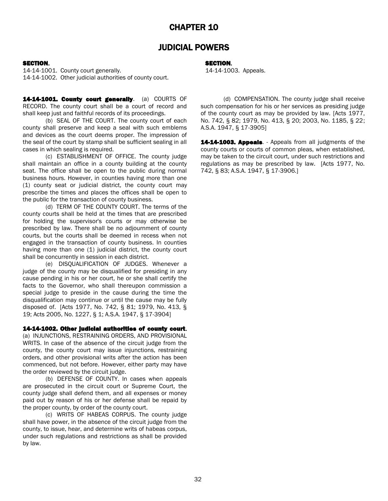## CHAPTER 10

## JUDICIAL POWERS

#### SECTION. SECTION.

14-14-1001. County court generally. 14-14-1003. Appeals. 14-14-1002. Other judicial authorities of county court.

14-14-1001. County court generally. (a) COURTS OF RECORD. The county court shall be a court of record and shall keep just and faithful records of its proceedings.

(b) SEAL OF THE COURT. The county court of each county shall preserve and keep a seal with such emblems and devices as the court deems proper. The impression of the seal of the court by stamp shall be sufficient sealing in all cases in which sealing is required.

(c) ESTABLISHMENT OF OFFICE. The county judge shall maintain an office in a county building at the county seat. The office shall be open to the public during normal business hours. However, in counties having more than one (1) county seat or judicial district, the county court may prescribe the times and places the offices shall be open to the public for the transaction of county business.

(d) TERM OF THE COUNTY COURT. The terms of the county courts shall be held at the times that are prescribed for holding the supervisor's courts or may otherwise be prescribed by law. There shall be no adjournment of county courts, but the courts shall be deemed in recess when not engaged in the transaction of county business. In counties having more than one (1) judicial district, the county court shall be concurrently in session in each district.

(e) DISQUALIFICATION OF JUDGES. Whenever a judge of the county may be disqualified for presiding in any cause pending in his or her court, he or she shall certify the facts to the Governor, who shall thereupon commission a special judge to preside in the cause during the time the disqualification may continue or until the cause may be fully disposed of. [Acts 1977, No. 742, § 81; 1979, No. 413, § 19; Acts 2005, No. 1227, § 1; A.S.A. 1947, § 17-3904]

#### 14-14-1002. Other judicial authorities of county court.

(a) INJUNCTIONS, RESTRAINING ORDERS, AND PROVISIONAL WRITS. In case of the absence of the circuit judge from the county, the county court may issue injunctions, restraining orders, and other provisional writs after the action has been commenced, but not before. However, either party may have the order reviewed by the circuit judge.

(b) DEFENSE OF COUNTY. In cases when appeals are prosecuted in the circuit court or Supreme Court, the county judge shall defend them, and all expenses or money paid out by reason of his or her defense shall be repaid by the proper county, by order of the county court.

(c) WRITS OF HABEAS CORPUS. The county judge shall have power, in the absence of the circuit judge from the county, to issue, hear, and determine writs of habeas corpus, under such regulations and restrictions as shall be provided by law.

(d) COMPENSATION. The county judge shall receive such compensation for his or her services as presiding judge of the county court as may be provided by law. [Acts 1977, No. 742, § 82; 1979, No. 413, § 20; 2003, No. 1185, § 22; A.S.A. 1947, § 17-3905]

14-14-1003. Appeals. - Appeals from all judgments of the county courts or courts of common pleas, when established, may be taken to the circuit court, under such restrictions and regulations as may be prescribed by law. [Acts 1977, No. 742, § 83; A.S.A. 1947, § 17-3906.]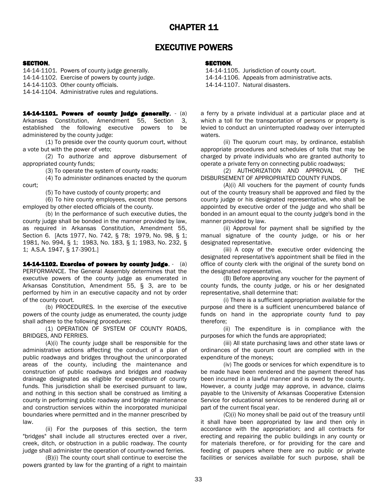## CHAPTER 11

## EXECUTIVE POWERS

#### SECTION. SECTION.

14-14-1101. Powers of county judge generally. 14-14-1105. Jurisdiction of county court.

14-14-1104. Administrative rules and regulations.

14-14-1101. Powers of county judge generally. - (a) Arkansas Constitution, Amendment 55, Section 3, established the following executive powers to be administered by the county judge:

(1) To preside over the county quorum court, without a vote but with the power of veto;

(2) To authorize and approve disbursement of appropriated county funds;

(3) To operate the system of county roads;

(4) To administer ordinances enacted by the quorum court;

(5) To have custody of county property; and

(6) To hire county employees, except those persons employed by other elected officials of the county.

(b) In the performance of such executive duties, the county judge shall be bonded in the manner provided by law, as required in Arkansas Constitution, Amendment 55, Section 6. [Acts 1977, No. 742, § 78; 1979, No. 98, § 1; 1981, No. 994, § 1; 1983, No. 183, § 1; 1983, No. 232, § 1; A.S.A. 1947, § 17-3901.]

14-14-1102. Exercise of powers by county judge. - (a) PERFORMANCE. The General Assembly determines that the executive powers of the county judge as enumerated in Arkansas Constitution, Amendment [55,](http://www.loislaw.com/pns/doclink.htp?dockey=16479818@ARCODE&alias=ARCODE&cite=Ark.+Const.%2C+Amend.+LV#PR0) § 3, are to be performed by him in an executive capacity and not by order of the county court.

(b) PROCEDURES. In the exercise of the executive powers of the county judge as enumerated, the county judge shall adhere to the following procedures:

(1) OPERATION OF SYSTEM OF COUNTY ROADS, BRIDGES, AND FERRIES.

(A)(i) The county judge shall be responsible for the administrative actions affecting the conduct of a plan of public roadways and bridges throughout the unincorporated areas of the county, including the maintenance and construction of public roadways and bridges and roadway drainage designated as eligible for expenditure of county funds. This jurisdiction shall be exercised pursuant to law, and nothing in this section shall be construed as limiting a county in performing public roadway and bridge maintenance and construction services within the incorporated municipal boundaries where permitted and in the manner prescribed by law.

(ii) For the purposes of this section, the term "bridges" shall include all structures erected over a river, creek, ditch, or obstruction in a public roadway. The county judge shall administer the operation of county-owned ferries.

(B)(i) The county court shall continue to exercise the powers granted by law for the granting of a right to maintain

14-14-1102. Exercise of powers by county judge. 14-14-1106. Appeals from administrative acts. 14-14-1103. Other county officials. 14-14-1107. Natural disasters.

> a ferry by a private individual at a particular place and at which a toll for the transportation of persons or property is levied to conduct an uninterrupted roadway over interrupted waters.

> (ii) The quorum court may, by ordinance, establish appropriate procedures and schedules of tolls that may be charged by private individuals who are granted authority to operate a private ferry on connecting public roadways;

> (2) AUTHORIZATION AND APPROVAL OF THE DISBURSEMENT OF APPROPRIATED COUNTY FUNDS.

> (A)(i) All vouchers for the payment of county funds out of the county treasury shall be approved and filed by the county judge or his designated representative, who shall be appointed by executive order of the judge and who shall be bonded in an amount equal to the county judge's bond in the manner provided by law.

> (ii) Approval for payment shall be signified by the manual signature of the county judge, or his or her designated representative.

> (iii) A copy of the executive order evidencing the designated representative's appointment shall be filed in the office of county clerk with the original of the surety bond on the designated representative.

> (B) Before approving any voucher for the payment of county funds, the county judge, or his or her designated representative, shall determine that:

> (i) There is a sufficient appropriation available for the purpose and there is a sufficient unencumbered balance of funds on hand in the appropriate county fund to pay therefore;

> (ii) The expenditure is in compliance with the purposes for which the funds are appropriated;

> (iii) All state purchasing laws and other state laws or ordinances of the quorum court are complied with in the expenditure of the moneys;

> (iv) The goods or services for which expenditure is to be made have been rendered and the payment thereof has been incurred in a lawful manner and is owed by the county. However, a county judge may approve, in advance, claims payable to the University of Arkansas Cooperative Extension Service for educational services to be rendered during all or part of the current fiscal year.

> (C)(i) No money shall be paid out of the treasury until it shall have been appropriated by law and then only in accordance with the appropriation; and all contracts for erecting and repairing the public buildings in any county or for materials therefore, or for providing for the care and feeding of paupers where there are no public or private facilities or services available for such purpose, shall be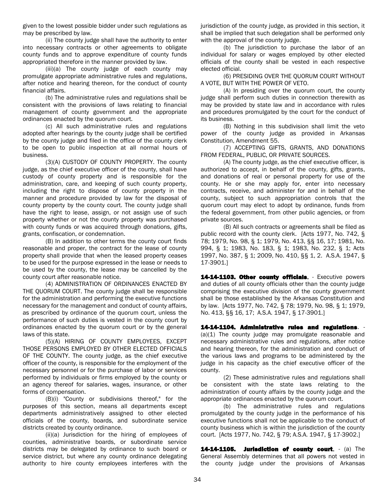given to the lowest possible bidder under such regulations as may be prescribed by law.

(ii) The county judge shall have the authority to enter into necessary contracts or other agreements to obligate county funds and to approve expenditure of county funds appropriated therefore in the manner provided by law.

(iii)(a) The county judge of each county may promulgate appropriate administrative rules and regulations, after notice and hearing thereon, for the conduct of county financial affairs.

(b) The administrative rules and regulations shall be consistent with the provisions of laws relating to financial management of county government and the appropriate ordinances enacted by the quorum court.

(c) All such administrative rules and regulations adopted after hearings by the county judge shall be certified by the county judge and filed in the office of the county clerk to be open to public inspection at all normal hours of business.

(3)(A) CUSTODY OF COUNTY PROPERTY. The county judge, as the chief executive officer of the county, shall have custody of county property and is responsible for the administration, care, and keeping of such county property, including the right to dispose of county property in the manner and procedure provided by law for the disposal of county property by the county court. The county judge shall have the right to lease, assign, or not assign use of such property whether or not the county property was purchased with county funds or was acquired through donations, gifts, grants, confiscation, or condemnation.

(B) In addition to other terms the county court finds reasonable and proper, the contract for the lease of county property shall provide that when the leased property ceases to be used for the purpose expressed in the lease or needs to be used by the county, the lease may be cancelled by the county court after reasonable notice.

(4) ADMINISTRATION OF ORDINANCES ENACTED BY THE QUORUM COURT. The county judge shall be responsible for the administration and performing the executive functions necessary for the management and conduct of county affairs, as prescribed by ordinance of the quorum court, unless the performance of such duties is vested in the county court by ordinances enacted by the quorum court or by the general laws of this state.

(5)(A) HIRING OF COUNTY EMPLOYEES, EXCEPT THOSE PERSONS EMPLOYED BY OTHER ELECTED OFFICIALS OF THE COUNTY. The county judge, as the chief executive officer of the county, is responsible for the employment of the necessary personnel or for the purchase of labor or services performed by individuals or firms employed by the county or an agency thereof for salaries, wages, insurance, or other forms of compensation.

(B)(i) "County or subdivisions thereof," for the purposes of this section, means all departments except departments administratively assigned to other elected officials of the county, boards, and subordinate service districts created by county ordinance.

(ii)(a) Jurisdiction for the hiring of employees of counties, administrative boards, or subordinate service districts may be delegated by ordinance to such board or service district, but where any county ordinance delegating authority to hire county employees interferes with the jurisdiction of the county judge, as provided in this section, it shall be implied that such delegation shall be performed only with the approval of the county judge.

(b) The jurisdiction to purchase the labor of an individual for salary or wages employed by other elected officials of the county shall be vested in each respective elected official.

(6) PRESIDING OVER THE QUORUM COURT WITHOUT A VOTE, BUT WITH THE POWER OF VETO.

(A) In presiding over the quorum court, the county judge shall perform such duties in connection therewith as may be provided by state law and in accordance with rules and procedures promulgated by the court for the conduct of its business.

(B) Nothing in this subdivision shall limit the veto power of the county judge as provided in Arkansas Constitution, Amendment [55.](http://www.loislaw.com/pns/doclink.htp?dockey=16479818@ARCODE&alias=ARCODE&cite=Ark.+Const.%2C+Amend.+LV#PR0)

(7) ACCEPTING GIFTS, GRANTS, AND DONATIONS FROM FEDERAL, PUBLIC, OR PRIVATE SOURCES.

(A) The county judge, as the chief executive officer, is authorized to accept, in behalf of the county, gifts, grants, and donations of real or personal property for use of the county. He or she may apply for, enter into necessary contracts, receive, and administer for and in behalf of the county, subject to such appropriation controls that the quorum court may elect to adopt by ordinance, funds from the federal government, from other public agencies, or from private sources.

(B) All such contracts or agreements shall be filed as public record with the county clerk. [Acts 1977, No. 742, § 78; 1979, No. 98, § 1; 1979, No. 413, §§ 16, 17; 1981, No. 994, § 1; 1983, No. 183, § 1; 1983, No. 232, § 1; Acts [1997, No. 387,](http://www.loislaw.com/pns/doclink.htp?dockey=1182103@ARACTS&alias=ARACTS&cite=Act+387+of+1997#PR0) § 1; [2009, No. 410,](http://www.loislaw.com/pns/doclink.htp?dockey=22428009@ARACTS&alias=ARACTS&cite=Act+410+of+2009#PR0) §§ 1, 2. A.S.A. 1947, § 17-3901.]

14-14-1103. Other county officials. - Executive powers and duties of all county officials other than the county judge comprising the executive division of the county government shall be those established by the Arkansas Constitution and by law. [Acts 1977, No. 742, § 78; 1979, No. 98, § 1; 1979, No. 413, §§ 16, 17; A.S.A. 1947, § 17-3901.]

14-14-1104. Administrative rules and regulations. (a)(1) The county judge may promulgate reasonable and necessary administrative rules and regulations, after notice and hearing thereon, for the administration and conduct of the various laws and programs to be administered by the judge in his capacity as the chief executive officer of the county.

(2) These administrative rules and regulations shall be consistent with the state laws relating to the administration of county affairs by the county judge and the appropriate ordinances enacted by the quorum court.

(b) The administrative rules and regulations promulgated by the county judge in the performance of his executive functions shall not be applicable to the conduct of county business which is within the jurisdiction of the county court. [Acts 1977, No. 742, § 79; A.S.A. 1947, § 17-3902.]

14-14-1105. Jurisdiction of county court. - (a) The General Assembly determines that all powers not vested in the county judge under the provisions of Arkansas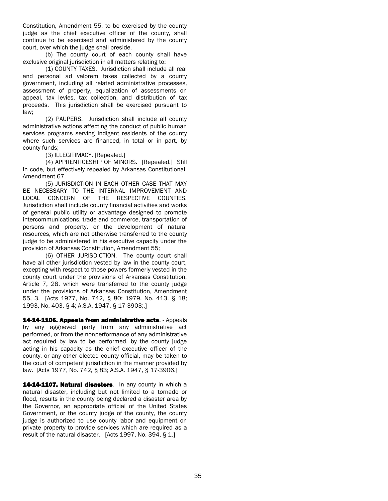Constitution, Amendment 55, to be exercised by the county judge as the chief executive officer of the county, shall continue to be exercised and administered by the county court, over which the judge shall preside.

(b) The county court of each county shall have exclusive original jurisdiction in all matters relating to:

(1) COUNTY TAXES. Jurisdiction shall include all real and personal ad valorem taxes collected by a county government, including all related administrative processes, assessment of property, equalization of assessments on appeal, tax levies, tax collection, and distribution of tax proceeds. This jurisdiction shall be exercised pursuant to law;

(2) PAUPERS. Jurisdiction shall include all county administrative actions affecting the conduct of public human services programs serving indigent residents of the county where such services are financed, in total or in part, by county funds;

(3) ILLEGITIMACY. [Repealed.]

(4) APPRENTICESHIP OF MINORS. [Repealed.] Still in code, but effectively repealed by Arkansas Constitutional, Amendment 67.

(5) JURISDICTION IN EACH OTHER CASE THAT MAY BE NECESSARY TO THE INTERNAL IMPROVEMENT AND LOCAL CONCERN OF THE RESPECTIVE COUNTIES. Jurisdiction shall include county financial activities and works of general public utility or advantage designed to promote intercommunications, trade and commerce, transportation of persons and property, or the development of natural resources, which are not otherwise transferred to the county judge to be administered in his executive capacity under the provision of Arkansas Constitution, Amendment 55;

(6) OTHER JURISDICTION. The county court shall have all other jurisdiction vested by law in the county court, excepting with respect to those powers formerly vested in the county court under the provisions of Arkansas Constitution, Article 7, 28, which were transferred to the county judge under the provisions of Arkansas Constitution, Amendment 55, 3. [Acts 1977, No. 742, § 80; 1979, No. 413, § 18; 1993, No. 403, § 4; A.S.A. 1947, § 17-3903;.]

14-14-1106. Appeals from administrative acts. - Appeals by any aggrieved party from any administrative act performed, or from the nonperformance of any administrative act required by law to be performed, by the county judge acting in his capacity as the chief executive officer of the county, or any other elected county official, may be taken to the court of competent jurisdiction in the manner provided by law. [Acts 1977, No. 742, § 83; A.S.A. 1947, § 17-3906.]

14-14-1107. Natural disasters. In any county in which a natural disaster, including but not limited to a tornado or flood, results in the county being declared a disaster area by the Governor, an appropriate official of the United States Government, or the county judge of the county, the county judge is authorized to use county labor and equipment on private property to provide services which are required as a result of the natural disaster. [Acts 1997, No. 394, § 1.]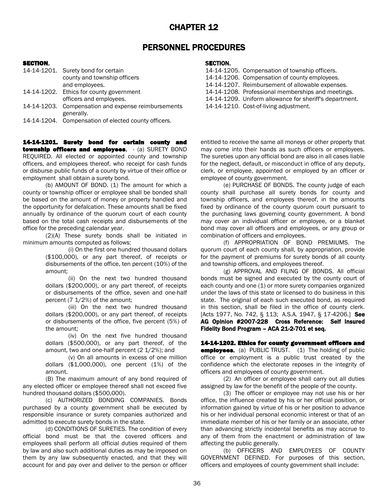## CHAPTER 12

## PERSONNEL PROCEDURES

### SECTION. SECTION.

| county and township officers                         |  |
|------------------------------------------------------|--|
| and employees.                                       |  |
| 14-14-1202. Ethics for county government             |  |
| officers and employees.                              |  |
| 14-14-1203. Compensation and expense reimbursement   |  |
| generally.                                           |  |
| 14-14-1204. Compensation of elected county officers. |  |

14-14-1201. Surety bond for certain county and township officers and employees. - (a) SURETY BOND REQUIRED. All elected or appointed county and township officers, and employees thereof, who receipt for cash funds or disburse public funds of a county by virtue of their office or employment shall obtain a surety bond.

(b) AMOUNT OF BOND. (1) The amount for which a county or township officer or employee shall be bonded shall be based on the amount of money or property handled and the opportunity for defalcation. These amounts shall be fixed annually by ordinance of the quorum court of each county based on the total cash receipts and disbursements of the office for the preceding calendar year.

(2)(A) These surety bonds shall be initiated in minimum amounts computed as follows:

> (i) On the first one hundred thousand dollars (\$100,000), or any part thereof, of receipts or disbursements of the office, ten percent (10%) of the amount;

> (ii) On the next two hundred thousand dollars (\$200,000), or any part thereof, of receipts or disbursements of the office, seven and one-half percent (7 1/2%) of the amount;

> (iii) On the next two hundred thousand dollars (\$200,000), or any part thereof, of receipts or disbursements of the office, five percent (5%) of the amount;

> (iv) On the next five hundred thousand dollars (\$500,000), or any part thereof, of the amount, two and one-half percent (2 1/2%); and

> (v) On all amounts in excess of one million dollars (\$1,000,000), one percent (1%) of the amount.

(B) The maximum amount of any bond required of any elected officer or employee thereof shall not exceed five hundred thousand dollars (\$500,000).

(c) AUTHORIZED BONDING COMPANIES. Bonds purchased by a county government shall be executed by responsible insurance or surety companies authorized and admitted to execute surety bonds in the state.

(d) CONDITIONS OF SURETIES. The condition of every official bond must be that the covered officers and employees shall perform all official duties required of them by law and also such additional duties as may be imposed on them by any law subsequently enacted, and that they will account for and pay over and deliver to the person or officer

14-14-1205. Compensation of township officers.

- 14-14-1206. Compensation of county employees.
- 14-14-1207. Reimbursement of allowable expenses.
- 14-14-1208. Professional memberships and meetings.
- 14-14-1209. Uniform allowance for sheriff's department.
- $14-14-1210$ . Cost-of-living adjustment.

entitled to receive the same all moneys or other property that may come into their hands as such officers or employees. The sureties upon any official bond are also in all cases liable for the neglect, default, or misconduct in office of any deputy, clerk, or employee, appointed or employed by an officer or employee of county government.

(e) PURCHASE OF BONDS. The county judge of each county shall purchase all surety bonds for county and township officers, and employees thereof, in the amounts fixed by ordinance of the county quorum court pursuant to the purchasing laws governing county government. A bond may cover an individual officer or employee, or a blanket bond may cover all officers and employees, or any group or combination of officers and employees.

(f) APPROPRIATION OF BOND PREMIUMS. The quorum court of each county shall, by appropriation, provide for the payment of premiums for surety bonds of all county and township officers, and employees thereof.

(g) APPROVAL AND FILING OF BONDS. All official bonds must be signed and executed by the county court of each county and one (1) or more surety companies organized under the laws of this state or licensed to do business in this state. The original of each such executed bond, as required in this section, shall be filed in the office of county clerk. [Acts 1977, No. 742, § 113; A.S.A. 1947, § 17-4206.] See AG Opinion #2007-228 Cross Reference: Self Insured Fidelity Bond Program – ACA 21-2-701 et seq.

14-14-1202. Ethics for county government officers and **employees.** (a) PUBLIC TRUST. (1) The holding of public office or employment is a public trust created by the confidence which the electorate reposes in the integrity of officers and employees of county government.

(2) An officer or employee shall carry out all duties assigned by law for the benefit of the people of the county.

(3) The officer or employee may not use his or her office, the influence created by his or her official position, or information gained by virtue of his or her position to advance his or her individual personal economic interest or that of an immediate member of his or her family or an associate, other than advancing strictly incidental benefits as may accrue to any of them from the enactment or administration of law affecting the public generally.

(b) OFFICERS AND EMPLOYEES OF COUNTY GOVERNMENT DEFINED. For purposes of this section, officers and employees of county government shall include: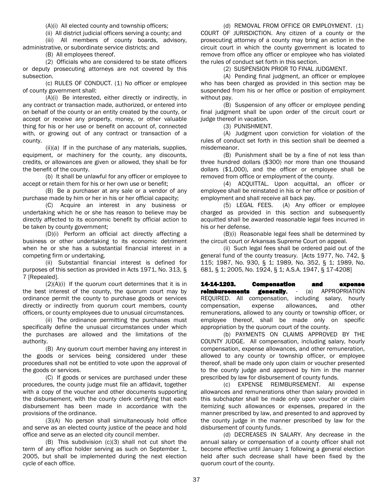(A)(i) All elected county and township officers;

(ii) All district judicial officers serving a county; and

(iii) All members of county boards, advisory, administrative, or subordinate service districts; and

(B) All employees thereof.

(2) Officials who are considered to be state officers or deputy prosecuting attorneys are not covered by this subsection.

(c) RULES OF CONDUCT. (1) No officer or employee of county government shall:

(A)(i) Be interested, either directly or indirectly, in any contract or transaction made, authorized, or entered into on behalf of the county or an entity created by the county, or accept or receive any property, money, or other valuable thing for his or her use or benefit on account of, connected with, or growing out of any contract or transaction of a county.

(ii)(a) If in the purchase of any materials, supplies, equipment, or machinery for the county, any discounts, credits, or allowances are given or allowed, they shall be for the benefit of the county.

(b) It shall be unlawful for any officer or employee to accept or retain them for his or her own use or benefit;

(B) Be a purchaser at any sale or a vendor of any purchase made by him or her in his or her official capacity;

(C) Acquire an interest in any business or undertaking which he or she has reason to believe may be directly affected to its economic benefit by official action to be taken by county government;

(D)(i) Perform an official act directly affecting a business or other undertaking to its economic detriment when he or she has a substantial financial interest in a competing firm or undertaking.

(ii) Substantial financial interest is defined for purposes of this section as provided in Acts 1971, No. 313, § 7 [Repealed].

(2)(A)(i) If the quorum court determines that it is in the best interest of the county, the quorum court may by ordinance permit the county to purchase goods or services directly or indirectly from quorum court members, county officers, or county employees due to unusual circumstances.

(ii) The ordinance permitting the purchases must specifically define the unusual circumstances under which the purchases are allowed and the limitations of the authority.

(B) Any quorum court member having any interest in the goods or services being considered under these procedures shall not be entitled to vote upon the approval of the goods or services.

(C) If goods or services are purchased under these procedures, the county judge must file an affidavit, together with a copy of the voucher and other documents supporting the disbursement, with the county clerk certifying that each disbursement has been made in accordance with the provisions of the ordinance.

(3)(A) No person shall simultaneously hold office and serve as an elected county justice of the peace and hold office and serve as an elected city council member.

(B) This subdivision (c)(3) shall not cut short the term of any office holder serving as such on September 1, 2005, but shall be implemented during the next election cycle of each office.

(d) REMOVAL FROM OFFICE OR EMPLOYMENT. (1) COURT OF JURISDICTION. Any citizen of a county or the prosecuting attorney of a county may bring an action in the circuit court in which the county government is located to remove from office any officer or employee who has violated the rules of conduct set forth in this section.

(2) SUSPENSION PRIOR TO FINAL JUDGMENT.

(A) Pending final judgment, an officer or employee who has been charged as provided in this section may be suspended from his or her office or position of employment without pay.

(B) Suspension of any officer or employee pending final judgment shall be upon order of the circuit court or judge thereof in vacation.

(3) PUNISHMENT.

(A) Judgment upon conviction for violation of the rules of conduct set forth in this section shall be deemed a misdemeanor.

(B) Punishment shall be by a fine of not less than three hundred dollars (\$300) nor more than one thousand dollars (\$1,000), and the officer or employee shall be removed from office or employment of the county.

(4) ACQUITTAL. Upon acquittal, an officer or employee shall be reinstated in his or her office or position of employment and shall receive all back pay.

(5) LEGAL FEES. (A) Any officer or employee charged as provided in this section and subsequently acquitted shall be awarded reasonable legal fees incurred in his or her defense.

(B)(i) Reasonable legal fees shall be determined by the circuit court or Arkansas Supreme Court on appeal.

(ii) Such legal fees shall be ordered paid out of the general fund of the county treasury. [Acts 1977, No. 742, § 115; 1987, No. 930, § 1; 1989, No. 352, § 1; 1989, No. 681, § 1; 2005, No. 1924, § 1; A.S.A. 1947, § 17-4208]

14-14-1203. Compensation and expense reimbursements generally. - (a) APPROPRIATION REQUIRED. All compensation, including salary, hourly compensation, expense allowances, and other remunerations, allowed to any county or township officer, or employee thereof, shall be made only on specific appropriation by the quorum court of the county.

(b) PAYMENTS ON CLAIMS APPROVED BY THE COUNTY JUDGE. All compensation, including salary, hourly compensation, expense allowances, and other remuneration, allowed to any county or township officer, or employee thereof, shall be made only upon claim or voucher presented to the county judge and approved by him in the manner prescribed by law for disbursement of county funds.

(c) EXPENSE REIMBURSEMENT. All expense allowances and remunerations other than salary provided in this subchapter shall be made only upon voucher or claim itemizing such allowances or expenses, prepared in the manner prescribed by law, and presented to and approved by the county judge in the manner prescribed by law for the disbursement of county funds.

(d) DECREASES IN SALARY. Any decrease in the annual salary or compensation of a county officer shall not become effective until January 1 following a general election held after such decrease shall have been fixed by the quorum court of the county.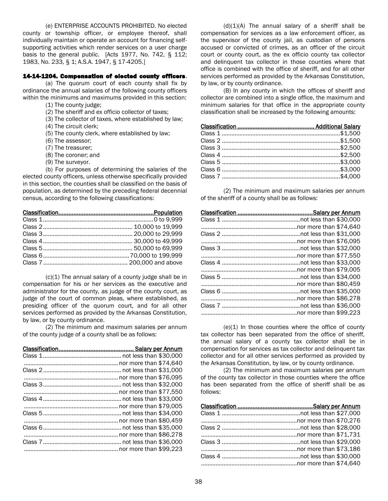(e) ENTERPRISE ACCOUNTS PROHIBITED. No elected county or township officer, or employee thereof, shall individually maintain or operate an account for financing selfsupporting activities which render services on a user charge basis to the general public. [Acts 1977, No. 742, § 112; 1983, No. 233, § 1; A.S.A. 1947, § 17-4205.]

#### 14-14-1204. Compensation of elected county officers.

(a) The quorum court of each county shall fix by ordinance the annual salaries of the following county officers within the minimums and maximums provided in this section:

- (1) The county judge;
- (2) The sheriff and ex officio collector of taxes;
- (3) The collector of taxes, where established by law;
- (4) The circuit clerk;
- (5) The county clerk, where established by law;
- (6) The assessor;
- (7) The treasurer;
- (8) The coroner; and
- (9) The surveyor.

(b) For purposes of determining the salaries of the elected county officers, unless otherwise specifically provided in this section, the counties shall be classified on the basis of population, as determined by the preceding federal decennial census, according to the following classifications:

(c)(1) The annual salary of a county judge shall be in compensation for his or her services as the executive and administrator for the county, as judge of the county court, as judge of the court of common pleas, where established, as presiding officer of the quorum court, and for all other services performed as provided by the Arkansas Constitution, by law, or by county ordinance.

(2) The minimum and maximum salaries per annum of the county judge of a county shall be as follows:

 $(d)(1)(A)$  The annual salary of a sheriff shall be compensation for services as a law enforcement officer, as the supervisor of the county jail, as custodian of persons accused or convicted of crimes, as an officer of the circuit court or county court, as the ex officio county tax collector and delinquent tax collector in those counties where that office is combined with the office of sheriff, and for all other services performed as provided by the Arkansas Constitution, by law, or by county ordinance.

(B) In any county in which the offices of sheriff and collector are combined into a single office, the maximum and minimum salaries for that office in the appropriate county classification shall be increased by the following amounts:

(2) The minimum and maximum salaries per annum of the sheriff of a county shall be as follows:

 $(e)(1)$  In those counties where the office of county tax collector has been separated from the office of sheriff, the annual salary of a county tax collector shall be in compensation for services as tax collector and delinquent tax collector and for all other services performed as provided by the Arkansas Constitution, by law, or by county ordinance.

(2) The minimum and maximum salaries per annum of the county tax collector in those counties where the office has been separated from the office of sheriff shall be as follows: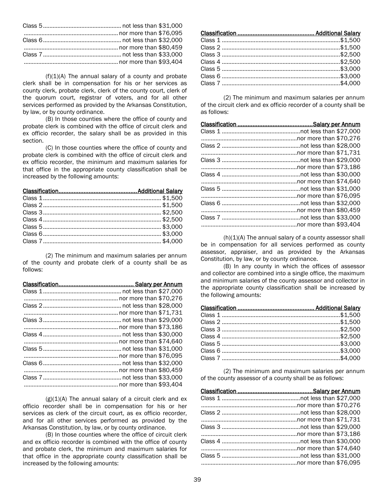$(f)(1)(A)$  The annual salary of a county and probate clerk shall be in compensation for his or her services as county clerk, probate clerk, clerk of the county court, clerk of the quorum court, registrar of voters, and for all other services performed as provided by the Arkansas Constitution, by law, or by county ordinance.

(B) In those counties where the office of county and probate clerk is combined with the office of circuit clerk and ex officio recorder, the salary shall be as provided in this section.

(C) In those counties where the office of county and probate clerk is combined with the office of circuit clerk and ex officio recorder, the minimum and maximum salaries for that office in the appropriate county classification shall be increased by the following amounts:

(2) The minimum and maximum salaries per annum of the county and probate clerk of a county shall be as follows:

 $(g)(1)(A)$  The annual salary of a circuit clerk and ex officio recorder shall be in compensation for his or her services as clerk of the circuit court, as ex officio recorder, and for all other services performed as provided by the Arkansas Constitution, by law, or by county ordinance.

(B) In those counties where the office of circuit clerk and ex officio recorder is combined with the office of county and probate clerk, the minimum and maximum salaries for that office in the appropriate county classification shall be increased by the following amounts:

(2) The minimum and maximum salaries per annum of the circuit clerk and ex officio recorder of a county shall be as follows:

 $(h)(1)(A)$  The annual salary of a county assessor shall be in compensation for all services performed as county assessor, appraiser, and as provided by the Arkansas Constitution, by law, or by county ordinance.

(B) In any county in which the offices of assessor and collector are combined into a single office, the maximum and minimum salaries of the county assessor and collector in the appropriate county classification shall be increased by the following amounts:

(2) The minimum and maximum salaries per annum of the county assessor of a county shall be as follows: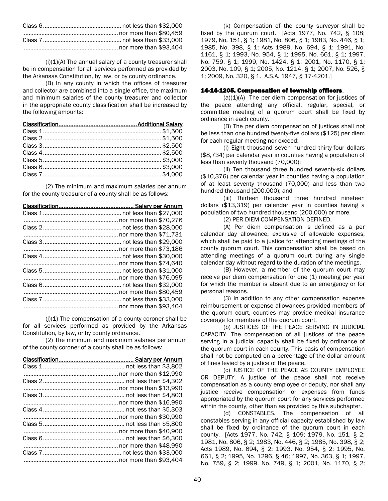$(i)(1)(A)$  The annual salary of a county treasurer shall be in compensation for all services performed as provided by the Arkansas Constitution, by law, or by county ordinance.

(B) In any county in which the offices of treasurer and collector are combined into a single office, the maximum and minimum salaries of the county treasurer and collector in the appropriate county classification shall be increased by the following amounts:

(2) The minimum and maximum salaries per annum for the county treasurer of a county shall be as follows:

 $(i)(1)$  The compensation of a county coroner shall be for all services performed as provided by the Arkansas Constitution, by law, or by county ordinance.

(2) The minimum and maximum salaries per annum of the county coroner of a county shall be as follows:

(k) Compensation of the county surveyor shall be fixed by the quorum court. [Acts 1977, No. 742, § 108; 1979, No. 151, § 1; 1981, No. 806, § 1; 1983, No. 446, § 1; 1985, No. 398, § 1; Acts 1989, No. 694, § 1; 1991, No. 1161, § 1; [1993, No. 954,](http://www.loislaw.com/pns/doclink.htp?dockey=1184523@ARACTS&alias=ARACTS&cite=Act+954+of+1993#PR0) § 1; 1995, No. 661, § 1; [1997,](http://www.loislaw.com/pns/doclink.htp?dockey=1182475@ARACTS&alias=ARACTS&cite=Act+759+of+1997#PR0)  [No. 759,](http://www.loislaw.com/pns/doclink.htp?dockey=1182475@ARACTS&alias=ARACTS&cite=Act+759+of+1997#PR0) § 1; [1999, No. 1424,](http://www.loislaw.com/pns/doclink.htp?dockey=7070014@ARACTS&alias=ARACTS&cite=Act+1424+of+1999#PR0) § 1; [2001, No. 1170,](http://www.loislaw.com/pns/doclink.htp?dockey=12833672@ARACTS&alias=ARACTS&cite=Act+1170+of+2001#PR0) § 1; [2003, No. 109,](http://www.loislaw.com/pns/doclink.htp?dockey=15774622@ARACTS&alias=ARACTS&cite=Act+109+of+2003#PR0) § 1; [2005, No. 1214,](http://www.loislaw.com/pns/doclink.htp?dockey=17787774@ARACTS&alias=ARACTS&cite=Act+1214+of+2005#PR0) § 1; [2007, No. 526,](http://www.loislaw.com/pns/doclink.htp?dockey=20243386@ARACTS&alias=ARACTS&cite=Act+526+of+2007#PR0) § 1[; 2009, No. 320,](http://www.loislaw.com/pns/doclink.htp?dockey=22386919@ARACTS&alias=ARACTS&cite=Act+320+of+2009#PR0) § 1. A.S.A. 1947, § 17-4201.]

### 14-14-1205. Compensation of township officers.

 $(a)(1)(A)$  The per diem compensation for justices of the peace attending any official, regular, special, or committee meeting of a quorum court shall be fixed by ordinance in each county.

(B) The per diem compensation of justices shall not be less than one hundred twenty-five dollars (\$125) per diem for each regular meeting nor exceed:

(i) Eight thousand seven hundred thirty-four dollars (\$8,734) per calendar year in counties having a population of less than seventy thousand (70,000);

(ii) Ten thousand three hundred seventy-six dollars (\$10,376) per calendar year in counties having a population of at least seventy thousand (70,000) and less than two hundred thousand (200,000); and

(iii) Thirteen thousand three hundred nineteen dollars (\$13,319) per calendar year in counties having a population of two hundred thousand (200,000) or more.

(2) PER DIEM COMPENSATION DEFINED.

(A) Per diem compensation is defined as a per calendar day allowance, exclusive of allowable expenses, which shall be paid to a justice for attending meetings of the county quorum court. This compensation shall be based on attending meetings of a quorum court during any single calendar day without regard to the duration of the meetings.

(B) However, a member of the quorum court may receive per diem compensation for one (1) meeting per year for which the member is absent due to an emergency or for personal reasons.

(3) In addition to any other compensation expense reimbursement or expense allowances provided members of the quorum court, counties may provide medical insurance coverage for members of the quorum court.

(b) JUSTICES OF THE PEACE SERVING IN JUDICIAL CAPACITY. The compensation of all justices of the peace serving in a judicial capacity shall be fixed by ordinance of the quorum court in each county. This basis of compensation shall not be computed on a percentage of the dollar amount of fines levied by a justice of the peace.

(c) JUSTICE OF THE PEACE AS COUNTY EMPLOYEE OR DEPUTY. A justice of the peace shall not receive compensation as a county employee or deputy, nor shall any justice receive compensation or expenses from funds appropriated by the quorum court for any services performed within the county, other than as provided by this subchapter.

(d) CONSTABLES. The compensation of all constables serving in any official capacity established by law shall be fixed by ordinance of the quorum court in each county. [Acts 1977, No. 742, § 109; 1979, No. 151, § 2; 1981, No. 806, § 2; 1983, No. 446, § 2; 1985, No. 398, § 2; Acts 1989, No. 694, § 2; [1993, No. 954,](http://www.loislaw.com/pns/doclink.htp?dockey=1184523@ARACTS&alias=ARACTS&cite=Act+954+of+1993#PR0) § 2; 1995, No. 661, § 2; [1995, No. 1296,](http://www.loislaw.com/pns/doclink.htp?dockey=1183821@ARACTS&alias=ARACTS&cite=Act+1296+of+1995#PR0) § 46; [1997, No. 363,](http://www.loislaw.com/pns/doclink.htp?dockey=1182079@ARACTS&alias=ARACTS&cite=Act+363+of+1997#PR0) § 1; [1997,](http://www.loislaw.com/pns/doclink.htp?dockey=1182475@ARACTS&alias=ARACTS&cite=Act+759+of+1997#PR0)  [No. 759,](http://www.loislaw.com/pns/doclink.htp?dockey=1182475@ARACTS&alias=ARACTS&cite=Act+759+of+1997#PR0) § 2; [1999, No. 749,](http://www.loislaw.com/pns/doclink.htp?dockey=6417051@ARACTS&alias=ARACTS&cite=Act+749+of+1999#PR0) § 1; [2001, No. 1170,](http://www.loislaw.com/pns/doclink.htp?dockey=12833672@ARACTS&alias=ARACTS&cite=Act+1170+of+2001#PR0) § 2;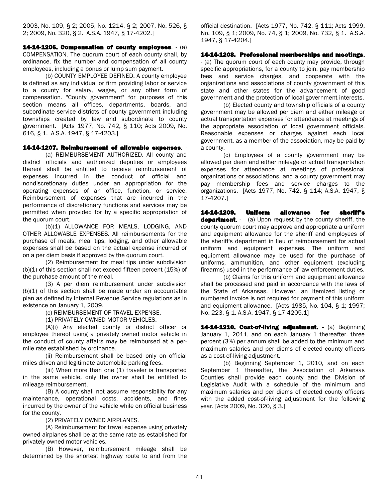[2003, No. 109,](http://www.loislaw.com/pns/doclink.htp?dockey=15774622@ARACTS&alias=ARACTS&cite=Act+109+of+2003#PR0) § 2; [2005, No. 1214,](http://www.loislaw.com/pns/doclink.htp?dockey=17787774@ARACTS&alias=ARACTS&cite=Act+1214+of+2005#PR0) § 2; [2007, No. 526,](http://www.loislaw.com/pns/doclink.htp?dockey=20243386@ARACTS&alias=ARACTS&cite=Act+526+of+2007#PR0) § 2; [2009, No. 320,](http://www.loislaw.com/pns/doclink.htp?dockey=22386919@ARACTS&alias=ARACTS&cite=Act+320+of+2009#PR0) § 2. A.S.A. 1947, § 17-4202.]

14-14-1206. Compensation of county employees. - (a) COMPENSATION. The quorum court of each county shall, by ordinance, fix the number and compensation of all county employees, including a bonus or lump sum payment.

(b) COUNTY EMPLOYEE DEFINED. A county employee is defined as any individual or firm providing labor or service to a county for salary, wages, or any other form of compensation. "County government" for purposes of this section means all offices, departments, boards, and subordinate service districts of county government including townships created by law and subordinate to county government. [Acts 1977, No. 742, § 110; Acts [2009, No.](http://www.loislaw.com/pns/doclink.htp?dockey=22472354@ARACTS&alias=ARACTS&cite=Act+616+of+2009#PR0) [616,](http://www.loislaw.com/pns/doclink.htp?dockey=22472354@ARACTS&alias=ARACTS&cite=Act+616+of+2009#PR0) § 1. A.S.A. 1947, § 17-4203.]

### 14-14-1207. Reimbursement of allowable expenses. -

(a) REIMBURSEMENT AUTHORIZED. All county and district officials and authorized deputies or employees thereof shall be entitled to receive reimbursement of expenses incurred in the conduct of official and nondiscretionary duties under an appropriation for the operating expenses of an office, function, or service. Reimbursement of expenses that are incurred in the performance of discretionary functions and services may be permitted when provided for by a specific appropriation of the quorum court.

(b)(1) ALLOWANCE FOR MEALS, LODGING, AND OTHER ALLOWABLE EXPENSES. All reimbursements for the purchase of meals, meal tips, lodging, and other allowable expenses shall be based on the actual expense incurred or on a per diem basis if approved by the quorum court.

(2) Reimbursement for meal tips under subdivision (b)(1) of this section shall not exceed fifteen percent (15%) of the purchase amount of the meal.

(3) A per diem reimbursement under subdivision  $(b)(1)$  of this section shall be made under an accountable plan as defined by Internal Revenue Service regulations as in existence on January 1, 2009.

(c) REIMBURSEMENT OF TRAVEL EXPENSE.

(1) PRIVATELY OWNED MOTOR VEHICLES.

(A)(i) Any elected county or district officer or employee thereof using a privately owned motor vehicle in the conduct of county affairs may be reimbursed at a permile rate established by ordinance.

(ii) Reimbursement shall be based only on official miles driven and legitimate automobile parking fees.

(iii) When more than one (1) traveler is transported in the same vehicle, only the owner shall be entitled to mileage reimbursement.

(B) A county shall not assume responsibility for any maintenance, operational costs, accidents, and fines incurred by the owner of the vehicle while on official business for the county.

(2) PRIVATELY OWNED AIRPLANES.

(A) Reimbursement for travel expense using privately owned airplanes shall be at the same rate as established for privately owned motor vehicles.

(B) However, reimbursement mileage shall be determined by the shortest highway route to and from the official destination. [Acts 1977, No. 742, § 111; Acts [1999,](http://www.loislaw.com/pns/doclink.htp?dockey=6112754@ARACTS&alias=ARACTS&cite=Act+109+of+1999#PR0)  [No. 109,](http://www.loislaw.com/pns/doclink.htp?dockey=6112754@ARACTS&alias=ARACTS&cite=Act+109+of+1999#PR0) § 1; [2009, No. 74,](http://www.loislaw.com/pns/doclink.htp?dockey=22307477@ARACTS&alias=ARACTS&cite=Act+74+of+2009#PR0) § 1; [2009, No. 732,](http://www.loislaw.com/pns/doclink.htp?dockey=22484387@ARACTS&alias=ARACTS&cite=Act+732+of+2009#PR0) § 1. A.S.A. 1947, § 17-4204.]

#### 14-14-1208. Professional memberships and meetings.

- (a) The quorum court of each county may provide, through specific appropriations, for a county to join, pay membership fees and service charges, and cooperate with the organizations and associations of county government of this state and other states for the advancement of good government and the protection of local government interests.

(b) Elected county and township officials of a county government may be allowed per diem and either mileage or actual transportation expenses for attendance at meetings of the appropriate association of local government officials. Reasonable expenses or charges against each local government, as a member of the association, may be paid by a county.

(c) Employees of a county government may be allowed per diem and either mileage or actual transportation expenses for attendance at meetings of professional organizations or associations, and a county government may pay membership fees and service charges to the organizations. [Acts 1977, No. 742, § 114; A.S.A. 1947, § 17-4207.]

14-14-1209. Uniform allowance for sheriff's **department.** - (a) Upon request by the county sheriff, the county quorum court may approve and appropriate a uniform and equipment allowance for the sheriff and employees of the sheriff's department in lieu of reimbursement for actual uniform and equipment expenses. The uniform and equipment allowance may be used for the purchase of uniforms, ammunition, and other equipment (excluding firearms) used in the performance of law enforcement duties.

 (b) Claims for this uniform and equipment allowance shall be processed and paid in accordance with the laws of the State of Arkansas. However, an itemized listing or numbered invoice is not required for payment of this uniform and equipment allowance. [Acts 1985, No. 104, § 1; 1997; No. 223, § 1. A.S.A. 1947, § 17-4205.1]

14-14-1210. Cost-of-living adjustment. - (a) Beginning January 1, 2011, and on each January 1 thereafter, three percent (3%) per annum shall be added to the minimum and maximum salaries and per diems of elected county officers as a cost-of-living adjustment.

(b) Beginning September 1, 2010, and on each September 1 thereafter, the Association of Arkansas Counties shall provide each county and the Division of Legislative Audit with a schedule of the minimum and maximum salaries and per diems of elected county officers with the added cost-of-living adjustment for the following year. [Acts [2009, No. 320,](http://www.loislaw.com/pns/doclink.htp?dockey=22386919@ARACTS&alias=ARACTS&cite=Act+320+of+2009#PR0) § 3.]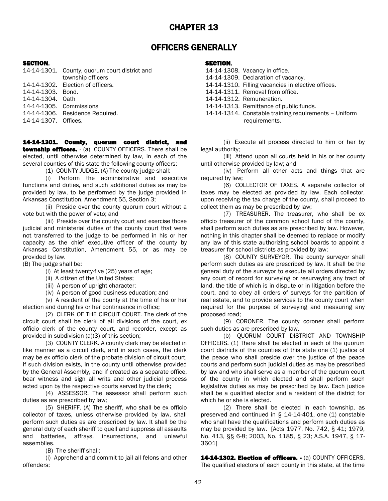## OFFICERS GENERALLY

### SECTION. SECTION AND SECTION AND SECTION.

|                      | 14-14-1301. County, quorum court district and<br>township officers |
|----------------------|--------------------------------------------------------------------|
|                      | 14-14-1302. Election of officers.                                  |
| 14-14-1303. Bond.    |                                                                    |
| 14-14-1304, Oath     |                                                                    |
|                      | 14-14-1305. Commissions                                            |
|                      | 14-14-1306. Residence Required.                                    |
| 14-14-1307. Offices. |                                                                    |
|                      |                                                                    |

14-14-1301. County, quorum court district, and township officers. - (a) COUNTY OFFICERS. There shall be elected, until otherwise determined by law, in each of the several counties of this state the following county officers:

(1) COUNTY JUDGE. (A) The county judge shall:

(i) Perform the administrative and executive functions and duties, and such additional duties as may be provided by law, to be performed by the judge provided in Arkansas Constitution, Amendment 55, Section 3;

(ii) Preside over the county quorum court without a vote but with the power of veto; and

(iii) Preside over the county court and exercise those judicial and ministerial duties of the county court that were not transferred to the judge to be performed in his or her capacity as the chief executive officer of the county by Arkansas Constitution, Amendment 55, or as may be provided by law.

(B) The judge shall be:

(i) At least twenty-five (25) years of age;

(ii) A citizen of the United States;

(iii) A person of upright character;

(iv) A person of good business education; and

(v) A resident of the county at the time of his or her election and during his or her continuance in office;

(2) CLERK OF THE CIRCUIT COURT. The clerk of the circuit court shall be clerk of all divisions of the court, ex officio clerk of the county court, and recorder, except as provided in subdivision (a)(3) of this section;

(3) COUNTY CLERK. A county clerk may be elected in like manner as a circuit clerk, and in such cases, the clerk may be ex officio clerk of the probate division of circuit court, if such division exists, in the county until otherwise provided by the General Assembly, and if created as a separate office, bear witness and sign all writs and other judicial process acted upon by the respective courts served by the clerk;

(4) ASSESSOR. The assessor shall perform such duties as are prescribed by law;

(5) SHERIFF. (A) The sheriff, who shall be ex officio collector of taxes, unless otherwise provided by law, shall perform such duties as are prescribed by law. It shall be the general duty of each sheriff to quell and suppress all assaults and batteries, affrays, insurrections, and unlawful assemblies.

(B) The sheriff shall:

(i) Apprehend and commit to jail all felons and other offenders;

14-14-1308. Vacancy in office.

- 14-14-1309. Declaration of vacancy.
- 14-14-1310. Filling vacancies in elective offices.
- 14-14-1311. Removal from office.
- 14-14-1312. Remuneration
- 14-14-1313. Remittance of public funds.
- 14-14-1314. Constable training requirements Uniform requirements.

(ii) Execute all process directed to him or her by legal authority;

(iii) Attend upon all courts held in his or her county until otherwise provided by law; and

(iv) Perform all other acts and things that are required by law;

(6) COLLECTOR OF TAXES. A separate collector of taxes may be elected as provided by law. Each collector, upon receiving the tax charge of the county, shall proceed to collect them as may be prescribed by law;

(7) TREASURER. The treasurer, who shall be ex officio treasurer of the common school fund of the county, shall perform such duties as are prescribed by law. However, nothing in this chapter shall be deemed to replace or modify any law of this state authorizing school boards to appoint a treasurer for school districts as provided by law;

(8) COUNTY SURVEYOR. The county surveyor shall perform such duties as are prescribed by law. It shall be the general duty of the surveyor to execute all orders directed by any court of record for surveying or resurveying any tract of land, the title of which is in dispute or in litigation before the court, and to obey all orders of surveys for the partition of real estate, and to provide services to the county court when required for the purpose of surveying and measuring any proposed road;

(9) CORONER. The county coroner shall perform such duties as are prescribed by law.

(b) QUORUM COURT DISTRICT AND TOWNSHIP OFFICERS. (1) There shall be elected in each of the quorum court districts of the counties of this state one (1) justice of the peace who shall preside over the justice of the peace courts and perform such judicial duties as may be prescribed by law and who shall serve as a member of the quorum court of the county in which elected and shall perform such legislative duties as may be prescribed by law. Each justice shall be a qualified elector and a resident of the district for which he or she is elected.

(2) There shall be elected in each township, as preserved and continued in § [14-14-401,](http://170.94.58.9/NXT/gateway.dll?f=id$id=ARCODE_OL.NFO%3Ar%3A56af$cid=ARCODE_OL.NFO$t=document-frame.htm$an=JD_14-14-401$3.0#JD_14-14-401) one (1) constable who shall have the qualifications and perform such duties as may be provided by law. [Acts 1977, No. 742, § 41; 1979, No. 413, §§ 6-8; 2003, No. 1185, § 23; A.S.A. 1947, § 17- 3601]

14-14-1302. Election of officers. - (a) COUNTY OFFICERS. The qualified electors of each county in this state, at the time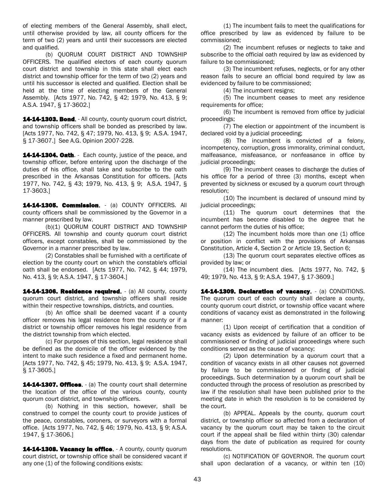of electing members of the General Assembly, shall elect, until otherwise provided by law, all county officers for the term of two (2) years and until their successors are elected and qualified.

(b) QUORUM COURT DISTRICT AND TOWNSHIP OFFICERS. The qualified electors of each county quorum court district and township in this state shall elect each district and township officer for the term of two (2) years and until his successor is elected and qualified. Election shall be held at the time of electing members of the General Assembly. [Acts 1977, No. 742, § 42; 1979, No. 413, § 9; A.S.A. 1947, § 17-3602.]

14-14-1303. Bond. - All county, county quorum court district, and township officers shall be bonded as prescribed by law. [Acts 1977, No. 742, § 47; 1979, No. 413, § 9; A.S.A. 1947, § 17-3607.] See A.G. Opinion 2007-228.

14-14-1304. Oath. - Each county, justice of the peace, and township officer, before entering upon the discharge of the duties of his office, shall take and subscribe to the oath prescribed in the Arkansas Constitution for officers. [Acts 1977, No. 742, § 43; 1979, No. 413, § 9; A.S.A. 1947, § 17-3603.]

14-14-1305. Commission. - (a) COUNTY OFFICERS. All county officers shall be commissioned by the Governor in a manner prescribed by law.

(b)(1) QUORUM COURT DISTRICT AND TOWNSHIP OFFICERS. All township and county quorum court district officers, except constables, shall be commissioned by the Governor in a manner prescribed by law.

(2) Constables shall be furnished with a certificate of election by the county court on which the constable's official oath shall be endorsed. [Acts 1977, No. 742, § 44; 1979, No. 413, § 9; A.S.A. 1947, § 17-3604.]

14-14-1306. Residence required. - (a) All county, county quorum court district, and township officers shall reside within their respective townships, districts, and counties.

(b) An office shall be deemed vacant if a county officer removes his legal residence from the county or if a district or township officer removes his legal residence from the district township from which elected.

(c) For purposes of this section, legal residence shall be defined as the domicile of the officer evidenced by the intent to make such residence a fixed and permanent home. [Acts 1977, No. 742, § 45; 1979, No. 413, § 9; A.S.A. 1947, § 17-3605.]

14-14-1307. Offices. - (a) The county court shall determine the location of the office of the various county, county quorum court district, and township officers.

(b) Nothing in this section, however, shall be construed to compel the county court to provide justices of the peace, constables, coroners, or surveyors with a formal office. [Acts 1977, No. 742, § 46; 1979, No. 413, § 9; A.S.A. 1947, § 17-3606.]

14-14-1308. Vacancy In office. - A county, county quorum court district, or township office shall be considered vacant if any one (1) of the following conditions exists:

(1) The incumbent fails to meet the qualifications for office prescribed by law as evidenced by failure to be commissioned;

(2) The incumbent refuses or neglects to take and subscribe to the official oath required by law as evidenced by failure to be commissioned;

(3) The incumbent refuses, neglects, or for any other reason fails to secure an official bond required by law as evidenced by failure to be commissioned;

(4) The incumbent resigns;

(5) The incumbent ceases to meet any residence requirements for office;

(6) The incumbent is removed from office by judicial proceedings;

(7) The election or appointment of the incumbent is declared void by a judicial proceeding;

(8) The incumbent is convicted of a felony, incompetency, corruption, gross immorality, criminal conduct, malfeasance, misfeasance, or nonfeasance in office by judicial proceedings;

(9) The incumbent ceases to discharge the duties of his office for a period of three (3) months, except when prevented by sickness or excused by a quorum court through resolution;

(10) The incumbent is declared of unsound mind by judicial proceedings;

(11) The quorum court determines that the incumbent has become disabled to the degree that he cannot perform the duties of his office;

 $(12)$  The incumbent holds more than one  $(1)$  office or position in conflict with the provisions of Arkansas Constitution, Article 4, Section 2 or Article 19, Section 6;

(13) The quorum court separates elective offices as provided by law; or

(14) The incumbent dies. [Acts 1977, No. 742, § 49; 1979, No. 413, § 9; A.S.A. 1947, § 17-3609.]

14-14-1309. Declaration of vacancy. - (a) CONDITIONS. The quorum court of each county shall declare a county, county quorum court district, or township office vacant where conditions of vacancy exist as demonstrated in the following manner:

(1) Upon receipt of certification that a condition of vacancy exists as evidenced by failure of an officer to be commissioned or finding of judicial proceedings where such conditions served as the cause of vacancy;

(2) Upon determination by a quorum court that a condition of vacancy exists in all other causes not governed by failure to be commissioned or finding of judicial proceedings. Such determination by a quorum court shall be conducted through the process of resolution as prescribed by law if the resolution shall have been published prior to the meeting date in which the resolution is to be considered by the court.

(b) APPEAL. Appeals by the county, quorum court district, or township officer so affected from a declaration of vacancy by the quorum court may be taken to the circuit court if the appeal shall be filed within thirty (30) calendar days from the date of publication as required for county resolutions.

(c) NOTIFICATION OF GOVERNOR. The quorum court shall upon declaration of a vacancy, or within ten (10)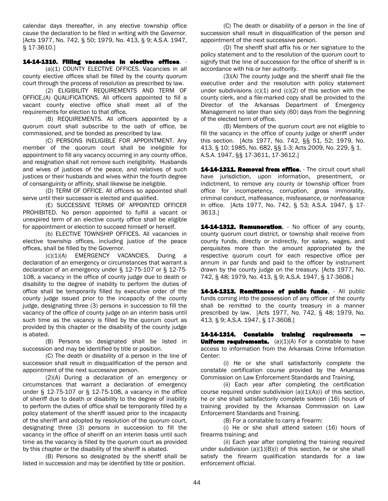calendar days thereafter, in any elective township office cause the declaration to be filed in writing with the Governor. [Acts 1977, No. 742, § 50; 1979, No. 413, § 9; A.S.A. 1947, § 17-3610.]

### 14-14-1310. Filling vacancies in elective offices. -

(a)(1) COUNTY ELECTIVE OFFICES. Vacancies in all county elective offices shall be filled by the county quorum court through the process of resolution as prescribed by law.

(2) ELIGIBILITY REQUIREMENTS AND TERM OF OFFICE.(A) QUALIFICATIONS. All officers appointed to fill a vacant county elective office shall meet all of the requirements for election to that office.

(B) REQUIREMENTS. All officers appointed by a quorum court shall subscribe to the oath of office, be commissioned, and be bonded as prescribed by law.

(C) PERSONS INELIGIBLE FOR APPOINTMENT. Any member of the quorum court shall be ineligible for appointment to fill any vacancy occurring in any county office, and resignation shall not remove such ineligibility. Husbands and wives of justices of the peace, and relatives of such justices or their husbands and wives within the fourth degree of consanguinity or affinity, shall likewise be ineligible.

(D) TERM OF OFFICE. All officers so appointed shall serve until their successor is elected and qualified.

(E) SUCCESSIVE TERMS OF APPOINTED OFFICER PROHIBITED. No person appointed to fulfill a vacant or unexpired term of an elective county office shall be eligible for appointment or election to succeed himself or herself.

(b) ELECTIVE TOWNSHIP OFFICES. All vacancies in elective township offices, including justice of the peace offices, shall be filled by the Governor.

(c)(1)(A) EMERGENCY VACANCIES. During a declaration of an emergency or circumstances that warrant a declaration of an emergency under § [12-75-107](http://www.loislaw.com/pns/doclink.htp?dockey=810310@ARCODE&alias=ARCODE&cite=12-75-107) or § [12-75-](http://www.loislaw.com/pns/doclink.htp?dockey=810311@ARCODE&alias=ARCODE&cite=12-75-108) [108,](http://www.loislaw.com/pns/doclink.htp?dockey=810311@ARCODE&alias=ARCODE&cite=12-75-108) a vacancy in the office of county judge due to death or disability to the degree of inability to perform the duties of office shall be temporarily filled by executive order of the county judge issued prior to the incapacity of the county judge, designating three (3) persons in succession to fill the vacancy of the office of county judge on an interim basis until such time as the vacancy is filled by the quorum court as provided by this chapter or the disability of the county judge is abated.

(B) Persons so designated shall be listed in succession and may be identified by title or position.

(C) The death or disability of a person in the line of succession shall result in disqualification of the person and appointment of the next successive person.

(2)(A) During a declaration of an emergency or circumstances that warrant a declaration of emergency under § [12-75-107](http://www.loislaw.com/pns/doclink.htp?dockey=810310@ARCODE&alias=ARCODE&cite=12-75-107) or § [12-75-108,](http://www.loislaw.com/pns/doclink.htp?dockey=810311@ARCODE&alias=ARCODE&cite=12-75-108) a vacancy in the office of sheriff due to death or disability to the degree of inability to perform the duties of office shall be temporarily filled by a policy statement of the sheriff issued prior to the incapacity of the sheriff and adopted by resolution of the quorum court, designating three (3) persons in succession to fill the vacancy in the office of sheriff on an interim basis until such time as the vacancy is filled by the quorum court as provided by this chapter or the disability of the sheriff is abated.

(B) Persons so designated by the sheriff shall be listed in succession and may be identified by title or position.

(C) The death or disability of a person in the line of succession shall result in disqualification of the person and appointment of the next successive person.

(D) The sheriff shall affix his or her signature to the policy statement and to the resolution of the quorum court to signify that the line of succession for the office of sheriff is in accordance with his or her authority.

(3)(A) The county judge and the sheriff shall file the executive order and the resolution with policy statement under subdivisions  $(c)(1)$  and  $(c)(2)$  of this section with the county clerk, and a file-marked copy shall be provided to the Director of the Arkansas Department of Emergency Management no later than sixty (60) days from the beginning of the elected term of office.

(B) Members of the quorum court are not eligible to fill the vacancy in the office of county judge or sheriff under this section. [Acts 1977, No. 742, §§ 51, 52; 1979, No. 413, § 10; 1985, No. 682, §§ 1-3; Acts [2009, No. 229,](http://www.loislaw.com/pns/doclink.htp?dockey=23023360@ARACTS&alias=ARACTS&cite=Act+229+of+2009#PR0) § 1. A.S.A. 1947, §§ 17-3611, 17-3612.]

14-14-1311. Removal from office. - The circuit court shall have jurisdiction, upon information, presentment, or indictment, to remove any county or township officer from office for incompetency, corruption, gross immorality, criminal conduct, malfeasance, misfeasance, or nonfeasance in office. [Acts 1977, No. 742, § 53; A.S.A. 1947, § 17- 3613.]

14-14-1312. Remuneration. - No officer of any county, county quorum court district, or township shall receive from county funds, directly or indirectly, for salary, wages, and perquisites more than the amount appropriated by the respective quorum court for each respective office per annum in par funds and paid to the officer by instrument drawn by the county judge on the treasury. [Acts 1977, No. 742, § 48; 1979, No. 413, § 9; A.S.A. 1947, § 17-3608.]

14-14-1313. Remittance of public funds. - All public funds coming into the possession of any officer of the county shall be remitted to the county treasury in a manner prescribed by law. [Acts 1977, No. 742, § 48; 1979, No. 413, § 9; A.S.A. 1947, § 17-3608.]

14-14-1314. Constable training requirements **Uniform requirements.** (a) $(1)(A)$  For a constable to have access to information from the Arkansas Crime Information Center:

(i) He or she shall satisfactorily complete the constable certification course provided by the Arkansas Commission on Law Enforcement Standards and Training.

(ii) Each year after completing the certification course required under subdivision (a)(1)(A)(i) of this section, he or she shall satisfactorily complete sixteen (16) hours of training provided by the Arkansas Commission on Law Enforcement Standards and Training.

(B) For a constable to carry a firearm:

(i) He or she shall attend sixteen (16) hours of firearms training; and

(ii) Each year after completing the training required under subdivision  $(a)(1)(B)(i)$  of this section, he or she shall satisfy the firearm qualification standards for a law enforcement official.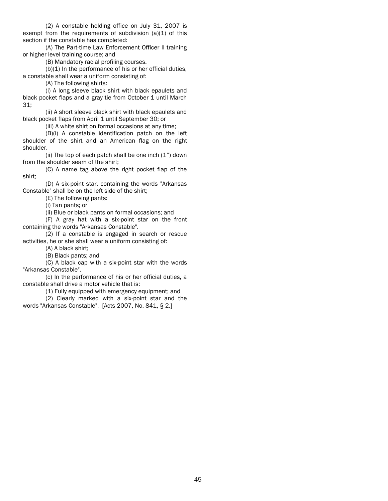(2) A constable holding office on July 31, 2007 is exempt from the requirements of subdivision  $(a)(1)$  of this section if the constable has completed:

(A) The Part-time Law Enforcement Officer II training or higher level training course; and

(B) Mandatory racial profiling courses.

(b)(1) In the performance of his or her official duties, a constable shall wear a uniform consisting of:

(A) The following shirts:

(i) A long sleeve black shirt with black epaulets and black pocket flaps and a gray tie from October 1 until March 31;

(ii) A short sleeve black shirt with black epaulets and black pocket flaps from April 1 until September 30; or

(iii) A white shirt on formal occasions at any time;

(B)(i) A constable identification patch on the left shoulder of the shirt and an American flag on the right shoulder.

(ii) The top of each patch shall be one inch  $(1")$  down from the shoulder seam of the shirt;

(C) A name tag above the right pocket flap of the shirt;

(D) A six-point star, containing the words "Arkansas Constable" shall be on the left side of the shirt;

(E) The following pants:

(i) Tan pants; or

(ii) Blue or black pants on formal occasions; and

(F) A gray hat with a six-point star on the front containing the words "Arkansas Constable".

(2) If a constable is engaged in search or rescue activities, he or she shall wear a uniform consisting of:

(A) A black shirt;

(B) Black pants; and

(C) A black cap with a six-point star with the words "Arkansas Constable".

(c) In the performance of his or her official duties, a constable shall drive a motor vehicle that is:

(1) Fully equipped with emergency equipment; and

(2) Clearly marked with a six-point star and the words "Arkansas Constable". [Acts [2007, No. 841,](http://www.loislaw.com/pns/doclink.htp?dockey=20262696@ARACTS&alias=ARACTS&cite=Act+841+of+2007#PR0) § 2.]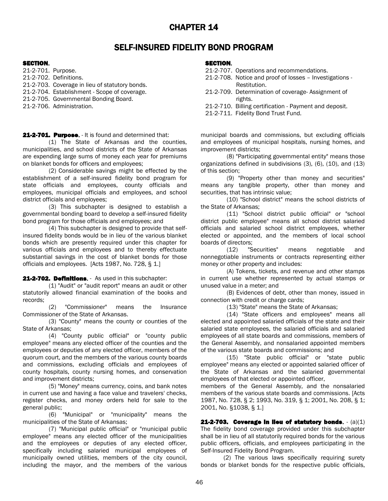## CHAPTER 14

## SELF-INSURED FIDELITY BOND PROGRAM

### SECTION. SECTION AND SECTION AND SECTION.

| 21-2-701. Purpose.                             | 21-2-707. Operat  |         |
|------------------------------------------------|-------------------|---------|
| 21-2-702. Definitions.                         | 21-2-708. Notice  |         |
| 21-2-703. Coverage in lieu of statutory bonds. |                   | Restiti |
| 21-2-704. Establishment - Scope of coverage.   | 21-2-709. Deterr  |         |
| 21-2-705. Governmental Bonding Board.          |                   | rights. |
| 21-2-706 Administration.                       | 21-2-710. Billing |         |

21-2-701. Purpose. - It is found and determined that:

 (1) The State of Arkansas and the counties, municipalities, and school districts of the State of Arkansas are expending large sums of money each year for premiums on blanket bonds for officers and employees;

 (2) Considerable savings might be effected by the establishment of a self-insured fidelity bond program for state officials and employees, county officials and employees, municipal officials and employees, and school district officials and employees;

 (3) This subchapter is designed to establish a governmental bonding board to develop a self-insured fidelity bond program for those officials and employees; and

 (4) This subchapter is designed to provide that selfinsured fidelity bonds would be in lieu of the various blanket bonds which are presently required under this chapter for various officials and employees and to thereby effectuate substantial savings in the cost of blanket bonds for those officials and employees. [Acts 1987, No. 728, § 1.]

21-2-702. Definitions. - As used in this subchapter:

 (1) "Audit" or "audit report" means an audit or other statutorily allowed financial examination of the books and records;

 (2) "Commissioner" means the Insurance Commissioner of the State of Arkansas.

 (3) "County" means the county or counties of the State of Arkansas;

 (4) "County public official" or "county public employee" means any elected officer of the counties and the employees or deputies of any elected officer, members of the quorum court, and the members of the various county boards and commissions, excluding officials and employees of county hospitals, county nursing homes, and conservation and improvement districts;

 (5) "Money" means currency, coins, and bank notes in current use and having a face value and travelers' checks, register checks, and money orders held for sale to the general public;

 (6) "Municipal" or "municipality" means the municipalities of the State of Arkansas;

 (7) "Municipal public official" or "municipal public employee" means any elected officer of the municipalities and the employees or deputies of any elected officer, specifically including salaried municipal employees of municipally owned utilities, members of the city council, including the mayor, and the members of the various

21-2-707. Operations and recommendations.

- 21-2-708. Notice and proof of losses Investigations -Restitution.
- 21-2-709. Determination of coverage- Assignment of
- 21-2-706. Administration. 21-2-710. Billing certification Payment and deposit.
	- 21-2-711. Fidelity Bond Trust Fund.

municipal boards and commissions, but excluding officials and employees of municipal hospitals, nursing homes, and improvement districts;

 (8) "Participating governmental entity" means those organizations defined in subdivisions (3), (6), (10), and (13) of this section;

 (9) "Property other than money and securities" means any tangible property, other than money and securities, that has intrinsic value;

 (10) "School district" means the school districts of the State of Arkansas;

 (11) "School district public official" or "school district public employee" means all school district salaried officials and salaried school district employees, whether elected or appointed, and the members of local school boards of directors;

 (12) "Securities" means negotiable and nonnegotiable instruments or contracts representing either money or other property and includes:

 (A) Tokens, tickets, and revenue and other stamps in current use whether represented by actual stamps or unused value in a meter; and

 (B) Evidences of debt, other than money, issued in connection with credit or charge cards;

(13) "State" means the State of Arkansas;

 (14) "State officers and employees" means all elected and appointed salaried officials of the state and their salaried state employees, the salaried officials and salaried employees of all state boards and commissions, members of the General Assembly, and nonsalaried appointed members of the various state boards and commissions; and

 (15) "State public official" or "state public employee" means any elected or appointed salaried officer of the State of Arkansas and the salaried governmental employees of that elected or appointed officer,

members of the General Assembly, and the nonsalaried members of the various state boards and commissions. [Acts 1987, No. 728, § 2; 1993, No. 319, § 1; 2001, No. 208, § 1; 2001, No. §1038, § 1.]

21-2-703. Coverage in lieu of statutory bonds. - (a)(1) The fidelity bond coverage provided under this subchapter shall be in lieu of all statutorily required bonds for the various public officers, officials, and employees participating in the Self-Insured Fidelity Bond Program.

(2) The various laws specifically requiring surety bonds or blanket bonds for the respective public officials,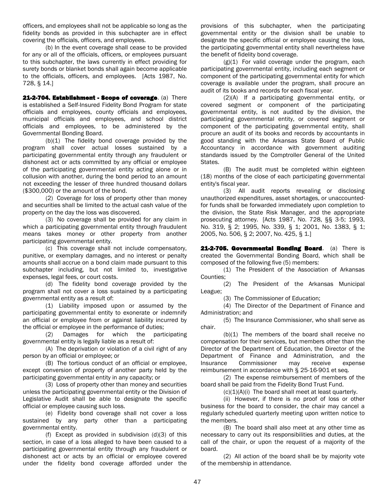officers, and employees shall not be applicable so long as the fidelity bonds as provided in this subchapter are in effect covering the officials, officers, and employees.

(b) In the event coverage shall cease to be provided for any or all of the officials, officers, or employees pursuant to this subchapter, the laws currently in effect providing for surety bonds or blanket bonds shall again become applicable to the officials, officers, and employees. [Acts 1987, No. 728, § 14.]

21-2-704. Establishment - Scope of coverage. (a) There is established a Self-Insured Fidelity Bond Program for state officials and employees, county officials and employees, municipal officials and employees, and school district officials and employees, to be administered by the Governmental Bonding Board.

 $(b)(1)$  The fidelity bond coverage provided by the program shall cover actual losses sustained by a participating governmental entity through any fraudulent or dishonest act or acts committed by any official or employee of the participating governmental entity acting alone or in collusion with another, during the bond period to an amount not exceeding the lesser of three hundred thousand dollars (\$300,000) or the amount of the bond.

(2) Coverage for loss of property other than money and securities shall be limited to the actual cash value of the property on the day the loss was discovered.

(3) No coverage shall be provided for any claim in which a participating governmental entity through fraudulent means takes money or other property from another participating governmental entity.

(c) This coverage shall not include compensatory, punitive, or exemplary damages, and no interest or penalty amounts shall accrue on a bond claim made pursuant to this subchapter including, but not limited to, investigative expenses, legal fees, or court costs.

(d) The fidelity bond coverage provided by the program shall not cover a loss sustained by a participating governmental entity as a result of:

(1) Liability imposed upon or assumed by the participating governmental entity to exonerate or indemnify an official or employee from or against liability incurred by the official or employee in the performance of duties;

(2) Damages for which the participating governmental entity is legally liable as a result of:

(A) The deprivation or violation of a civil right of any person by an official or employee; or

(B) The tortious conduct of an official or employee, except conversion of property of another party held by the participating governmental entity in any capacity; or

(3) Loss of property other than money and securities unless the participating governmental entity or the Division of Legislative Audit shall be able to designate the specific official or employee causing such loss.

(e) Fidelity bond coverage shall not cover a loss sustained by any party other than a participating governmental entity.

(f) Except as provided in subdivision (d)(3) of this section, in case of a loss alleged to have been caused to a participating governmental entity through any fraudulent or dishonest act or acts by an official or employee covered under the fidelity bond coverage afforded under the

provisions of this subchapter, when the participating governmental entity or the division shall be unable to designate the specific official or employee causing the loss, the participating governmental entity shall nevertheless have the benefit of fidelity bond coverage.

 $(g)(1)$  For valid coverage under the program, each participating governmental entity, including each segment or component of the participating governmental entity for which coverage is available under the program, shall procure an audit of its books and records for each fiscal year.

(2)(A) If a participating governmental entity, or covered segment or component of the participating governmental entity, is not audited by the division, the participating governmental entity, or covered segment or component of the participating governmental entity, shall procure an audit of its books and records by accountants in good standing with the Arkansas State Board of Public Accountancy in accordance with government auditing standards issued by the Comptroller General of the United States.

(B) The audit must be completed within eighteen (18) months of the close of each participating governmental entity's fiscal year.

(3) All audit reports revealing or disclosing unauthorized expenditures, asset shortages, or unaccountedfor funds shall be forwarded immediately upon completion to the division, the State Risk Manager, and the appropriate prosecuting attorney. [Acts 1987, No. 728, §§ 3-5; 1993, No. 319, § 2; 1995, No. 339, § 1; 2001, No. 1383, § 1; 2005, No. 506, § 2; 2007, No. 425, § 1.]

21-2-705. Governmental Bonding Board. (a) There is created the Governmental Bonding Board, which shall be composed of the following five (5) members:

(1) The President of the Association of Arkansas Counties;

(2) The President of the Arkansas Municipal League;

(3) The Commissioner of Education;

(4) The Director of the Department of Finance and Administration; and

(5) The Insurance Commissioner, who shall serve as chair.

 $(b)(1)$  The members of the board shall receive no compensation for their services, but members other than the Director of the Department of Education, the Director of the Department of Finance and Administration, and the Insurance Commissioner may receive expense reimbursement in accordance with § [25-16-901](http://170.94.58.9/NXT/gateway.dll?f=id$id=ARCODE_OL.NFO%3Ar%3Af39b$cid=ARCODE_OL.NFO$t=document-frame.htm$an=JD_25-16-901$3.0#JD_25-16-901) et seq.

(2) The expense reimbursement of members of the board shall be paid from the Fidelity Bond Trust Fund.

 $(c)(1)(A)(i)$  The board shall meet at least quarterly.

(ii) However, if there is no proof of loss or other business for the board to consider, the chair may cancel a regularly scheduled quarterly meeting upon written notice to the members.

(B) The board shall also meet at any other time as necessary to carry out its responsibilities and duties, at the call of the chair, or upon the request of a majority of the board.

(2) All action of the board shall be by majority vote of the membership in attendance.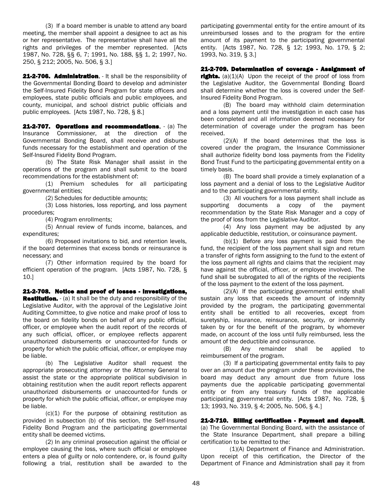(3) If a board member is unable to attend any board meeting, the member shall appoint a designee to act as his or her representative. The representative shall have all the rights and privileges of the member represented. [Acts 1987, No. 728, §§ 6, 7; 1991, No. 188, §§ 1, 2; 1997, No. 250, § 212; 2005, No. 506, § 3.]

21-2-706. Administration. - It shall be the responsibility of the Governmental Bonding Board to develop and administer the Self-Insured Fidelity Bond Program for state officers and employees, state public officials and public employees, and county, municipal, and school district public officials and public employees. [Acts 1987, No. 728, § 8.]

21-2-707. Operations and recommendations. - (a) The Insurance Commissioner, at the direction of the Governmental Bonding Board, shall receive and disburse funds necessary for the establishment and operation of the Self-Insured Fidelity Bond Program.

(b) The State Risk Manager shall assist in the operations of the program and shall submit to the board recommendations for the establishment of:

(1) Premium schedules for all participating governmental entities;

(2) Schedules for deductible amounts;

(3) Loss histories, loss reporting, and loss payment procedures;

(4) Program enrollments;

(5) Annual review of funds income, balances, and expenditures;

(6) Proposed invitations to bid, and retention levels, if the board determines that excess bonds or reinsurance is necessary; and

(7) Other information required by the board for efficient operation of the program. [Acts 1987, No. 728, § 10.]

21-2-708. Notice and proof of losses - Investigations, **Restitution.** - (a) It shall be the duty and responsibility of the Legislative Auditor, with the approval of the Legislative Joint Auditing Committee, to give notice and make proof of loss to the board on fidelity bonds on behalf of any public official, officer, or employee when the audit report of the records of any such official, officer, or employee reflects apparent unauthorized disbursements or unaccounted-for funds or property for which the public official, officer, or employee may be liable.

(b) The Legislative Auditor shall request the appropriate prosecuting attorney or the Attorney General to assist the state or the appropriate political subdivision in obtaining restitution when the audit report reflects apparent unauthorized disbursements or unaccounted-for funds or property for which the public official, officer, or employee may be liable.

 $(c)(1)$  For the purpose of obtaining restitution as provided in subsection (b) of this section, the Self-Insured Fidelity Bond Program and the participating governmental entity shall be deemed victims.

(2) In any criminal prosecution against the official or employee causing the loss, where such official or employee enters a plea of guilty or nolo contendere, or, is found guilty following a trial, restitution shall be awarded to the participating governmental entity for the entire amount of its unreimbursed losses and to the program for the entire amount of its payment to the participating governmental entity. [Acts 1987, No. 728, § 12; 1993, No. 179, § 2; 1993, No. 319, § 3.]

#### 21-2-709. Determination of coverage - Assignment of **rights.** (a) $(1)(A)$  Upon the receipt of the proof of loss from the Legislative Auditor, the Governmental Bonding Board shall determine whether the loss is covered under the Self-

Insured Fidelity Bond Program. (B) The board may withhold claim determination and a loss payment until the investigation in each case has been completed and all information deemed necessary for determination of coverage under the program has been received.

(2)(A) If the board determines that the loss is covered under the program, the Insurance Commissioner shall authorize fidelity bond loss payments from the Fidelity Bond Trust Fund to the participating governmental entity on a timely basis.

(B) The board shall provide a timely explanation of a loss payment and a denial of loss to the Legislative Auditor and to the participating governmental entity.

(3) All vouchers for a loss payment shall include as supporting documents a copy of the payment recommendation by the State Risk Manager and a copy of the proof of loss from the Legislative Auditor.

(4) Any loss payment may be adjusted by any applicable deductible, restitution, or coinsurance payment.

 $(b)(1)$  Before any loss payment is paid from the fund, the recipient of the loss payment shall sign and return a transfer of rights form assigning to the fund to the extent of the loss payment all rights and claims that the recipient may have against the official, officer, or employee involved. The fund shall be subrogated to all of the rights of the recipients of the loss payment to the extent of the loss payment.

(2)(A) If the participating governmental entity shall sustain any loss that exceeds the amount of indemnity provided by the program, the participating governmental entity shall be entitled to all recoveries, except from suretyship, insurance, reinsurance, security, or indemnity taken by or for the benefit of the program, by whomever made, on account of the loss until fully reimbursed, less the amount of the deductible and coinsurance.

(B) Any remainder shall be applied to reimbursement of the program.

(3) If a participating governmental entity fails to pay over an amount due the program under these provisions, the board may deduct any amount due from future loss payments due the applicable participating governmental entity or from any treasury funds of the applicable participating governmental entity. [Acts 1987, No. 728, § 13; 1993, No. 319, § 4; 2005, No. 506, § 4.]

21-2-710. Billing certification - Payment and deposit. (a) The Governmental Bonding Board, with the assistance of the State Insurance Department, shall prepare a billing certification to be remitted to the:

(1)(A) Department of Finance and Administration. Upon receipt of this certification, the Director of the Department of Finance and Administration shall pay it from